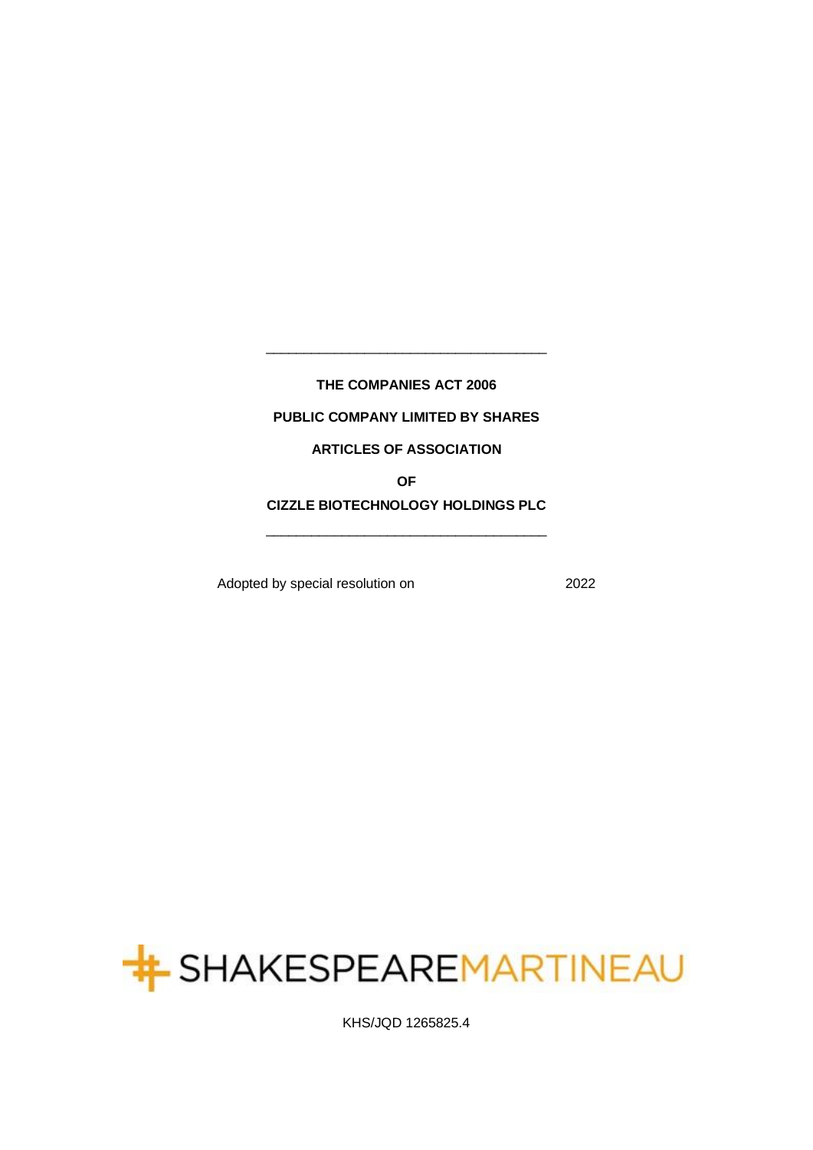**THE COMPANIES ACT 2006**

\_\_\_\_\_\_\_\_\_\_\_\_\_\_\_\_\_\_\_\_\_\_\_\_\_\_\_\_\_\_\_\_\_\_\_\_\_

# **PUBLIC COMPANY LIMITED BY SHARES**

# **ARTICLES OF ASSOCIATION**

**OF** 

**CIZZLE BIOTECHNOLOGY HOLDINGS PLC** \_\_\_\_\_\_\_\_\_\_\_\_\_\_\_\_\_\_\_\_\_\_\_\_\_\_\_\_\_\_\_\_\_\_\_\_\_

Adopted by special resolution on 2022



KHS/JQD 1265825.4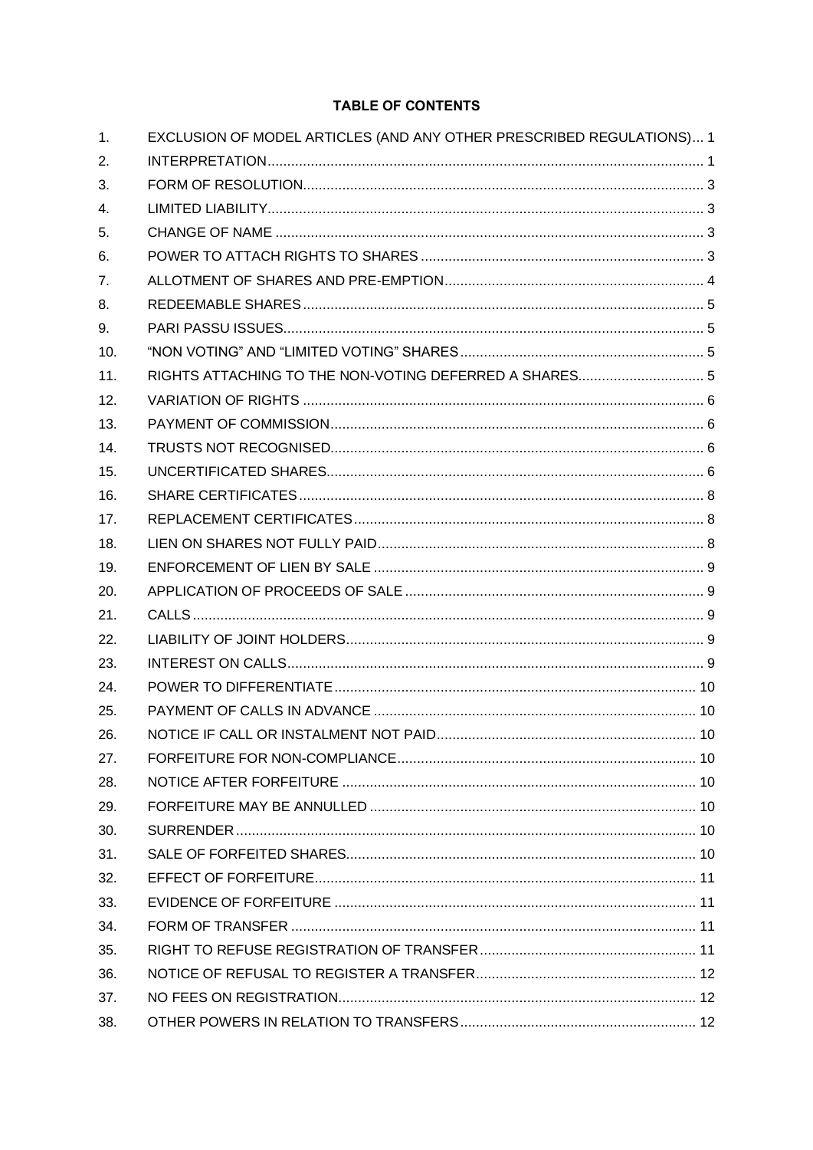# **TABLE OF CONTENTS**

| 1.  | EXCLUSION OF MODEL ARTICLES (AND ANY OTHER PRESCRIBED REGULATIONS) 1 |  |
|-----|----------------------------------------------------------------------|--|
| 2.  |                                                                      |  |
| 3.  |                                                                      |  |
| 4.  |                                                                      |  |
| 5.  |                                                                      |  |
| 6.  |                                                                      |  |
| 7.  |                                                                      |  |
| 8.  |                                                                      |  |
| 9.  |                                                                      |  |
| 10. |                                                                      |  |
| 11. |                                                                      |  |
| 12. |                                                                      |  |
| 13. |                                                                      |  |
| 14. |                                                                      |  |
| 15. |                                                                      |  |
| 16. |                                                                      |  |
| 17. |                                                                      |  |
| 18. |                                                                      |  |
| 19. |                                                                      |  |
| 20. |                                                                      |  |
| 21. |                                                                      |  |
| 22. |                                                                      |  |
| 23. |                                                                      |  |
| 24. |                                                                      |  |
| 25. |                                                                      |  |
| 26. |                                                                      |  |
| 27. |                                                                      |  |
| 28. |                                                                      |  |
| 29. |                                                                      |  |
| 30. |                                                                      |  |
| 31. |                                                                      |  |
| 32. |                                                                      |  |
| 33. |                                                                      |  |
| 34. |                                                                      |  |
| 35. |                                                                      |  |
| 36. |                                                                      |  |
| 37. |                                                                      |  |
| 38. |                                                                      |  |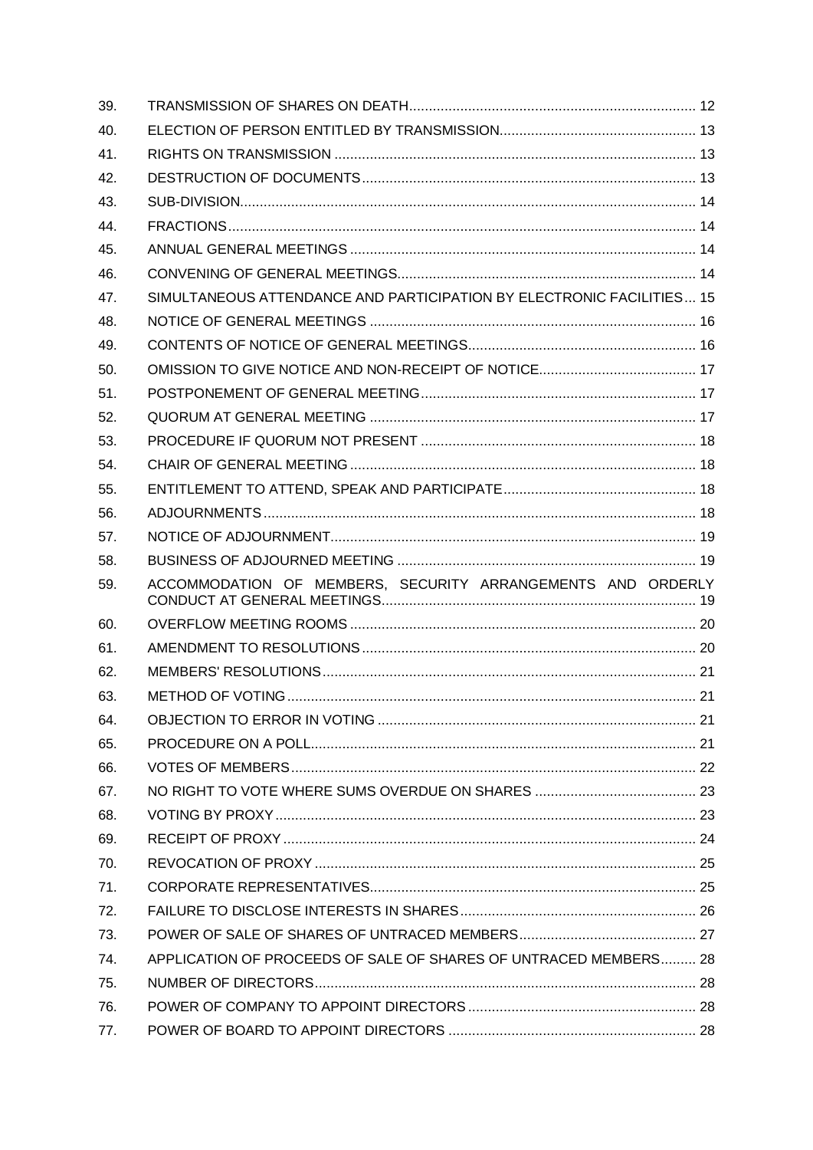| 39. |                                                                       |  |
|-----|-----------------------------------------------------------------------|--|
| 40. |                                                                       |  |
| 41. |                                                                       |  |
| 42. |                                                                       |  |
| 43. |                                                                       |  |
| 44. |                                                                       |  |
| 45. |                                                                       |  |
| 46. |                                                                       |  |
| 47. | SIMULTANEOUS ATTENDANCE AND PARTICIPATION BY ELECTRONIC FACILITIES 15 |  |
| 48. |                                                                       |  |
| 49. |                                                                       |  |
| 50. |                                                                       |  |
| 51. |                                                                       |  |
| 52. |                                                                       |  |
| 53. |                                                                       |  |
| 54. |                                                                       |  |
| 55. |                                                                       |  |
| 56. |                                                                       |  |
| 57. |                                                                       |  |
| 58. |                                                                       |  |
| 59. | ACCOMMODATION OF MEMBERS, SECURITY ARRANGEMENTS AND ORDERLY           |  |
| 60. |                                                                       |  |
| 61. |                                                                       |  |
| 62. |                                                                       |  |
| 63. |                                                                       |  |
| 64. |                                                                       |  |
| 65. |                                                                       |  |
| 66. |                                                                       |  |
| 67. |                                                                       |  |
| 68. |                                                                       |  |
| 69. |                                                                       |  |
| 70. |                                                                       |  |
| 71. |                                                                       |  |
|     |                                                                       |  |
| 72. |                                                                       |  |
| 73. |                                                                       |  |
| 74. | APPLICATION OF PROCEEDS OF SALE OF SHARES OF UNTRACED MEMBERS 28      |  |
| 75. |                                                                       |  |
| 76. |                                                                       |  |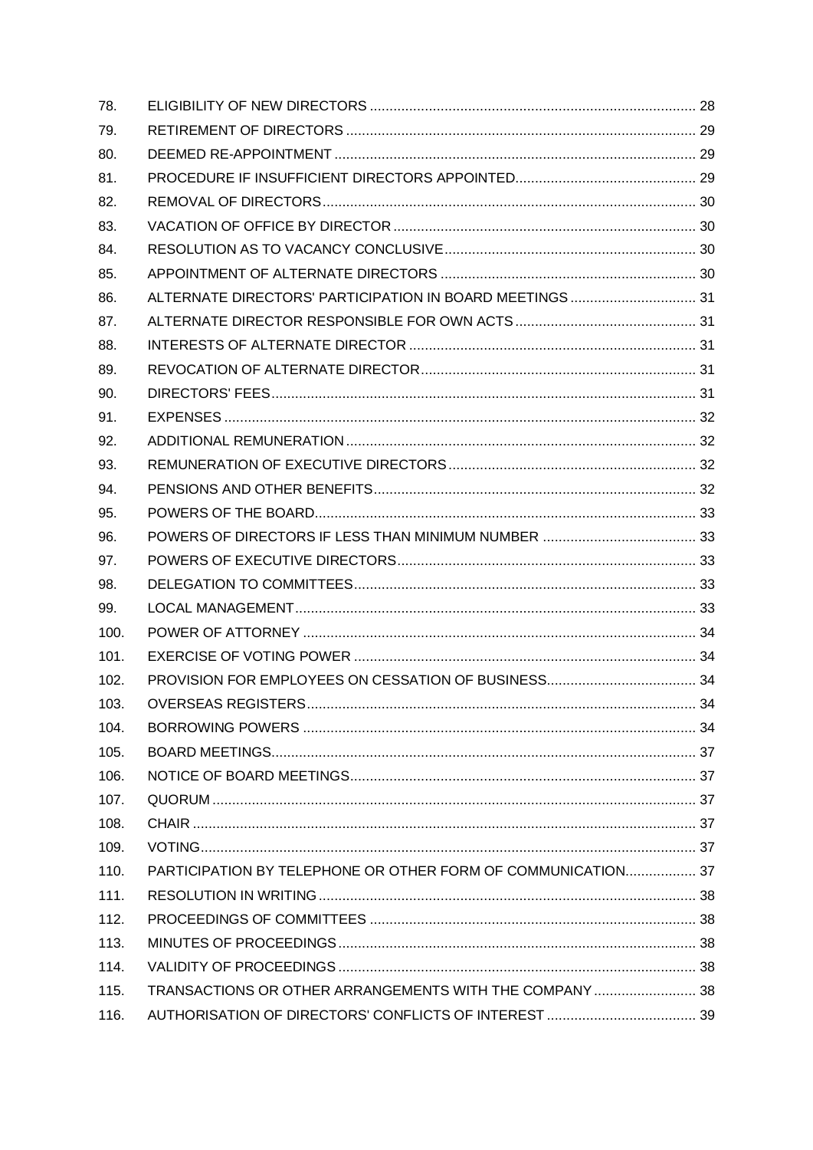| 78.  |                                                              |  |
|------|--------------------------------------------------------------|--|
| 79.  |                                                              |  |
| 80.  |                                                              |  |
| 81.  |                                                              |  |
| 82.  |                                                              |  |
| 83.  |                                                              |  |
| 84.  |                                                              |  |
| 85.  |                                                              |  |
| 86.  | ALTERNATE DIRECTORS' PARTICIPATION IN BOARD MEETINGS  31     |  |
| 87.  |                                                              |  |
| 88.  |                                                              |  |
| 89.  |                                                              |  |
| 90.  |                                                              |  |
| 91.  |                                                              |  |
| 92.  |                                                              |  |
| 93.  |                                                              |  |
| 94.  |                                                              |  |
| 95.  |                                                              |  |
| 96.  |                                                              |  |
| 97.  |                                                              |  |
| 98.  |                                                              |  |
| 99.  |                                                              |  |
| 100. |                                                              |  |
| 101. |                                                              |  |
| 102. |                                                              |  |
| 103. |                                                              |  |
| 104. |                                                              |  |
| 105. |                                                              |  |
| 106. |                                                              |  |
| 107. |                                                              |  |
| 108. |                                                              |  |
| 109. |                                                              |  |
| 110. | PARTICIPATION BY TELEPHONE OR OTHER FORM OF COMMUNICATION 37 |  |
| 111. |                                                              |  |
| 112. |                                                              |  |
| 113. |                                                              |  |
| 114. |                                                              |  |
| 115. | TRANSACTIONS OR OTHER ARRANGEMENTS WITH THE COMPANY 38       |  |
| 116. |                                                              |  |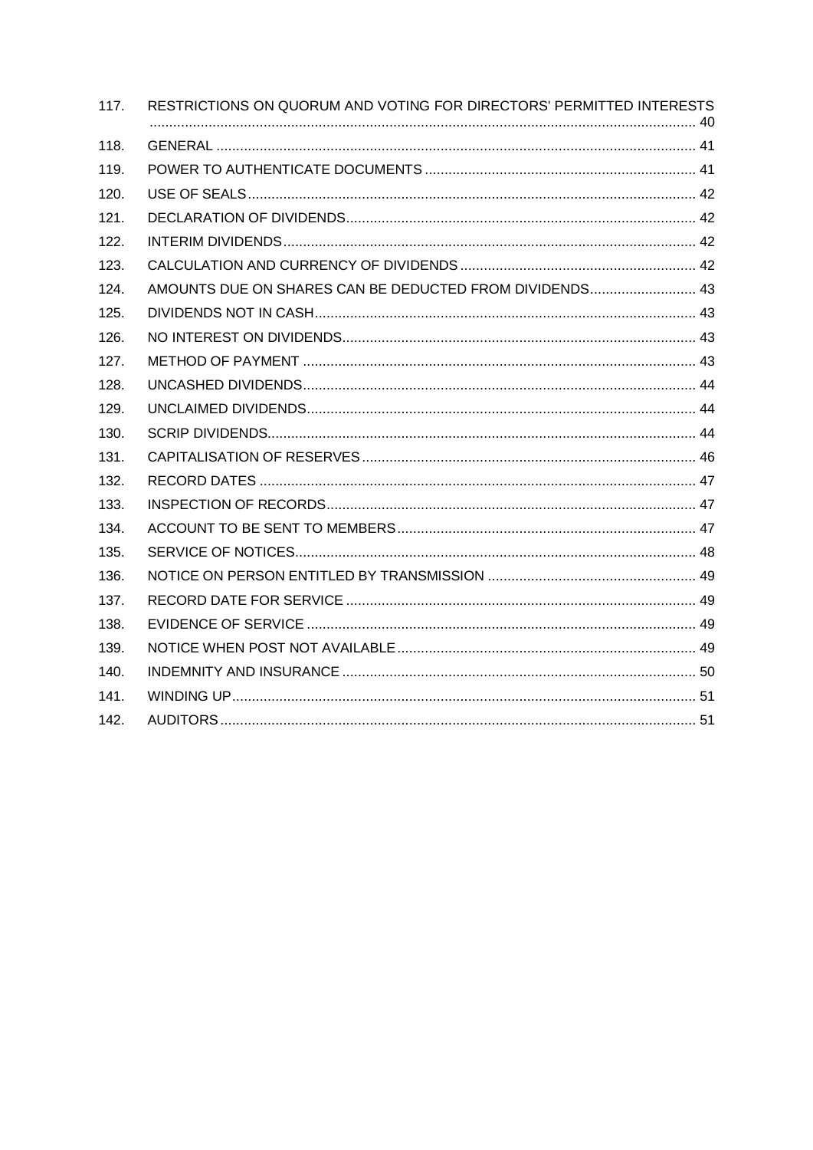| 117. | RESTRICTIONS ON QUORUM AND VOTING FOR DIRECTORS' PERMITTED INTERESTS |
|------|----------------------------------------------------------------------|
| 118. |                                                                      |
| 119. |                                                                      |
| 120. |                                                                      |
| 121. |                                                                      |
| 122. |                                                                      |
| 123. |                                                                      |
| 124. | AMOUNTS DUE ON SHARES CAN BE DEDUCTED FROM DIVIDENDS 43              |
| 125. |                                                                      |
| 126. |                                                                      |
| 127. |                                                                      |
| 128. |                                                                      |
| 129. |                                                                      |
| 130. |                                                                      |
| 131. |                                                                      |
| 132. |                                                                      |
| 133. |                                                                      |
| 134. |                                                                      |
| 135. |                                                                      |
| 136. |                                                                      |
| 137. |                                                                      |
| 138. |                                                                      |
| 139. |                                                                      |
| 140. |                                                                      |
| 141. |                                                                      |
| 142. |                                                                      |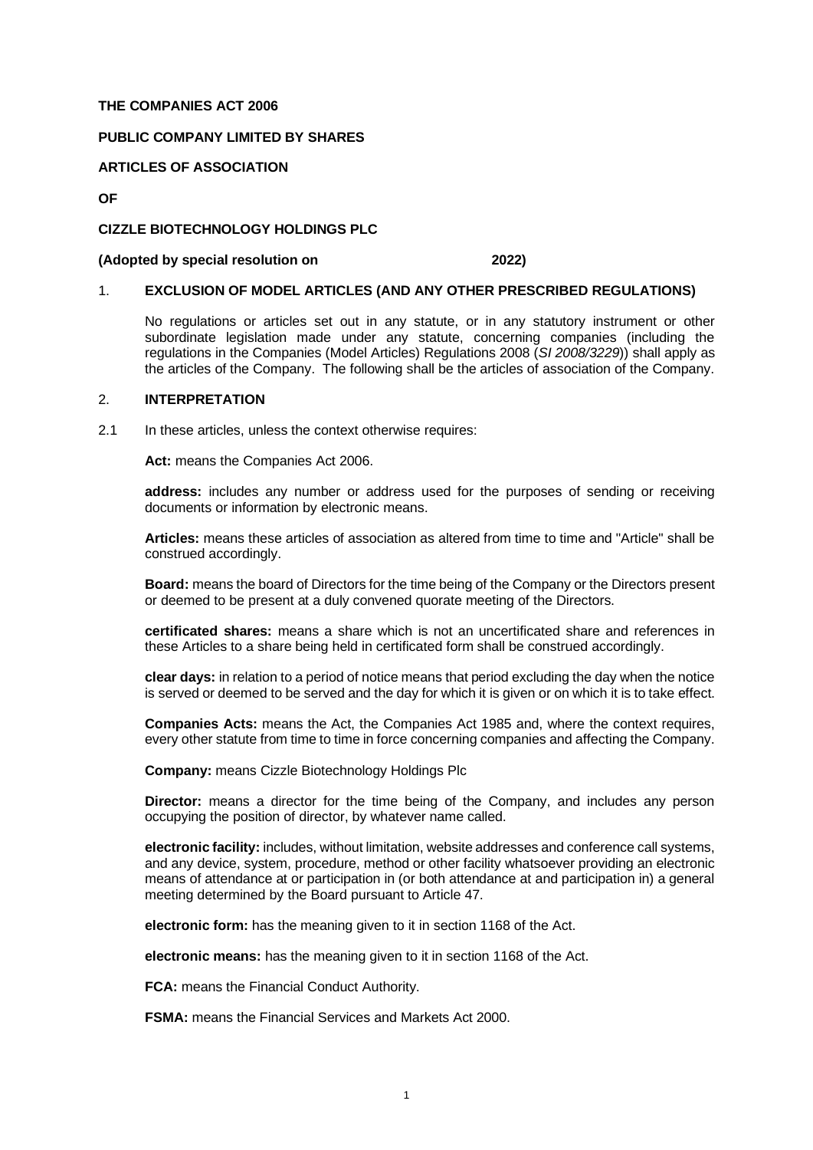### **THE COMPANIES ACT 2006**

#### **PUBLIC COMPANY LIMITED BY SHARES**

### **ARTICLES OF ASSOCIATION**

**OF**

### **CIZZLE BIOTECHNOLOGY HOLDINGS PLC**

#### **(Adopted by special resolution on 2022)**

#### <span id="page-5-0"></span>1. **EXCLUSION OF MODEL ARTICLES (AND ANY OTHER PRESCRIBED REGULATIONS)**

No regulations or articles set out in any statute, or in any statutory instrument or other subordinate legislation made under any statute, concerning companies (including the regulations in the Companies (Model Articles) Regulations 2008 (*SI 2008/3229*)) shall apply as the articles of the Company. The following shall be the articles of association of the Company.

#### <span id="page-5-1"></span>2. **INTERPRETATION**

2.1 In these articles, unless the context otherwise requires:

**Act:** means the Companies Act 2006.

**address:** includes any number or address used for the purposes of sending or receiving documents or information by electronic means.

**Articles:** means these articles of association as altered from time to time and "Article" shall be construed accordingly.

**Board:** means the board of Directors for the time being of the Company or the Directors present or deemed to be present at a duly convened quorate meeting of the Directors.

**certificated shares:** means a share which is not an uncertificated share and references in these Articles to a share being held in certificated form shall be construed accordingly.

**clear days:** in relation to a period of notice means that period excluding the day when the notice is served or deemed to be served and the day for which it is given or on which it is to take effect.

**Companies Acts:** means the Act, the Companies Act 1985 and, where the context requires, every other statute from time to time in force concerning companies and affecting the Company.

**Company:** means Cizzle Biotechnology Holdings Plc

**Director:** means a director for the time being of the Company, and includes any person occupying the position of director, by whatever name called.

**electronic facility:** includes, without limitation, website addresses and conference call systems, and any device, system, procedure, method or other facility whatsoever providing an electronic means of attendance at or participation in (or both attendance at and participation in) a general meeting determined by the Board pursuant to Article [47.](#page-19-0)

**electronic form:** has the meaning given to it in section 1168 of the Act.

**electronic means:** has the meaning given to it in section 1168 of the Act.

**FCA:** means the Financial Conduct Authority.

**FSMA:** means the Financial Services and Markets Act 2000.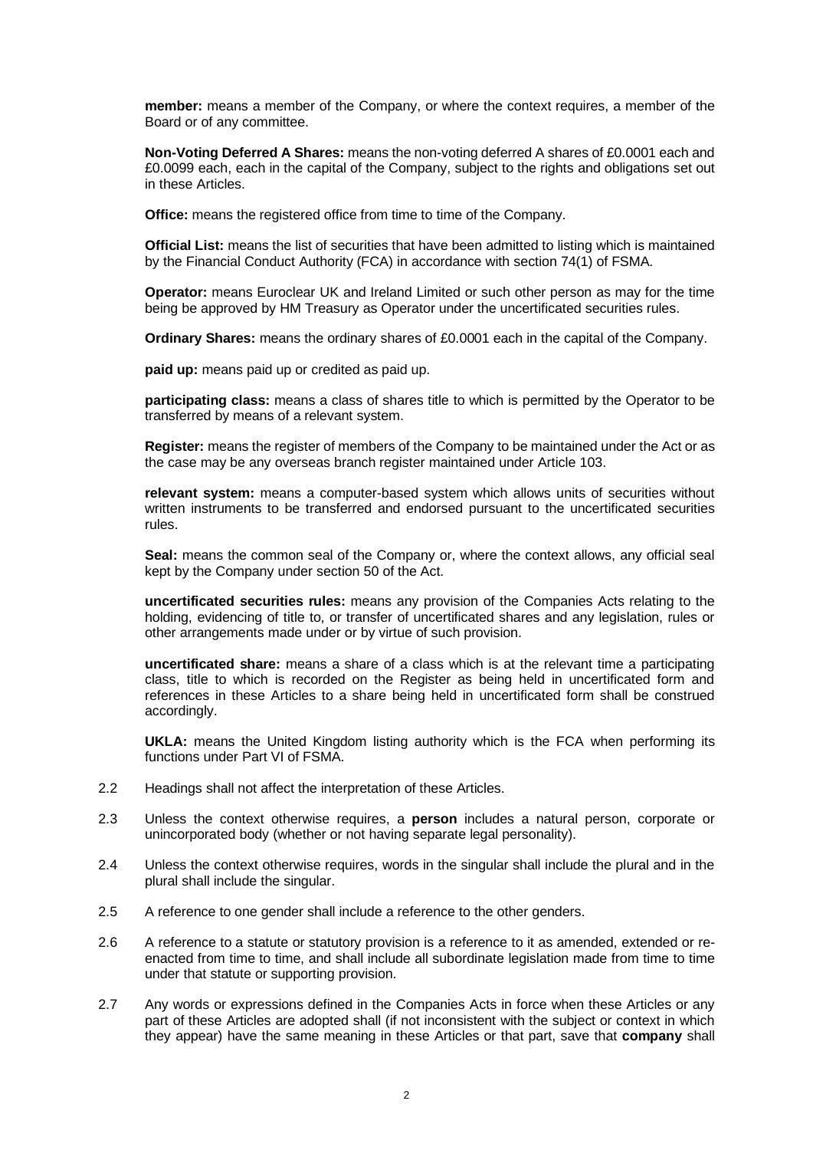**member:** means a member of the Company, or where the context requires, a member of the Board or of any committee.

**Non-Voting Deferred A Shares:** means the non-voting deferred A shares of £0.0001 each and £0.0099 each, each in the capital of the Company, subject to the rights and obligations set out in these Articles.

**Office:** means the registered office from time to time of the Company.

**Official List:** means the list of securities that have been admitted to listing which is maintained by the Financial Conduct Authority (FCA) in accordance with section 74(1) of FSMA.

**Operator:** means Euroclear UK and Ireland Limited or such other person as may for the time being be approved by HM Treasury as Operator under the uncertificated securities rules.

**Ordinary Shares:** means the ordinary shares of £0.0001 each in the capital of the Company.

**paid up:** means paid up or credited as paid up.

**participating class:** means a class of shares title to which is permitted by the Operator to be transferred by means of a relevant system.

**Register:** means the register of members of the Company to be maintained under the Act or as the case may be any overseas branch register maintained under Article [103.](#page-38-3)

**relevant system:** means a computer-based system which allows units of securities without written instruments to be transferred and endorsed pursuant to the uncertificated securities rules.

**Seal:** means the common seal of the Company or, where the context allows, any official seal kept by the Company under section 50 of the Act.

**uncertificated securities rules:** means any provision of the Companies Acts relating to the holding, evidencing of title to, or transfer of uncertificated shares and any legislation, rules or other arrangements made under or by virtue of such provision.

**uncertificated share:** means a share of a class which is at the relevant time a participating class, title to which is recorded on the Register as being held in uncertificated form and references in these Articles to a share being held in uncertificated form shall be construed accordingly.

**UKLA:** means the United Kingdom listing authority which is the FCA when performing its functions under Part VI of FSMA.

- 2.2 Headings shall not affect the interpretation of these Articles.
- 2.3 Unless the context otherwise requires, a **person** includes a natural person, corporate or unincorporated body (whether or not having separate legal personality).
- 2.4 Unless the context otherwise requires, words in the singular shall include the plural and in the plural shall include the singular.
- 2.5 A reference to one gender shall include a reference to the other genders.
- 2.6 A reference to a statute or statutory provision is a reference to it as amended, extended or reenacted from time to time, and shall include all subordinate legislation made from time to time under that statute or supporting provision.
- 2.7 Any words or expressions defined in the Companies Acts in force when these Articles or any part of these Articles are adopted shall (if not inconsistent with the subject or context in which they appear) have the same meaning in these Articles or that part, save that **company** shall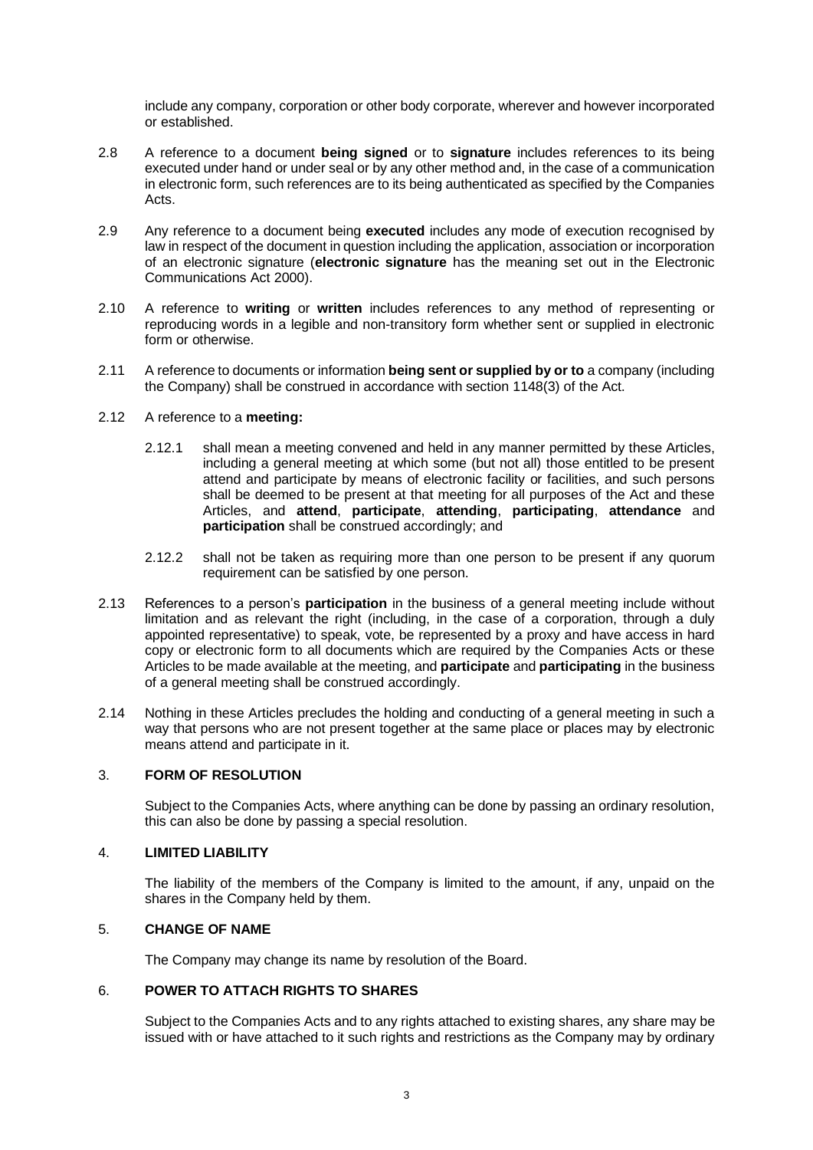include any company, corporation or other body corporate, wherever and however incorporated or established.

- 2.8 A reference to a document **being signed** or to **signature** includes references to its being executed under hand or under seal or by any other method and, in the case of a communication in electronic form, such references are to its being authenticated as specified by the Companies Acts.
- 2.9 Any reference to a document being **executed** includes any mode of execution recognised by law in respect of the document in question including the application, association or incorporation of an electronic signature (**electronic signature** has the meaning set out in the Electronic Communications Act 2000).
- 2.10 A reference to **writing** or **written** includes references to any method of representing or reproducing words in a legible and non-transitory form whether sent or supplied in electronic form or otherwise.
- 2.11 A reference to documents or information **being sent or supplied by or to** a company (including the Company) shall be construed in accordance with section 1148(3) of the Act.

# 2.12 A reference to a **meeting:**

- 2.12.1 shall mean a meeting convened and held in any manner permitted by these Articles, including a general meeting at which some (but not all) those entitled to be present attend and participate by means of electronic facility or facilities, and such persons shall be deemed to be present at that meeting for all purposes of the Act and these Articles, and **attend**, **participate**, **attending**, **participating**, **attendance** and **participation** shall be construed accordingly; and
- 2.12.2 shall not be taken as requiring more than one person to be present if any quorum requirement can be satisfied by one person.
- 2.13 References to a person's **participation** in the business of a general meeting include without limitation and as relevant the right (including, in the case of a corporation, through a duly appointed representative) to speak, vote, be represented by a proxy and have access in hard copy or electronic form to all documents which are required by the Companies Acts or these Articles to be made available at the meeting, and **participate** and **participating** in the business of a general meeting shall be construed accordingly.
- 2.14 Nothing in these Articles precludes the holding and conducting of a general meeting in such a way that persons who are not present together at the same place or places may by electronic means attend and participate in it.

### <span id="page-7-0"></span>3. **FORM OF RESOLUTION**

Subject to the Companies Acts, where anything can be done by passing an ordinary resolution, this can also be done by passing a special resolution.

# <span id="page-7-1"></span>4. **LIMITED LIABILITY**

The liability of the members of the Company is limited to the amount, if any, unpaid on the shares in the Company held by them.

# <span id="page-7-2"></span>5. **CHANGE OF NAME**

The Company may change its name by resolution of the Board.

# <span id="page-7-3"></span>6. **POWER TO ATTACH RIGHTS TO SHARES**

Subject to the Companies Acts and to any rights attached to existing shares, any share may be issued with or have attached to it such rights and restrictions as the Company may by ordinary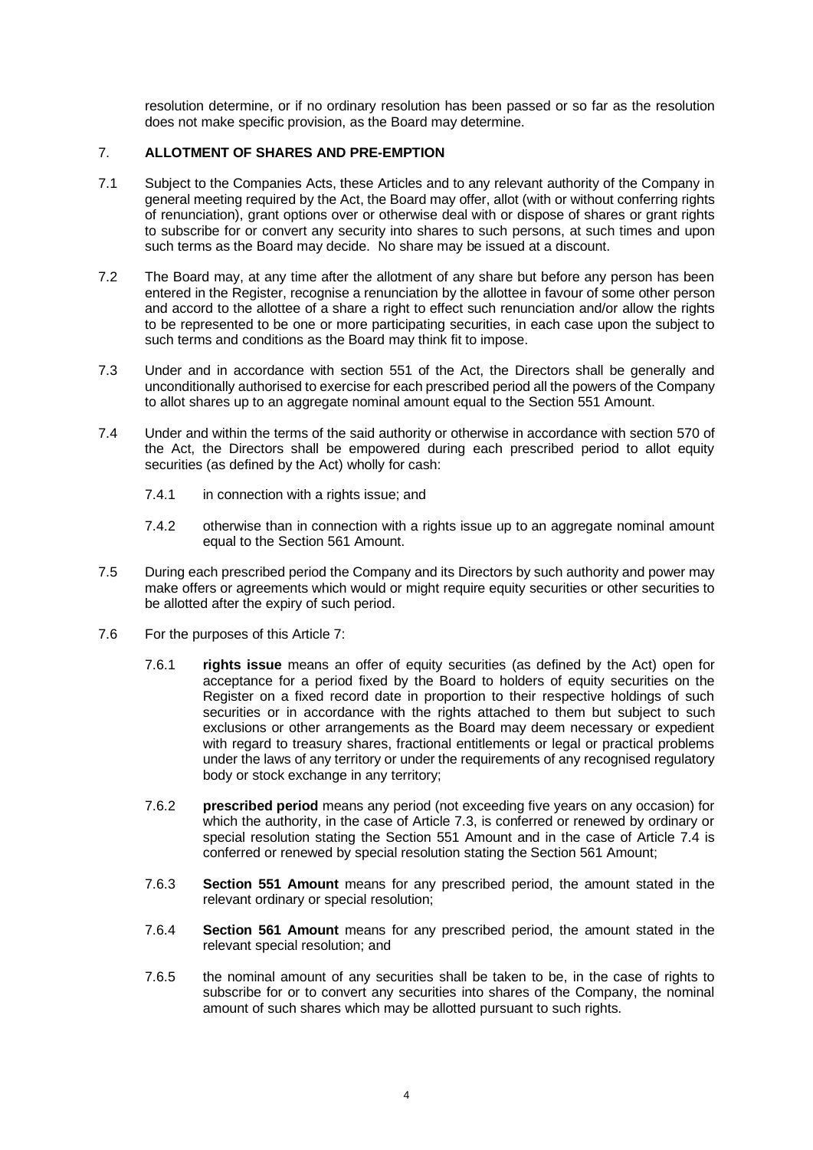resolution determine, or if no ordinary resolution has been passed or so far as the resolution does not make specific provision, as the Board may determine.

## <span id="page-8-0"></span>7. **ALLOTMENT OF SHARES AND PRE-EMPTION**

- 7.1 Subject to the Companies Acts, these Articles and to any relevant authority of the Company in general meeting required by the Act, the Board may offer, allot (with or without conferring rights of renunciation), grant options over or otherwise deal with or dispose of shares or grant rights to subscribe for or convert any security into shares to such persons, at such times and upon such terms as the Board may decide. No share may be issued at a discount.
- 7.2 The Board may, at any time after the allotment of any share but before any person has been entered in the Register, recognise a renunciation by the allottee in favour of some other person and accord to the allottee of a share a right to effect such renunciation and/or allow the rights to be represented to be one or more participating securities, in each case upon the subject to such terms and conditions as the Board may think fit to impose.
- 7.3 Under and in accordance with section 551 of the Act, the Directors shall be generally and unconditionally authorised to exercise for each prescribed period all the powers of the Company to allot shares up to an aggregate nominal amount equal to the Section 551 Amount.
- 7.4 Under and within the terms of the said authority or otherwise in accordance with section 570 of the Act, the Directors shall be empowered during each prescribed period to allot equity securities (as defined by the Act) wholly for cash:
	- 7.4.1 in connection with a rights issue; and
	- 7.4.2 otherwise than in connection with a rights issue up to an aggregate nominal amount equal to the Section 561 Amount.
- 7.5 During each prescribed period the Company and its Directors by such authority and power may make offers or agreements which would or might require equity securities or other securities to be allotted after the expiry of such period.
- 7.6 For the purposes of this Article 7:
	- 7.6.1 **rights issue** means an offer of equity securities (as defined by the Act) open for acceptance for a period fixed by the Board to holders of equity securities on the Register on a fixed record date in proportion to their respective holdings of such securities or in accordance with the rights attached to them but subject to such exclusions or other arrangements as the Board may deem necessary or expedient with regard to treasury shares, fractional entitlements or legal or practical problems under the laws of any territory or under the requirements of any recognised regulatory body or stock exchange in any territory;
	- 7.6.2 **prescribed period** means any period (not exceeding five years on any occasion) for which the authority, in the case of Article 7.3, is conferred or renewed by ordinary or special resolution stating the Section 551 Amount and in the case of Article 7.4 is conferred or renewed by special resolution stating the Section 561 Amount;
	- 7.6.3 **Section 551 Amount** means for any prescribed period, the amount stated in the relevant ordinary or special resolution;
	- 7.6.4 **Section 561 Amount** means for any prescribed period, the amount stated in the relevant special resolution; and
	- 7.6.5 the nominal amount of any securities shall be taken to be, in the case of rights to subscribe for or to convert any securities into shares of the Company, the nominal amount of such shares which may be allotted pursuant to such rights.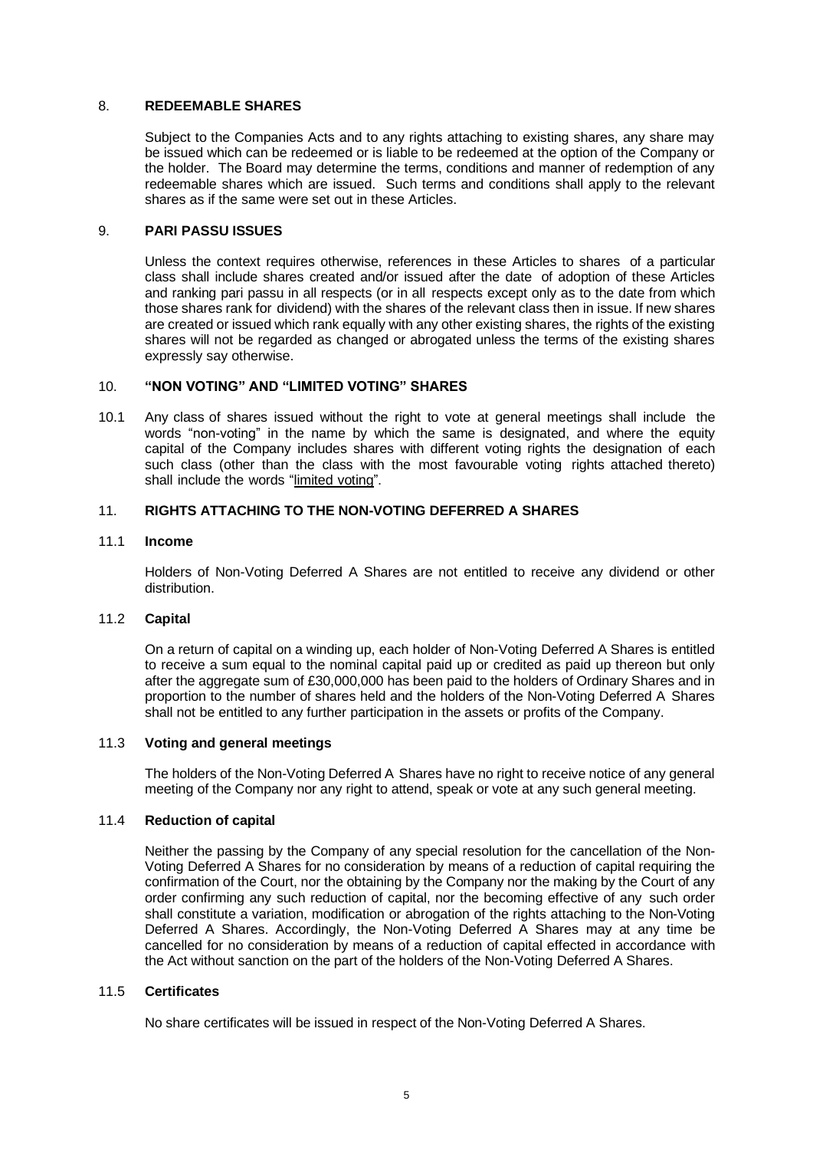#### <span id="page-9-0"></span>8. **REDEEMABLE SHARES**

Subject to the Companies Acts and to any rights attaching to existing shares, any share may be issued which can be redeemed or is liable to be redeemed at the option of the Company or the holder. The Board may determine the terms, conditions and manner of redemption of any redeemable shares which are issued. Such terms and conditions shall apply to the relevant shares as if the same were set out in these Articles.

### <span id="page-9-1"></span>9. **PARI PASSU ISSUES**

Unless the context requires otherwise, references in these Articles to shares of a particular class shall include shares created and/or issued after the date of adoption of these Articles and ranking pari passu in all respects (or in all respects except only as to the date from which those shares rank for dividend) with the shares of the relevant class then in issue. If new shares are created or issued which rank equally with any other existing shares, the rights of the existing shares will not be regarded as changed or abrogated unless the terms of the existing shares expressly say otherwise.

### <span id="page-9-2"></span>10. **"NON VOTING" AND "LIMITED VOTING" SHARES**

10.1 Any class of shares issued without the right to vote at general meetings shall include the words "non-voting" in the name by which the same is designated, and where the equity capital of the Company includes shares with different voting rights the designation of each such class (other than the class with the most favourable voting rights attached thereto) shall include the words "limited voting".

### <span id="page-9-3"></span>11. **RIGHTS ATTACHING TO THE NON-VOTING DEFERRED A SHARES**

#### 11.1 **Income**

Holders of Non-Voting Deferred A Shares are not entitled to receive any dividend or other distribution.

### 11.2 **Capital**

On a return of capital on a winding up, each holder of Non-Voting Deferred A Shares is entitled to receive a sum equal to the nominal capital paid up or credited as paid up thereon but only after the aggregate sum of £30,000,000 has been paid to the holders of Ordinary Shares and in proportion to the number of shares held and the holders of the Non-Voting Deferred A Shares shall not be entitled to any further participation in the assets or profits of the Company.

### 11.3 **Voting and general meetings**

The holders of the Non-Voting Deferred A Shares have no right to receive notice of any general meeting of the Company nor any right to attend, speak or vote at any such general meeting.

#### 11.4 **Reduction of capital**

Neither the passing by the Company of any special resolution for the cancellation of the Non-Voting Deferred A Shares for no consideration by means of a reduction of capital requiring the confirmation of the Court, nor the obtaining by the Company nor the making by the Court of any order confirming any such reduction of capital, nor the becoming effective of any such order shall constitute a variation, modification or abrogation of the rights attaching to the Non-Voting Deferred A Shares. Accordingly, the Non-Voting Deferred A Shares may at any time be cancelled for no consideration by means of a reduction of capital effected in accordance with the Act without sanction on the part of the holders of the Non-Voting Deferred A Shares.

#### 11.5 **Certificates**

No share certificates will be issued in respect of the Non-Voting Deferred A Shares.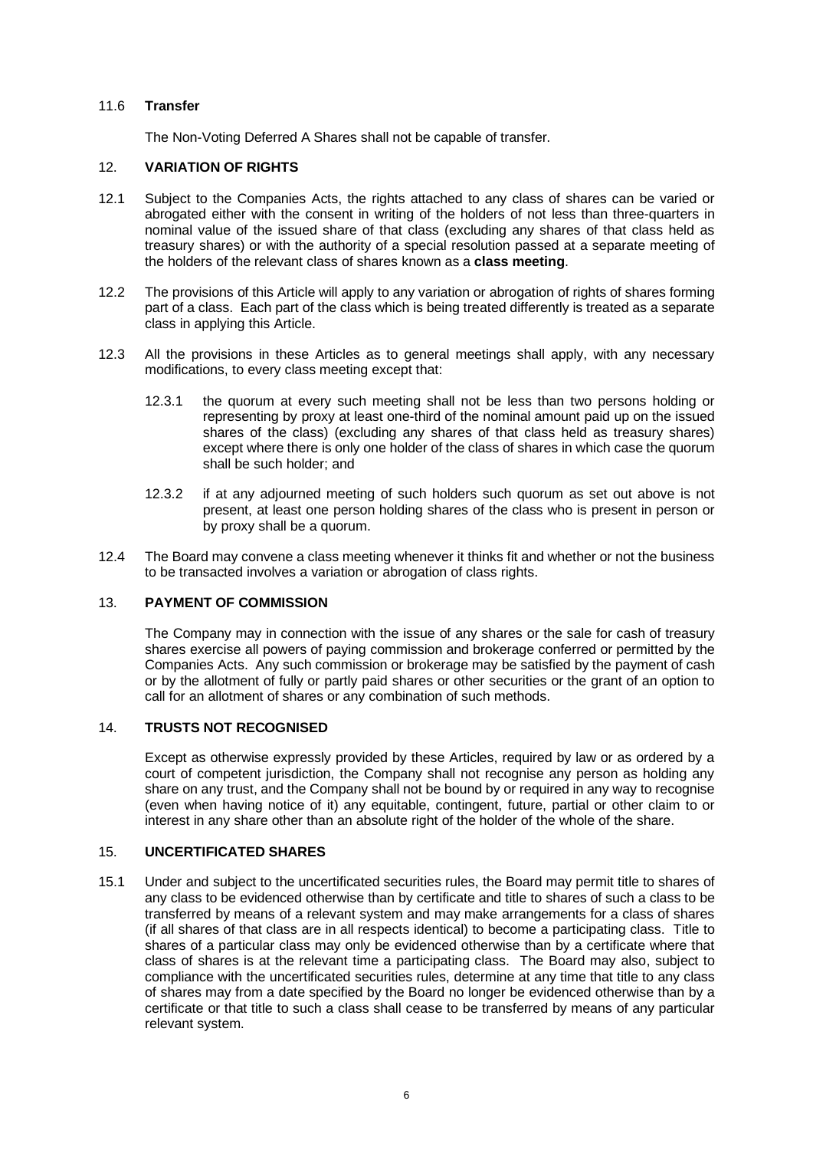### 11.6 **Transfer**

The Non-Voting Deferred A Shares shall not be capable of transfer.

### <span id="page-10-0"></span>12. **VARIATION OF RIGHTS**

- 12.1 Subject to the Companies Acts, the rights attached to any class of shares can be varied or abrogated either with the consent in writing of the holders of not less than three-quarters in nominal value of the issued share of that class (excluding any shares of that class held as treasury shares) or with the authority of a special resolution passed at a separate meeting of the holders of the relevant class of shares known as a **class meeting**.
- 12.2 The provisions of this Article will apply to any variation or abrogation of rights of shares forming part of a class. Each part of the class which is being treated differently is treated as a separate class in applying this Article.
- 12.3 All the provisions in these Articles as to general meetings shall apply, with any necessary modifications, to every class meeting except that:
	- 12.3.1 the quorum at every such meeting shall not be less than two persons holding or representing by proxy at least one-third of the nominal amount paid up on the issued shares of the class) (excluding any shares of that class held as treasury shares) except where there is only one holder of the class of shares in which case the quorum shall be such holder; and
	- 12.3.2 if at any adjourned meeting of such holders such quorum as set out above is not present, at least one person holding shares of the class who is present in person or by proxy shall be a quorum.
- 12.4 The Board may convene a class meeting whenever it thinks fit and whether or not the business to be transacted involves a variation or abrogation of class rights.

# <span id="page-10-1"></span>13. **PAYMENT OF COMMISSION**

The Company may in connection with the issue of any shares or the sale for cash of treasury shares exercise all powers of paying commission and brokerage conferred or permitted by the Companies Acts. Any such commission or brokerage may be satisfied by the payment of cash or by the allotment of fully or partly paid shares or other securities or the grant of an option to call for an allotment of shares or any combination of such methods.

# <span id="page-10-2"></span>14. **TRUSTS NOT RECOGNISED**

Except as otherwise expressly provided by these Articles, required by law or as ordered by a court of competent jurisdiction, the Company shall not recognise any person as holding any share on any trust, and the Company shall not be bound by or required in any way to recognise (even when having notice of it) any equitable, contingent, future, partial or other claim to or interest in any share other than an absolute right of the holder of the whole of the share.

#### <span id="page-10-3"></span>15. **UNCERTIFICATED SHARES**

15.1 Under and subject to the uncertificated securities rules, the Board may permit title to shares of any class to be evidenced otherwise than by certificate and title to shares of such a class to be transferred by means of a relevant system and may make arrangements for a class of shares (if all shares of that class are in all respects identical) to become a participating class. Title to shares of a particular class may only be evidenced otherwise than by a certificate where that class of shares is at the relevant time a participating class. The Board may also, subject to compliance with the uncertificated securities rules, determine at any time that title to any class of shares may from a date specified by the Board no longer be evidenced otherwise than by a certificate or that title to such a class shall cease to be transferred by means of any particular relevant system.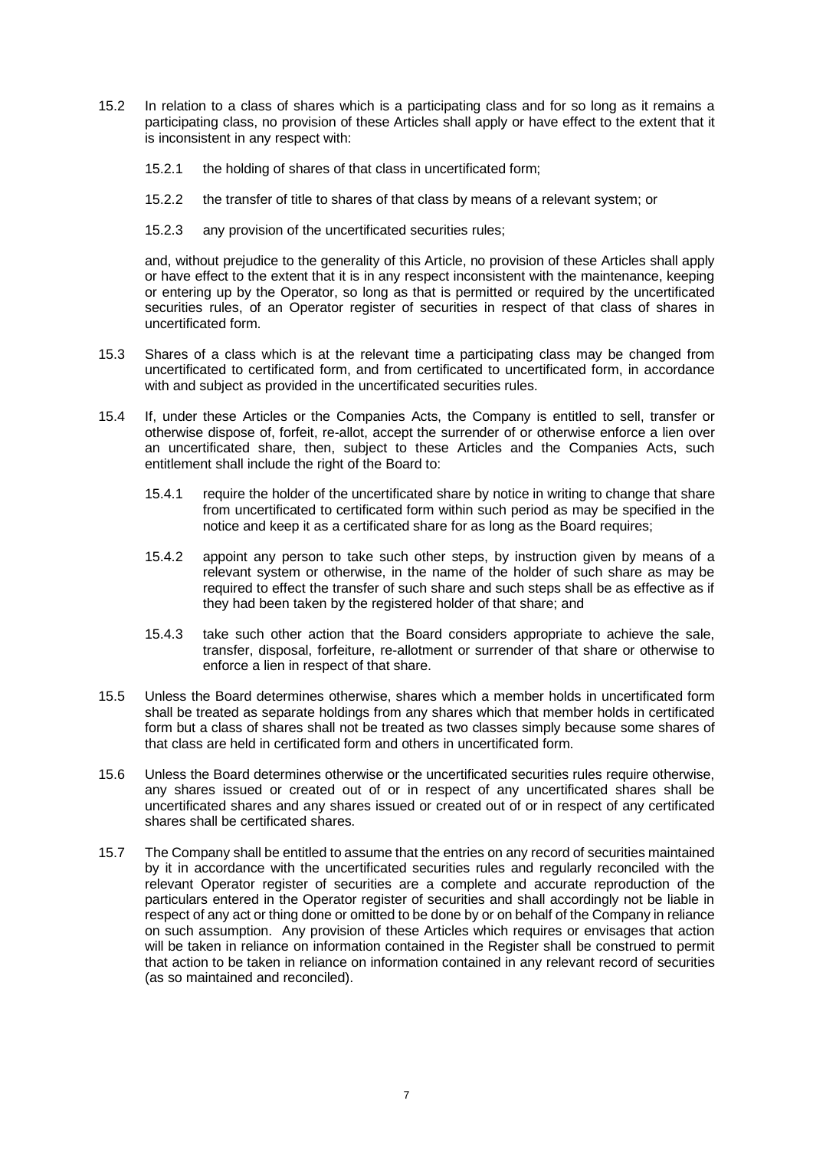- 15.2 In relation to a class of shares which is a participating class and for so long as it remains a participating class, no provision of these Articles shall apply or have effect to the extent that it is inconsistent in any respect with:
	- 15.2.1 the holding of shares of that class in uncertificated form;
	- 15.2.2 the transfer of title to shares of that class by means of a relevant system; or
	- 15.2.3 any provision of the uncertificated securities rules;

and, without prejudice to the generality of this Article, no provision of these Articles shall apply or have effect to the extent that it is in any respect inconsistent with the maintenance, keeping or entering up by the Operator, so long as that is permitted or required by the uncertificated securities rules, of an Operator register of securities in respect of that class of shares in uncertificated form.

- 15.3 Shares of a class which is at the relevant time a participating class may be changed from uncertificated to certificated form, and from certificated to uncertificated form, in accordance with and subject as provided in the uncertificated securities rules.
- 15.4 If, under these Articles or the Companies Acts, the Company is entitled to sell, transfer or otherwise dispose of, forfeit, re-allot, accept the surrender of or otherwise enforce a lien over an uncertificated share, then, subject to these Articles and the Companies Acts, such entitlement shall include the right of the Board to:
	- 15.4.1 require the holder of the uncertificated share by notice in writing to change that share from uncertificated to certificated form within such period as may be specified in the notice and keep it as a certificated share for as long as the Board requires;
	- 15.4.2 appoint any person to take such other steps, by instruction given by means of a relevant system or otherwise, in the name of the holder of such share as may be required to effect the transfer of such share and such steps shall be as effective as if they had been taken by the registered holder of that share; and
	- 15.4.3 take such other action that the Board considers appropriate to achieve the sale, transfer, disposal, forfeiture, re-allotment or surrender of that share or otherwise to enforce a lien in respect of that share.
- 15.5 Unless the Board determines otherwise, shares which a member holds in uncertificated form shall be treated as separate holdings from any shares which that member holds in certificated form but a class of shares shall not be treated as two classes simply because some shares of that class are held in certificated form and others in uncertificated form.
- 15.6 Unless the Board determines otherwise or the uncertificated securities rules require otherwise, any shares issued or created out of or in respect of any uncertificated shares shall be uncertificated shares and any shares issued or created out of or in respect of any certificated shares shall be certificated shares.
- 15.7 The Company shall be entitled to assume that the entries on any record of securities maintained by it in accordance with the uncertificated securities rules and regularly reconciled with the relevant Operator register of securities are a complete and accurate reproduction of the particulars entered in the Operator register of securities and shall accordingly not be liable in respect of any act or thing done or omitted to be done by or on behalf of the Company in reliance on such assumption. Any provision of these Articles which requires or envisages that action will be taken in reliance on information contained in the Register shall be construed to permit that action to be taken in reliance on information contained in any relevant record of securities (as so maintained and reconciled).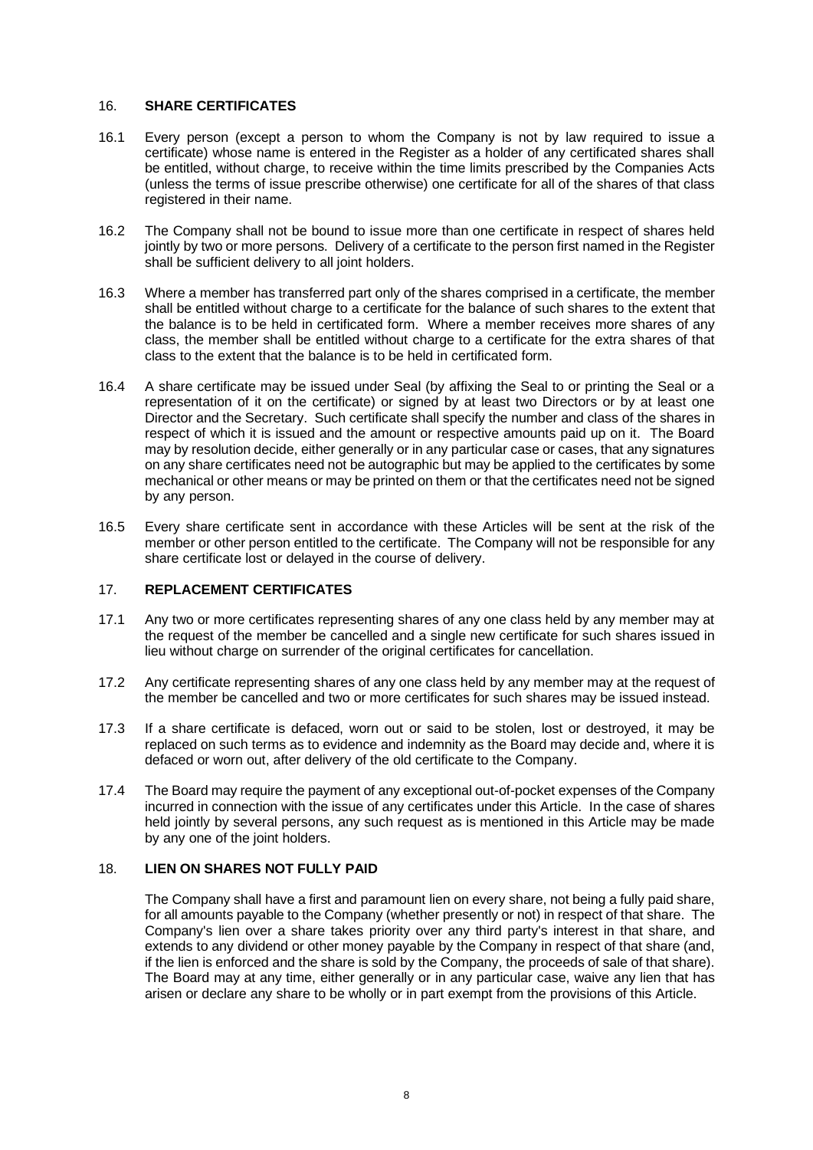#### <span id="page-12-0"></span>16. **SHARE CERTIFICATES**

- 16.1 Every person (except a person to whom the Company is not by law required to issue a certificate) whose name is entered in the Register as a holder of any certificated shares shall be entitled, without charge, to receive within the time limits prescribed by the Companies Acts (unless the terms of issue prescribe otherwise) one certificate for all of the shares of that class registered in their name.
- 16.2 The Company shall not be bound to issue more than one certificate in respect of shares held jointly by two or more persons. Delivery of a certificate to the person first named in the Register shall be sufficient delivery to all joint holders.
- 16.3 Where a member has transferred part only of the shares comprised in a certificate, the member shall be entitled without charge to a certificate for the balance of such shares to the extent that the balance is to be held in certificated form. Where a member receives more shares of any class, the member shall be entitled without charge to a certificate for the extra shares of that class to the extent that the balance is to be held in certificated form.
- 16.4 A share certificate may be issued under Seal (by affixing the Seal to or printing the Seal or a representation of it on the certificate) or signed by at least two Directors or by at least one Director and the Secretary. Such certificate shall specify the number and class of the shares in respect of which it is issued and the amount or respective amounts paid up on it. The Board may by resolution decide, either generally or in any particular case or cases, that any signatures on any share certificates need not be autographic but may be applied to the certificates by some mechanical or other means or may be printed on them or that the certificates need not be signed by any person.
- 16.5 Every share certificate sent in accordance with these Articles will be sent at the risk of the member or other person entitled to the certificate. The Company will not be responsible for any share certificate lost or delayed in the course of delivery.

# <span id="page-12-1"></span>17. **REPLACEMENT CERTIFICATES**

- 17.1 Any two or more certificates representing shares of any one class held by any member may at the request of the member be cancelled and a single new certificate for such shares issued in lieu without charge on surrender of the original certificates for cancellation.
- 17.2 Any certificate representing shares of any one class held by any member may at the request of the member be cancelled and two or more certificates for such shares may be issued instead.
- 17.3 If a share certificate is defaced, worn out or said to be stolen, lost or destroyed, it may be replaced on such terms as to evidence and indemnity as the Board may decide and, where it is defaced or worn out, after delivery of the old certificate to the Company.
- 17.4 The Board may require the payment of any exceptional out-of-pocket expenses of the Company incurred in connection with the issue of any certificates under this Article. In the case of shares held jointly by several persons, any such request as is mentioned in this Article may be made by any one of the joint holders.

### <span id="page-12-2"></span>18. **LIEN ON SHARES NOT FULLY PAID**

<span id="page-12-3"></span>The Company shall have a first and paramount lien on every share, not being a fully paid share, for all amounts payable to the Company (whether presently or not) in respect of that share. The Company's lien over a share takes priority over any third party's interest in that share, and extends to any dividend or other money payable by the Company in respect of that share (and, if the lien is enforced and the share is sold by the Company, the proceeds of sale of that share). The Board may at any time, either generally or in any particular case, waive any lien that has arisen or declare any share to be wholly or in part exempt from the provisions of this Article.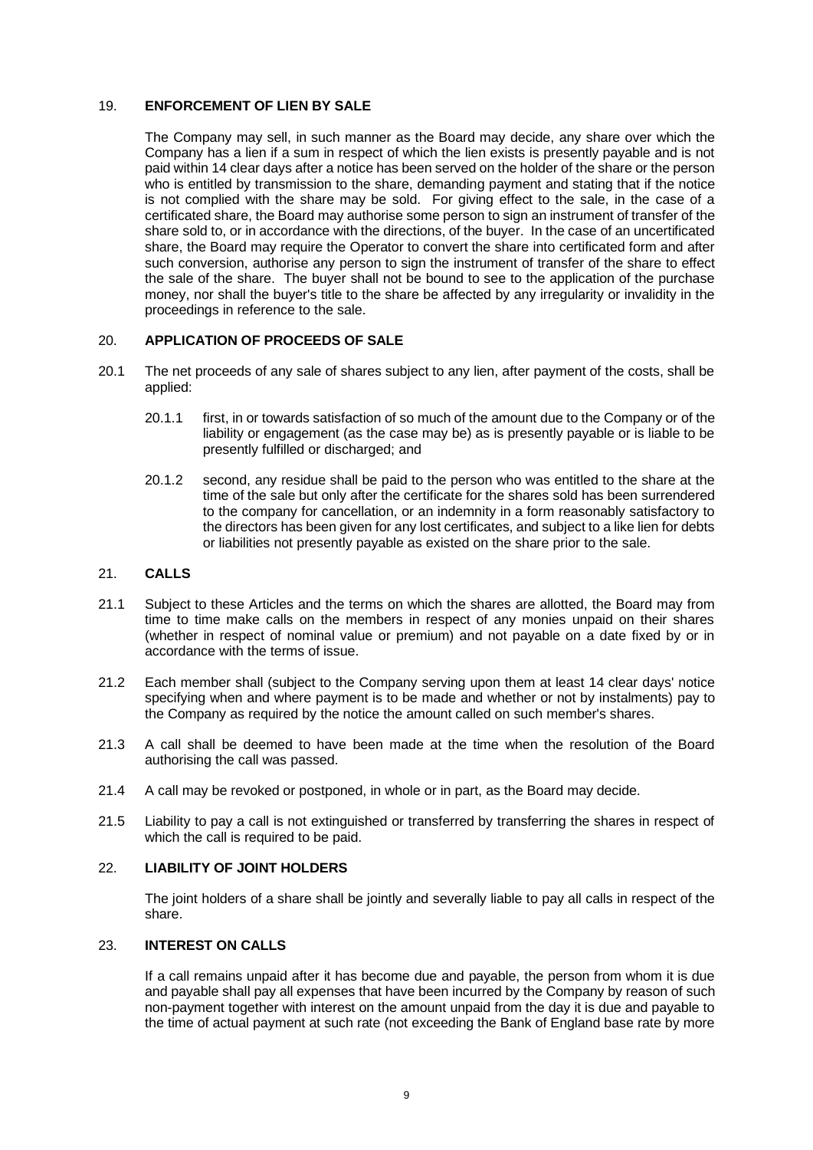### <span id="page-13-0"></span>19. **ENFORCEMENT OF LIEN BY SALE**

The Company may sell, in such manner as the Board may decide, any share over which the Company has a lien if a sum in respect of which the lien exists is presently payable and is not paid within 14 clear days after a notice has been served on the holder of the share or the person who is entitled by transmission to the share, demanding payment and stating that if the notice is not complied with the share may be sold. For giving effect to the sale, in the case of a certificated share, the Board may authorise some person to sign an instrument of transfer of the share sold to, or in accordance with the directions, of the buyer. In the case of an uncertificated share, the Board may require the Operator to convert the share into certificated form and after such conversion, authorise any person to sign the instrument of transfer of the share to effect the sale of the share. The buyer shall not be bound to see to the application of the purchase money, nor shall the buyer's title to the share be affected by any irregularity or invalidity in the proceedings in reference to the sale.

### <span id="page-13-1"></span>20. **APPLICATION OF PROCEEDS OF SALE**

- 20.1 The net proceeds of any sale of shares subject to any lien, after payment of the costs, shall be applied:
	- 20.1.1 first, in or towards satisfaction of so much of the amount due to the Company or of the liability or engagement (as the case may be) as is presently payable or is liable to be presently fulfilled or discharged; and
	- 20.1.2 second, any residue shall be paid to the person who was entitled to the share at the time of the sale but only after the certificate for the shares sold has been surrendered to the company for cancellation, or an indemnity in a form reasonably satisfactory to the directors has been given for any lost certificates, and subject to a like lien for debts or liabilities not presently payable as existed on the share prior to the sale.

# <span id="page-13-2"></span>21. **CALLS**

- 21.1 Subject to these Articles and the terms on which the shares are allotted, the Board may from time to time make calls on the members in respect of any monies unpaid on their shares (whether in respect of nominal value or premium) and not payable on a date fixed by or in accordance with the terms of issue.
- 21.2 Each member shall (subject to the Company serving upon them at least 14 clear days' notice specifying when and where payment is to be made and whether or not by instalments) pay to the Company as required by the notice the amount called on such member's shares.
- 21.3 A call shall be deemed to have been made at the time when the resolution of the Board authorising the call was passed.
- 21.4 A call may be revoked or postponed, in whole or in part, as the Board may decide.
- 21.5 Liability to pay a call is not extinguished or transferred by transferring the shares in respect of which the call is required to be paid.

### <span id="page-13-3"></span>22. **LIABILITY OF JOINT HOLDERS**

The joint holders of a share shall be jointly and severally liable to pay all calls in respect of the share.

# <span id="page-13-4"></span>23. **INTEREST ON CALLS**

If a call remains unpaid after it has become due and payable, the person from whom it is due and payable shall pay all expenses that have been incurred by the Company by reason of such non-payment together with interest on the amount unpaid from the day it is due and payable to the time of actual payment at such rate (not exceeding the Bank of England base rate by more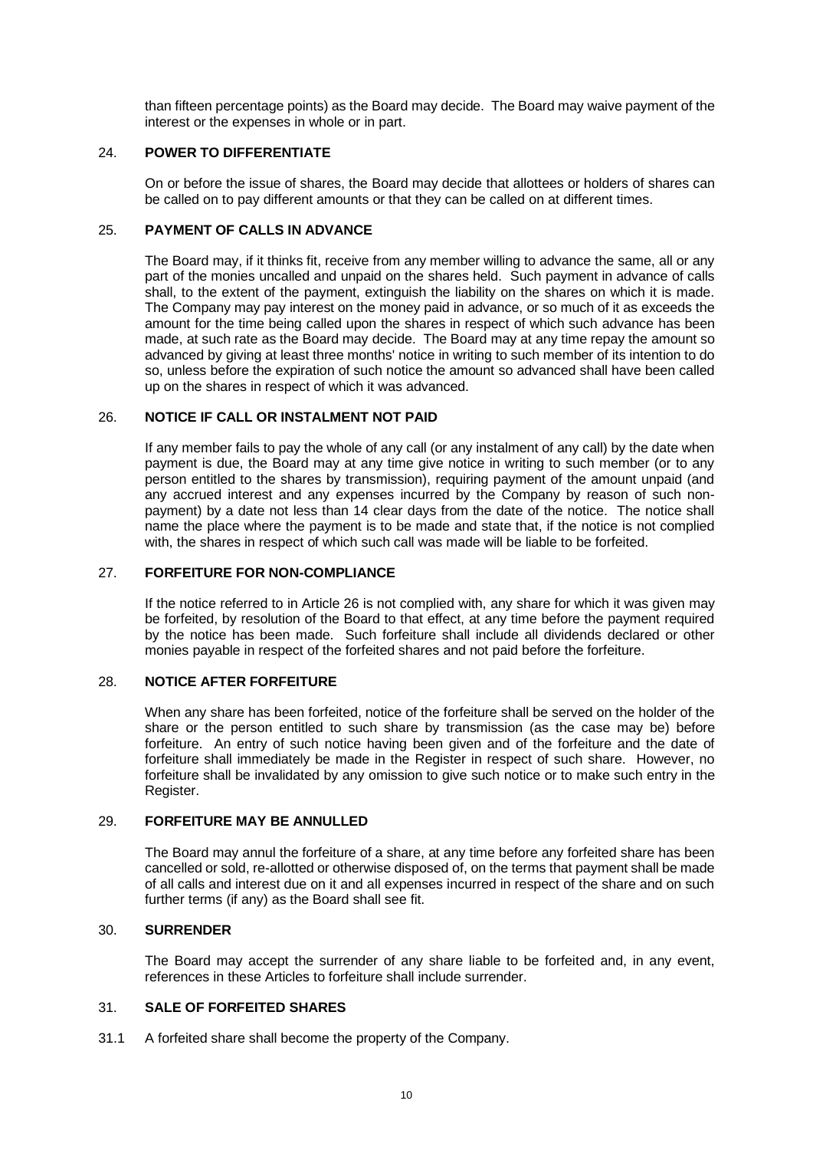than fifteen percentage points) as the Board may decide. The Board may waive payment of the interest or the expenses in whole or in part.

#### <span id="page-14-0"></span>24. **POWER TO DIFFERENTIATE**

On or before the issue of shares, the Board may decide that allottees or holders of shares can be called on to pay different amounts or that they can be called on at different times.

## <span id="page-14-1"></span>25. **PAYMENT OF CALLS IN ADVANCE**

The Board may, if it thinks fit, receive from any member willing to advance the same, all or any part of the monies uncalled and unpaid on the shares held. Such payment in advance of calls shall, to the extent of the payment, extinguish the liability on the shares on which it is made. The Company may pay interest on the money paid in advance, or so much of it as exceeds the amount for the time being called upon the shares in respect of which such advance has been made, at such rate as the Board may decide. The Board may at any time repay the amount so advanced by giving at least three months' notice in writing to such member of its intention to do so, unless before the expiration of such notice the amount so advanced shall have been called up on the shares in respect of which it was advanced.

### <span id="page-14-2"></span>26. **NOTICE IF CALL OR INSTALMENT NOT PAID**

If any member fails to pay the whole of any call (or any instalment of any call) by the date when payment is due, the Board may at any time give notice in writing to such member (or to any person entitled to the shares by transmission), requiring payment of the amount unpaid (and any accrued interest and any expenses incurred by the Company by reason of such nonpayment) by a date not less than 14 clear days from the date of the notice. The notice shall name the place where the payment is to be made and state that, if the notice is not complied with, the shares in respect of which such call was made will be liable to be forfeited.

#### <span id="page-14-3"></span>27. **FORFEITURE FOR NON-COMPLIANCE**

If the notice referred to in Article [26](#page-14-2) is not complied with, any share for which it was given may be forfeited, by resolution of the Board to that effect, at any time before the payment required by the notice has been made. Such forfeiture shall include all dividends declared or other monies payable in respect of the forfeited shares and not paid before the forfeiture.

### <span id="page-14-4"></span>28. **NOTICE AFTER FORFEITURE**

When any share has been forfeited, notice of the forfeiture shall be served on the holder of the share or the person entitled to such share by transmission (as the case may be) before forfeiture. An entry of such notice having been given and of the forfeiture and the date of forfeiture shall immediately be made in the Register in respect of such share. However, no forfeiture shall be invalidated by any omission to give such notice or to make such entry in the Register.

### <span id="page-14-5"></span>29. **FORFEITURE MAY BE ANNULLED**

The Board may annul the forfeiture of a share, at any time before any forfeited share has been cancelled or sold, re-allotted or otherwise disposed of, on the terms that payment shall be made of all calls and interest due on it and all expenses incurred in respect of the share and on such further terms (if any) as the Board shall see fit.

#### <span id="page-14-6"></span>30. **SURRENDER**

The Board may accept the surrender of any share liable to be forfeited and, in any event, references in these Articles to forfeiture shall include surrender.

#### <span id="page-14-7"></span>31. **SALE OF FORFEITED SHARES**

31.1 A forfeited share shall become the property of the Company.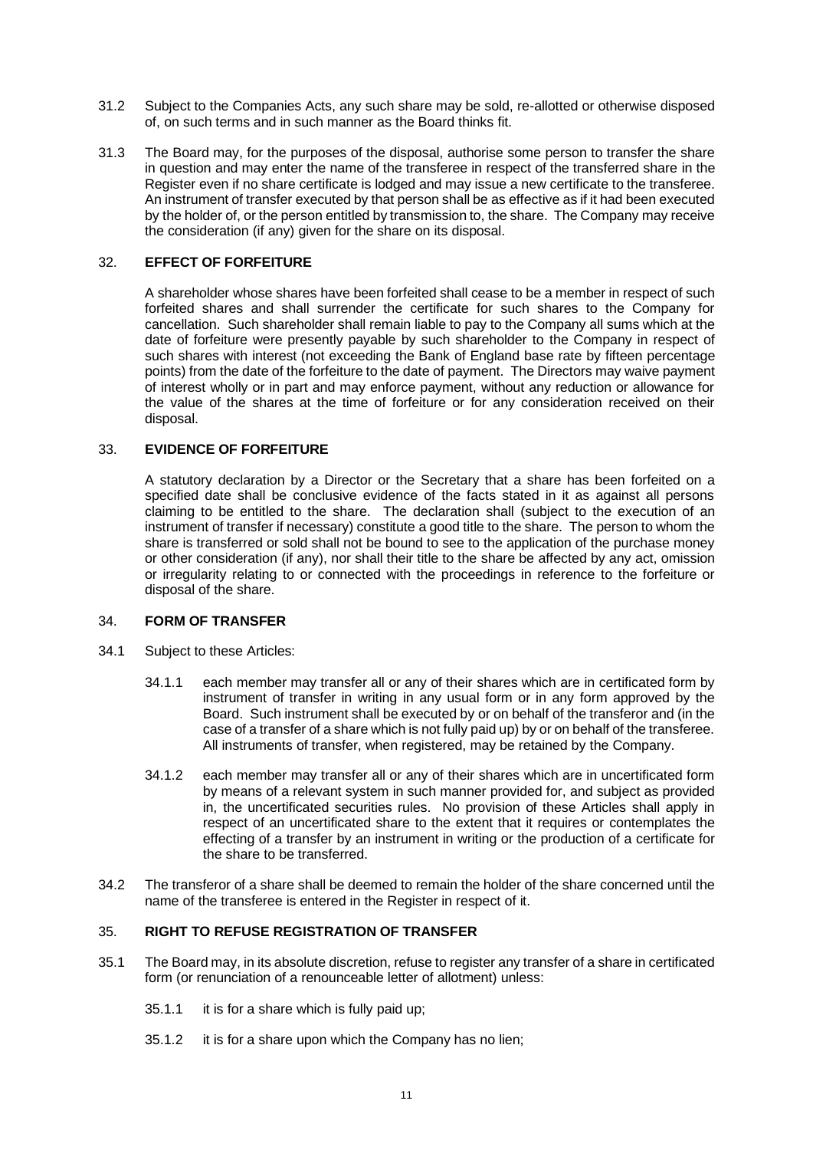- 31.2 Subject to the Companies Acts, any such share may be sold, re-allotted or otherwise disposed of, on such terms and in such manner as the Board thinks fit.
- 31.3 The Board may, for the purposes of the disposal, authorise some person to transfer the share in question and may enter the name of the transferee in respect of the transferred share in the Register even if no share certificate is lodged and may issue a new certificate to the transferee. An instrument of transfer executed by that person shall be as effective as if it had been executed by the holder of, or the person entitled by transmission to, the share. The Company may receive the consideration (if any) given for the share on its disposal.

# <span id="page-15-0"></span>32. **EFFECT OF FORFEITURE**

A shareholder whose shares have been forfeited shall cease to be a member in respect of such forfeited shares and shall surrender the certificate for such shares to the Company for cancellation. Such shareholder shall remain liable to pay to the Company all sums which at the date of forfeiture were presently payable by such shareholder to the Company in respect of such shares with interest (not exceeding the Bank of England base rate by fifteen percentage points) from the date of the forfeiture to the date of payment. The Directors may waive payment of interest wholly or in part and may enforce payment, without any reduction or allowance for the value of the shares at the time of forfeiture or for any consideration received on their disposal.

## <span id="page-15-1"></span>33. **EVIDENCE OF FORFEITURE**

A statutory declaration by a Director or the Secretary that a share has been forfeited on a specified date shall be conclusive evidence of the facts stated in it as against all persons claiming to be entitled to the share. The declaration shall (subject to the execution of an instrument of transfer if necessary) constitute a good title to the share. The person to whom the share is transferred or sold shall not be bound to see to the application of the purchase money or other consideration (if any), nor shall their title to the share be affected by any act, omission or irregularity relating to or connected with the proceedings in reference to the forfeiture or disposal of the share.

# <span id="page-15-2"></span>34. **FORM OF TRANSFER**

- 34.1 Subject to these Articles:
	- 34.1.1 each member may transfer all or any of their shares which are in certificated form by instrument of transfer in writing in any usual form or in any form approved by the Board. Such instrument shall be executed by or on behalf of the transferor and (in the case of a transfer of a share which is not fully paid up) by or on behalf of the transferee. All instruments of transfer, when registered, may be retained by the Company.
	- 34.1.2 each member may transfer all or any of their shares which are in uncertificated form by means of a relevant system in such manner provided for, and subject as provided in, the uncertificated securities rules. No provision of these Articles shall apply in respect of an uncertificated share to the extent that it requires or contemplates the effecting of a transfer by an instrument in writing or the production of a certificate for the share to be transferred.
- 34.2 The transferor of a share shall be deemed to remain the holder of the share concerned until the name of the transferee is entered in the Register in respect of it.

#### <span id="page-15-3"></span>35. **RIGHT TO REFUSE REGISTRATION OF TRANSFER**

- 35.1 The Board may, in its absolute discretion, refuse to register any transfer of a share in certificated form (or renunciation of a renounceable letter of allotment) unless:
	- 35.1.1 it is for a share which is fully paid up;
	- 35.1.2 it is for a share upon which the Company has no lien;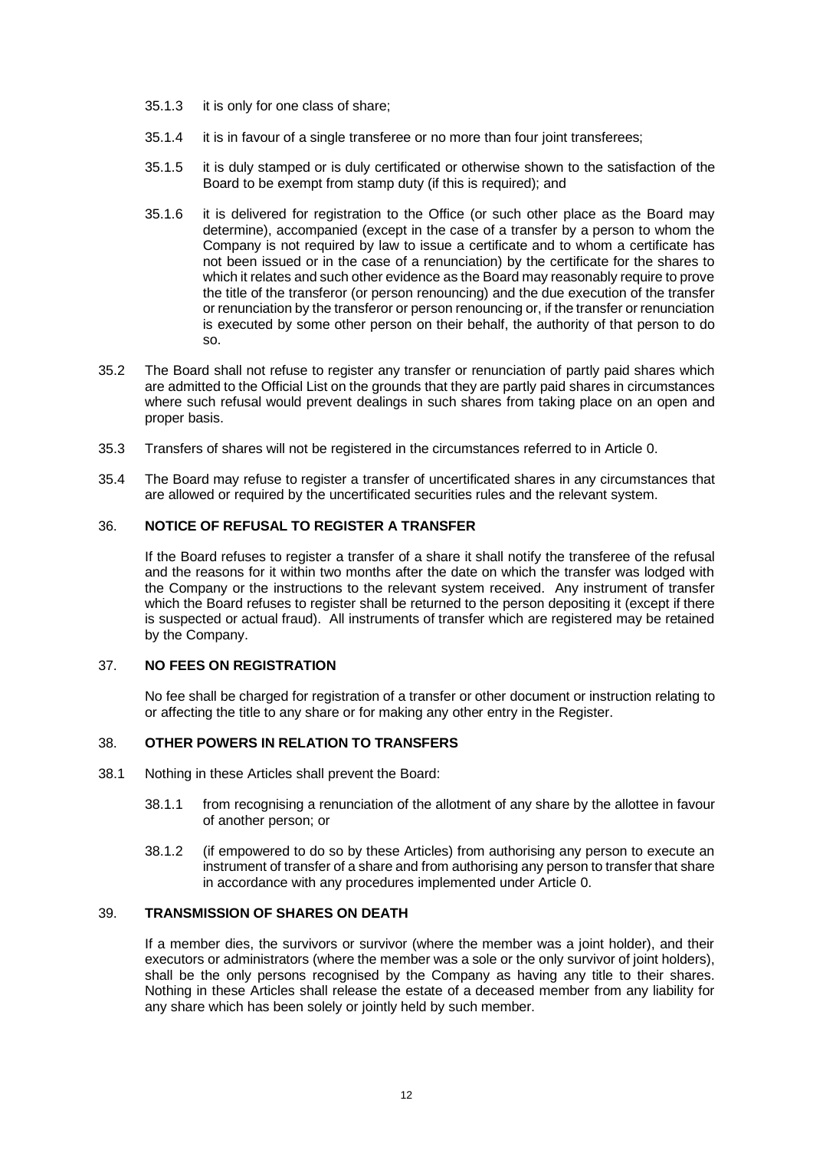- 35.1.3 it is only for one class of share;
- 35.1.4 it is in favour of a single transferee or no more than four joint transferees;
- 35.1.5 it is duly stamped or is duly certificated or otherwise shown to the satisfaction of the Board to be exempt from stamp duty (if this is required); and
- 35.1.6 it is delivered for registration to the Office (or such other place as the Board may determine), accompanied (except in the case of a transfer by a person to whom the Company is not required by law to issue a certificate and to whom a certificate has not been issued or in the case of a renunciation) by the certificate for the shares to which it relates and such other evidence as the Board may reasonably require to prove the title of the transferor (or person renouncing) and the due execution of the transfer or renunciation by the transferor or person renouncing or, if the transfer or renunciation is executed by some other person on their behalf, the authority of that person to do so.
- 35.2 The Board shall not refuse to register any transfer or renunciation of partly paid shares which are admitted to the Official List on the grounds that they are partly paid shares in circumstances where such refusal would prevent dealings in such shares from taking place on an open and proper basis.
- 35.3 Transfers of shares will not be registered in the circumstances referred to in Article [0.](#page-29-2)
- 35.4 The Board may refuse to register a transfer of uncertificated shares in any circumstances that are allowed or required by the uncertificated securities rules and the relevant system.

### <span id="page-16-0"></span>36. **NOTICE OF REFUSAL TO REGISTER A TRANSFER**

If the Board refuses to register a transfer of a share it shall notify the transferee of the refusal and the reasons for it within two months after the date on which the transfer was lodged with the Company or the instructions to the relevant system received. Any instrument of transfer which the Board refuses to register shall be returned to the person depositing it (except if there is suspected or actual fraud). All instruments of transfer which are registered may be retained by the Company.

# <span id="page-16-1"></span>37. **NO FEES ON REGISTRATION**

No fee shall be charged for registration of a transfer or other document or instruction relating to or affecting the title to any share or for making any other entry in the Register.

#### <span id="page-16-2"></span>38. **OTHER POWERS IN RELATION TO TRANSFERS**

- 38.1 Nothing in these Articles shall prevent the Board:
	- 38.1.1 from recognising a renunciation of the allotment of any share by the allottee in favour of another person; or
	- 38.1.2 (if empowered to do so by these Articles) from authorising any person to execute an instrument of transfer of a share and from authorising any person to transfer that share in accordance with any procedures implemented under Article [0.](#page-12-3)

#### <span id="page-16-3"></span>39. **TRANSMISSION OF SHARES ON DEATH**

If a member dies, the survivors or survivor (where the member was a joint holder), and their executors or administrators (where the member was a sole or the only survivor of joint holders), shall be the only persons recognised by the Company as having any title to their shares. Nothing in these Articles shall release the estate of a deceased member from any liability for any share which has been solely or jointly held by such member.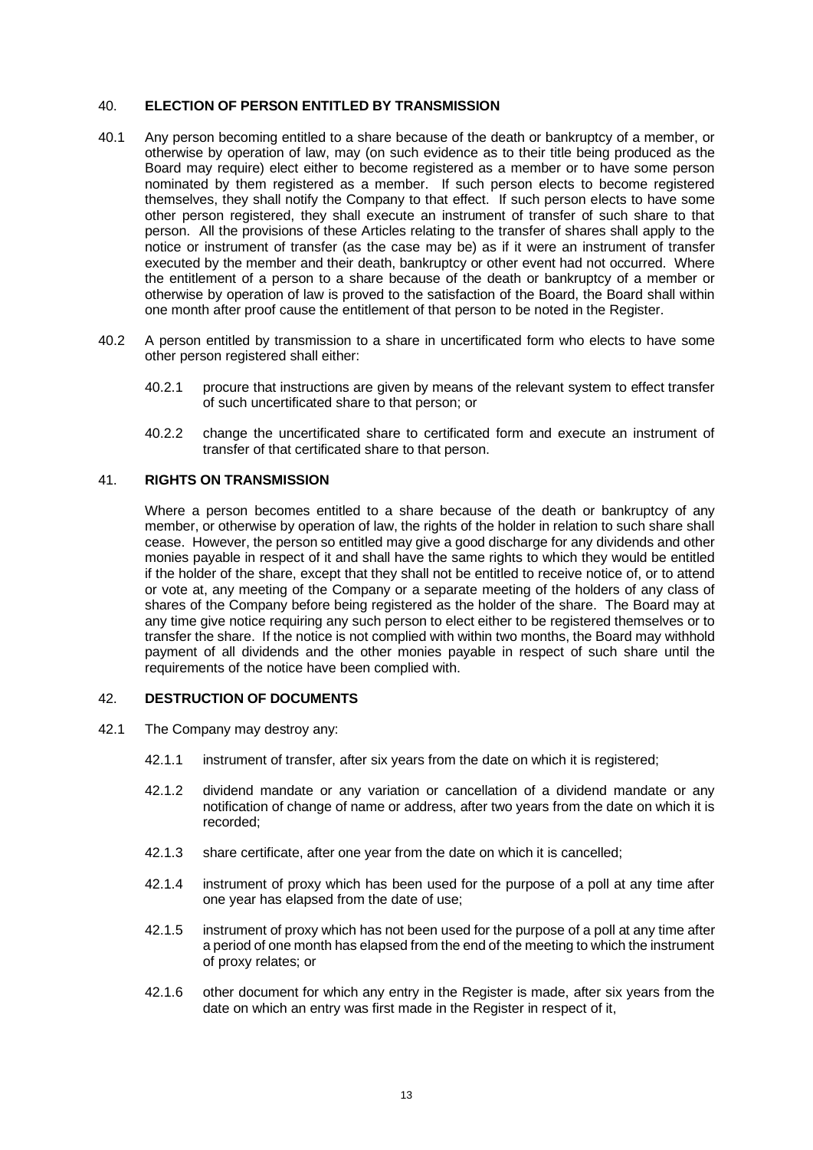### <span id="page-17-0"></span>40. **ELECTION OF PERSON ENTITLED BY TRANSMISSION**

- 40.1 Any person becoming entitled to a share because of the death or bankruptcy of a member, or otherwise by operation of law, may (on such evidence as to their title being produced as the Board may require) elect either to become registered as a member or to have some person nominated by them registered as a member. If such person elects to become registered themselves, they shall notify the Company to that effect. If such person elects to have some other person registered, they shall execute an instrument of transfer of such share to that person. All the provisions of these Articles relating to the transfer of shares shall apply to the notice or instrument of transfer (as the case may be) as if it were an instrument of transfer executed by the member and their death, bankruptcy or other event had not occurred. Where the entitlement of a person to a share because of the death or bankruptcy of a member or otherwise by operation of law is proved to the satisfaction of the Board, the Board shall within one month after proof cause the entitlement of that person to be noted in the Register.
- 40.2 A person entitled by transmission to a share in uncertificated form who elects to have some other person registered shall either:
	- 40.2.1 procure that instructions are given by means of the relevant system to effect transfer of such uncertificated share to that person; or
	- 40.2.2 change the uncertificated share to certificated form and execute an instrument of transfer of that certificated share to that person.

#### <span id="page-17-1"></span>41. **RIGHTS ON TRANSMISSION**

Where a person becomes entitled to a share because of the death or bankruptcy of any member, or otherwise by operation of law, the rights of the holder in relation to such share shall cease. However, the person so entitled may give a good discharge for any dividends and other monies payable in respect of it and shall have the same rights to which they would be entitled if the holder of the share, except that they shall not be entitled to receive notice of, or to attend or vote at, any meeting of the Company or a separate meeting of the holders of any class of shares of the Company before being registered as the holder of the share. The Board may at any time give notice requiring any such person to elect either to be registered themselves or to transfer the share. If the notice is not complied with within two months, the Board may withhold payment of all dividends and the other monies payable in respect of such share until the requirements of the notice have been complied with.

### <span id="page-17-2"></span>42. **DESTRUCTION OF DOCUMENTS**

- 42.1 The Company may destroy any:
	- 42.1.1 instrument of transfer, after six years from the date on which it is registered;
	- 42.1.2 dividend mandate or any variation or cancellation of a dividend mandate or any notification of change of name or address, after two years from the date on which it is recorded;
	- 42.1.3 share certificate, after one year from the date on which it is cancelled;
	- 42.1.4 instrument of proxy which has been used for the purpose of a poll at any time after one year has elapsed from the date of use;
	- 42.1.5 instrument of proxy which has not been used for the purpose of a poll at any time after a period of one month has elapsed from the end of the meeting to which the instrument of proxy relates; or
	- 42.1.6 other document for which any entry in the Register is made, after six years from the date on which an entry was first made in the Register in respect of it,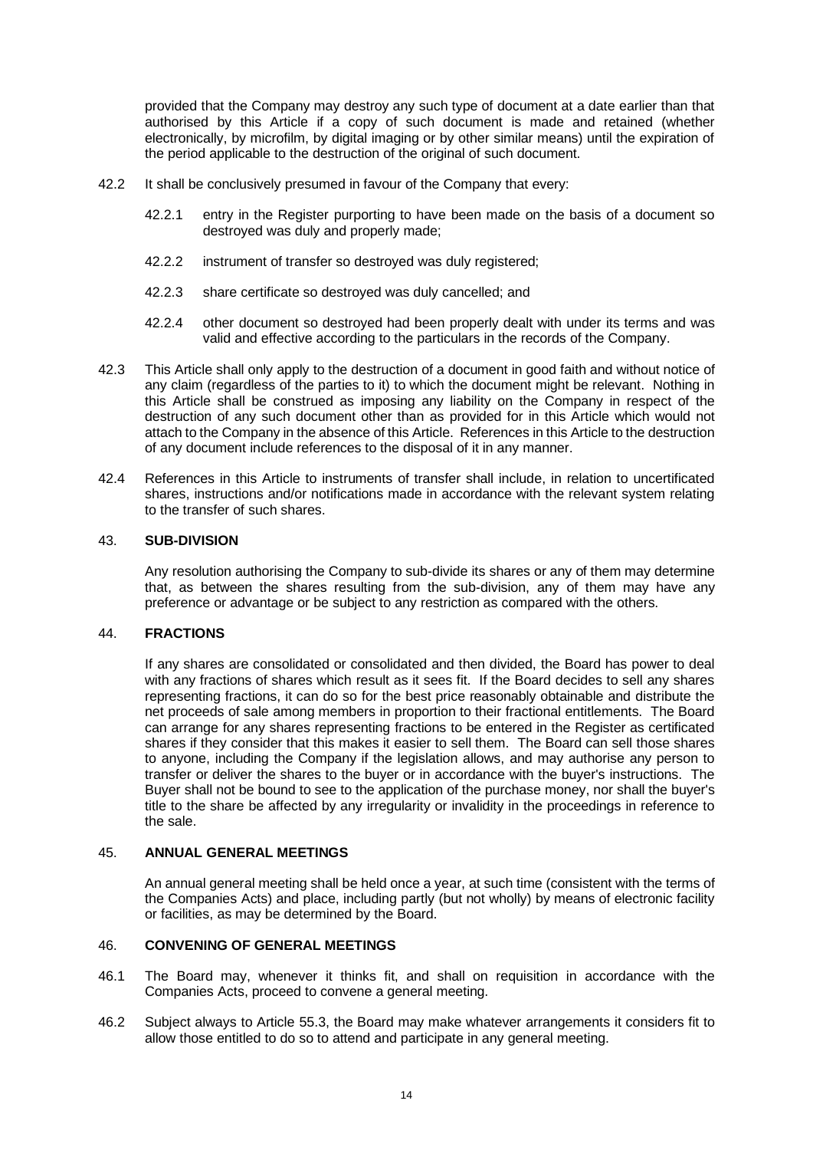provided that the Company may destroy any such type of document at a date earlier than that authorised by this Article if a copy of such document is made and retained (whether electronically, by microfilm, by digital imaging or by other similar means) until the expiration of the period applicable to the destruction of the original of such document.

- 42.2 It shall be conclusively presumed in favour of the Company that every:
	- 42.2.1 entry in the Register purporting to have been made on the basis of a document so destroyed was duly and properly made;
	- 42.2.2 instrument of transfer so destroyed was duly registered;
	- 42.2.3 share certificate so destroyed was duly cancelled; and
	- 42.2.4 other document so destroyed had been properly dealt with under its terms and was valid and effective according to the particulars in the records of the Company.
- 42.3 This Article shall only apply to the destruction of a document in good faith and without notice of any claim (regardless of the parties to it) to which the document might be relevant. Nothing in this Article shall be construed as imposing any liability on the Company in respect of the destruction of any such document other than as provided for in this Article which would not attach to the Company in the absence of this Article. References in this Article to the destruction of any document include references to the disposal of it in any manner.
- 42.4 References in this Article to instruments of transfer shall include, in relation to uncertificated shares, instructions and/or notifications made in accordance with the relevant system relating to the transfer of such shares.

#### <span id="page-18-0"></span>43. **SUB-DIVISION**

Any resolution authorising the Company to sub-divide its shares or any of them may determine that, as between the shares resulting from the sub-division, any of them may have any preference or advantage or be subject to any restriction as compared with the others.

#### <span id="page-18-1"></span>44. **FRACTIONS**

If any shares are consolidated or consolidated and then divided, the Board has power to deal with any fractions of shares which result as it sees fit. If the Board decides to sell any shares representing fractions, it can do so for the best price reasonably obtainable and distribute the net proceeds of sale among members in proportion to their fractional entitlements. The Board can arrange for any shares representing fractions to be entered in the Register as certificated shares if they consider that this makes it easier to sell them. The Board can sell those shares to anyone, including the Company if the legislation allows, and may authorise any person to transfer or deliver the shares to the buyer or in accordance with the buyer's instructions. The Buyer shall not be bound to see to the application of the purchase money, nor shall the buyer's title to the share be affected by any irregularity or invalidity in the proceedings in reference to the sale.

### <span id="page-18-2"></span>45. **ANNUAL GENERAL MEETINGS**

An annual general meeting shall be held once a year, at such time (consistent with the terms of the Companies Acts) and place, including partly (but not wholly) by means of electronic facility or facilities, as may be determined by the Board.

#### <span id="page-18-3"></span>46. **CONVENING OF GENERAL MEETINGS**

- 46.1 The Board may, whenever it thinks fit, and shall on requisition in accordance with the Companies Acts, proceed to convene a general meeting.
- 46.2 Subject always to Article [55.3,](#page-22-4) the Board may make whatever arrangements it considers fit to allow those entitled to do so to attend and participate in any general meeting.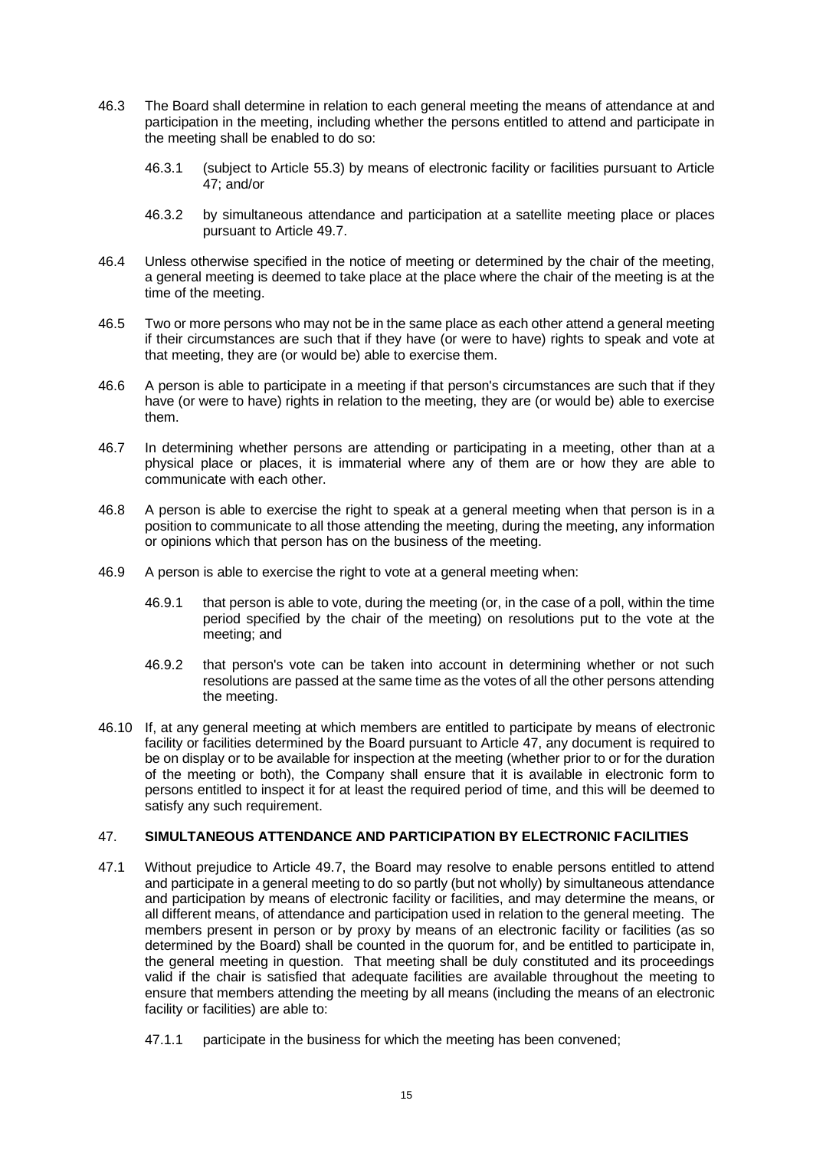- 46.3 The Board shall determine in relation to each general meeting the means of attendance at and participation in the meeting, including whether the persons entitled to attend and participate in the meeting shall be enabled to do so:
	- 46.3.1 (subject to Article [55.3\)](#page-22-4) by means of electronic facility or facilities pursuant to Article [47;](#page-19-0) and/or
	- 46.3.2 by simultaneous attendance and participation at a satellite meeting place or places pursuant to Article [49.7.](#page-20-2)
- 46.4 Unless otherwise specified in the notice of meeting or determined by the chair of the meeting, a general meeting is deemed to take place at the place where the chair of the meeting is at the time of the meeting.
- 46.5 Two or more persons who may not be in the same place as each other attend a general meeting if their circumstances are such that if they have (or were to have) rights to speak and vote at that meeting, they are (or would be) able to exercise them.
- 46.6 A person is able to participate in a meeting if that person's circumstances are such that if they have (or were to have) rights in relation to the meeting, they are (or would be) able to exercise them.
- 46.7 In determining whether persons are attending or participating in a meeting, other than at a physical place or places, it is immaterial where any of them are or how they are able to communicate with each other.
- 46.8 A person is able to exercise the right to speak at a general meeting when that person is in a position to communicate to all those attending the meeting, during the meeting, any information or opinions which that person has on the business of the meeting.
- 46.9 A person is able to exercise the right to vote at a general meeting when:
	- 46.9.1 that person is able to vote, during the meeting (or, in the case of a poll, within the time period specified by the chair of the meeting) on resolutions put to the vote at the meeting; and
	- 46.9.2 that person's vote can be taken into account in determining whether or not such resolutions are passed at the same time as the votes of all the other persons attending the meeting.
- 46.10 If, at any general meeting at which members are entitled to participate by means of electronic facility or facilities determined by the Board pursuant to Article [47,](#page-19-0) any document is required to be on display or to be available for inspection at the meeting (whether prior to or for the duration of the meeting or both), the Company shall ensure that it is available in electronic form to persons entitled to inspect it for at least the required period of time, and this will be deemed to satisfy any such requirement.

# <span id="page-19-0"></span>47. **SIMULTANEOUS ATTENDANCE AND PARTICIPATION BY ELECTRONIC FACILITIES**

- 47.1 Without prejudice to Article [49.7,](#page-20-2) the Board may resolve to enable persons entitled to attend and participate in a general meeting to do so partly (but not wholly) by simultaneous attendance and participation by means of electronic facility or facilities, and may determine the means, or all different means, of attendance and participation used in relation to the general meeting. The members present in person or by proxy by means of an electronic facility or facilities (as so determined by the Board) shall be counted in the quorum for, and be entitled to participate in, the general meeting in question. That meeting shall be duly constituted and its proceedings valid if the chair is satisfied that adequate facilities are available throughout the meeting to ensure that members attending the meeting by all means (including the means of an electronic facility or facilities) are able to:
	- 47.1.1 participate in the business for which the meeting has been convened;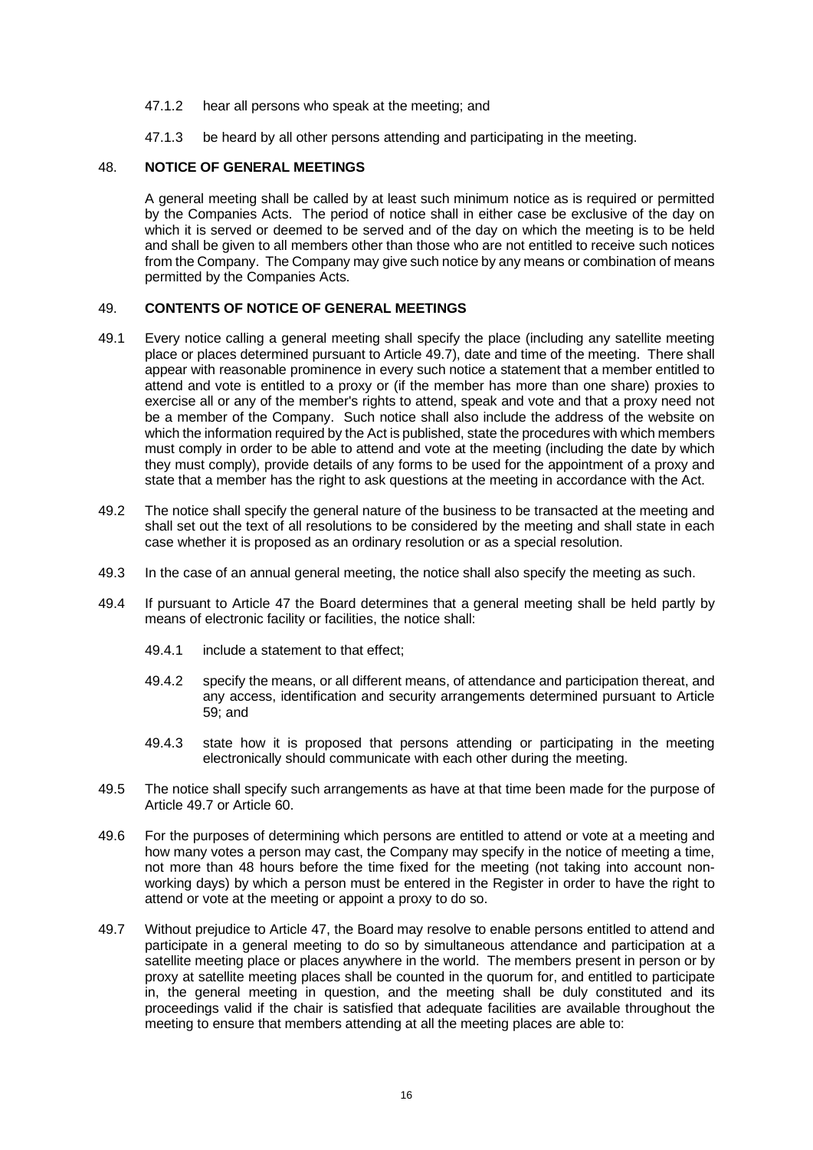- 47.1.2 hear all persons who speak at the meeting; and
- 47.1.3 be heard by all other persons attending and participating in the meeting.

## <span id="page-20-0"></span>48. **NOTICE OF GENERAL MEETINGS**

A general meeting shall be called by at least such minimum notice as is required or permitted by the Companies Acts. The period of notice shall in either case be exclusive of the day on which it is served or deemed to be served and of the day on which the meeting is to be held and shall be given to all members other than those who are not entitled to receive such notices from the Company. The Company may give such notice by any means or combination of means permitted by the Companies Acts.

## <span id="page-20-1"></span>49. **CONTENTS OF NOTICE OF GENERAL MEETINGS**

- 49.1 Every notice calling a general meeting shall specify the place (including any satellite meeting place or places determined pursuant to Articl[e 49.7\)](#page-20-2), date and time of the meeting. There shall appear with reasonable prominence in every such notice a statement that a member entitled to attend and vote is entitled to a proxy or (if the member has more than one share) proxies to exercise all or any of the member's rights to attend, speak and vote and that a proxy need not be a member of the Company. Such notice shall also include the address of the website on which the information required by the Act is published, state the procedures with which members must comply in order to be able to attend and vote at the meeting (including the date by which they must comply), provide details of any forms to be used for the appointment of a proxy and state that a member has the right to ask questions at the meeting in accordance with the Act.
- 49.2 The notice shall specify the general nature of the business to be transacted at the meeting and shall set out the text of all resolutions to be considered by the meeting and shall state in each case whether it is proposed as an ordinary resolution or as a special resolution.
- 49.3 In the case of an annual general meeting, the notice shall also specify the meeting as such.
- 49.4 If pursuant to Article [47](#page-19-0) the Board determines that a general meeting shall be held partly by means of electronic facility or facilities, the notice shall:
	- 49.4.1 include a statement to that effect;
	- 49.4.2 specify the means, or all different means, of attendance and participation thereat, and any access, identification and security arrangements determined pursuant to Article [59;](#page-23-2) and
	- 49.4.3 state how it is proposed that persons attending or participating in the meeting electronically should communicate with each other during the meeting.
- 49.5 The notice shall specify such arrangements as have at that time been made for the purpose of Articl[e 49.7](#page-20-2) or Article [60.](#page-24-0)
- 49.6 For the purposes of determining which persons are entitled to attend or vote at a meeting and how many votes a person may cast, the Company may specify in the notice of meeting a time, not more than 48 hours before the time fixed for the meeting (not taking into account nonworking days) by which a person must be entered in the Register in order to have the right to attend or vote at the meeting or appoint a proxy to do so.
- <span id="page-20-2"></span>49.7 Without prejudice to Article [47,](#page-19-0) the Board may resolve to enable persons entitled to attend and participate in a general meeting to do so by simultaneous attendance and participation at a satellite meeting place or places anywhere in the world. The members present in person or by proxy at satellite meeting places shall be counted in the quorum for, and entitled to participate in, the general meeting in question, and the meeting shall be duly constituted and its proceedings valid if the chair is satisfied that adequate facilities are available throughout the meeting to ensure that members attending at all the meeting places are able to: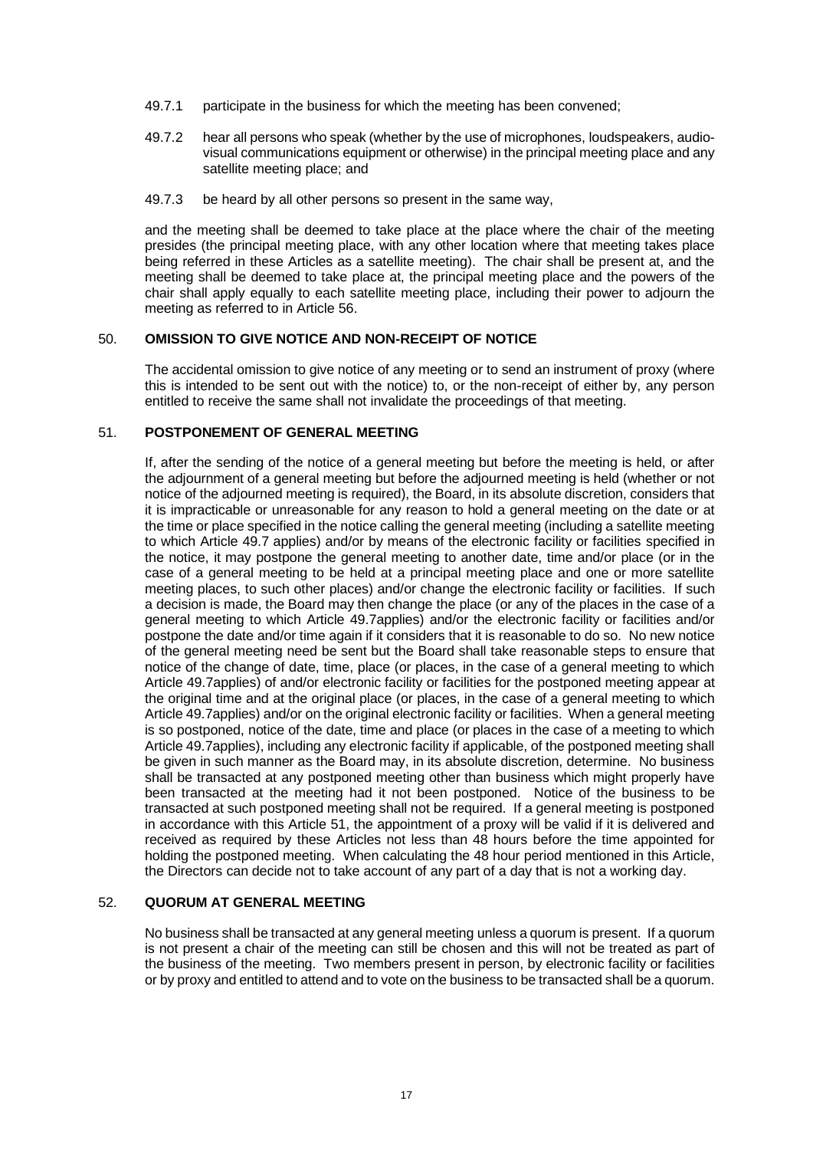- 49.7.1 participate in the business for which the meeting has been convened;
- 49.7.2 hear all persons who speak (whether by the use of microphones, loudspeakers, audiovisual communications equipment or otherwise) in the principal meeting place and any satellite meeting place; and
- 49.7.3 be heard by all other persons so present in the same way,

and the meeting shall be deemed to take place at the place where the chair of the meeting presides (the principal meeting place, with any other location where that meeting takes place being referred in these Articles as a satellite meeting). The chair shall be present at, and the meeting shall be deemed to take place at, the principal meeting place and the powers of the chair shall apply equally to each satellite meeting place, including their power to adjourn the meeting as referred to in Articl[e 56.](#page-22-3)

# <span id="page-21-0"></span>50. **OMISSION TO GIVE NOTICE AND NON-RECEIPT OF NOTICE**

The accidental omission to give notice of any meeting or to send an instrument of proxy (where this is intended to be sent out with the notice) to, or the non-receipt of either by, any person entitled to receive the same shall not invalidate the proceedings of that meeting.

### <span id="page-21-1"></span>51. **POSTPONEMENT OF GENERAL MEETING**

If, after the sending of the notice of a general meeting but before the meeting is held, or after the adjournment of a general meeting but before the adjourned meeting is held (whether or not notice of the adjourned meeting is required), the Board, in its absolute discretion, considers that it is impracticable or unreasonable for any reason to hold a general meeting on the date or at the time or place specified in the notice calling the general meeting (including a satellite meeting to which Article [49.7](#page-20-2) applies) and/or by means of the electronic facility or facilities specified in the notice, it may postpone the general meeting to another date, time and/or place (or in the case of a general meeting to be held at a principal meeting place and one or more satellite meeting places, to such other places) and/or change the electronic facility or facilities. If such a decision is made, the Board may then change the place (or any of the places in the case of a general meeting to which Article [49.7a](#page-20-2)pplies) and/or the electronic facility or facilities and/or postpone the date and/or time again if it considers that it is reasonable to do so. No new notice of the general meeting need be sent but the Board shall take reasonable steps to ensure that notice of the change of date, time, place (or places, in the case of a general meeting to which Articl[e 49.7a](#page-20-2)pplies) of and/or electronic facility or facilities for the postponed meeting appear at the original time and at the original place (or places, in the case of a general meeting to which Articl[e 49.7a](#page-20-2)pplies) and/or on the original electronic facility or facilities. When a general meeting is so postponed, notice of the date, time and place (or places in the case of a meeting to which Articl[e 49.7a](#page-20-2)pplies), including any electronic facility if applicable, of the postponed meeting shall be given in such manner as the Board may, in its absolute discretion, determine. No business shall be transacted at any postponed meeting other than business which might properly have been transacted at the meeting had it not been postponed. Notice of the business to be transacted at such postponed meeting shall not be required. If a general meeting is postponed in accordance with this Article [51,](#page-21-1) the appointment of a proxy will be valid if it is delivered and received as required by these Articles not less than 48 hours before the time appointed for holding the postponed meeting. When calculating the 48 hour period mentioned in this Article, the Directors can decide not to take account of any part of a day that is not a working day.

# <span id="page-21-2"></span>52. **QUORUM AT GENERAL MEETING**

No business shall be transacted at any general meeting unless a quorum is present. If a quorum is not present a chair of the meeting can still be chosen and this will not be treated as part of the business of the meeting. Two members present in person, by electronic facility or facilities or by proxy and entitled to attend and to vote on the business to be transacted shall be a quorum.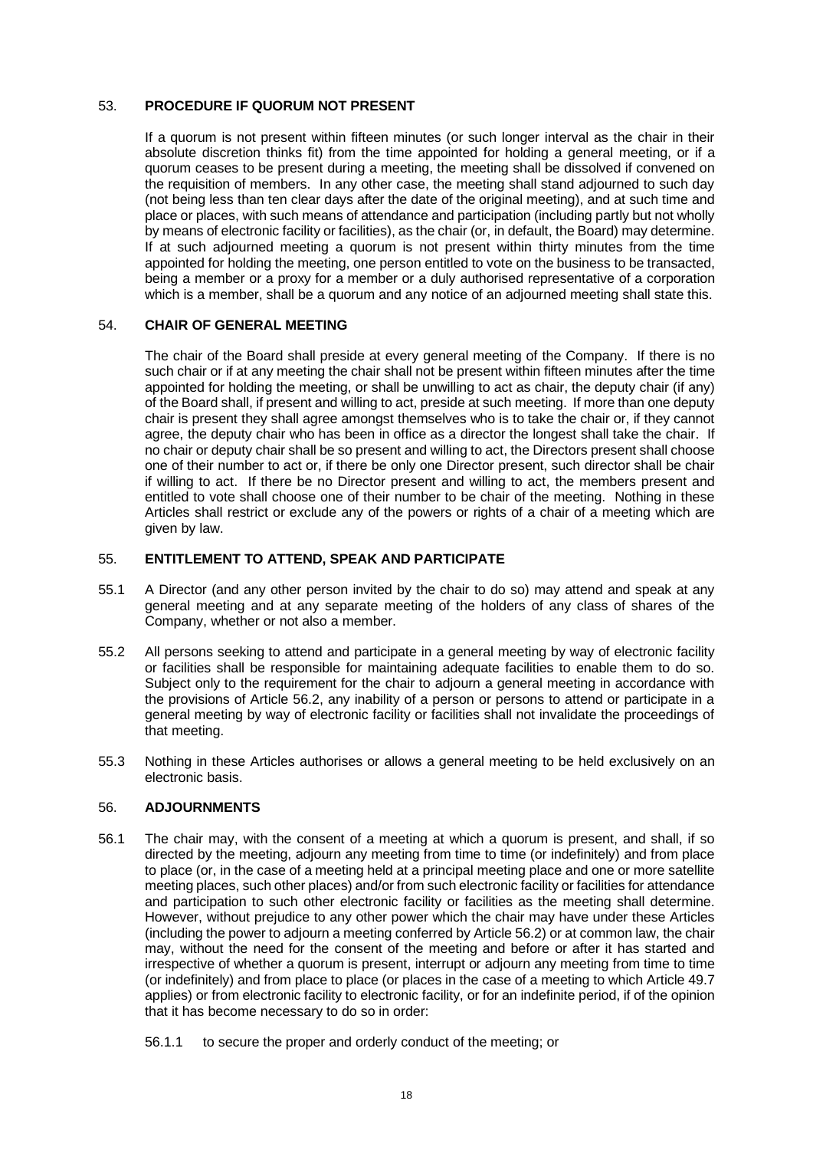### <span id="page-22-0"></span>53. **PROCEDURE IF QUORUM NOT PRESENT**

If a quorum is not present within fifteen minutes (or such longer interval as the chair in their absolute discretion thinks fit) from the time appointed for holding a general meeting, or if a quorum ceases to be present during a meeting, the meeting shall be dissolved if convened on the requisition of members. In any other case, the meeting shall stand adjourned to such day (not being less than ten clear days after the date of the original meeting), and at such time and place or places, with such means of attendance and participation (including partly but not wholly by means of electronic facility or facilities), as the chair (or, in default, the Board) may determine. If at such adjourned meeting a quorum is not present within thirty minutes from the time appointed for holding the meeting, one person entitled to vote on the business to be transacted, being a member or a proxy for a member or a duly authorised representative of a corporation which is a member, shall be a quorum and any notice of an adjourned meeting shall state this.

### <span id="page-22-1"></span>54. **CHAIR OF GENERAL MEETING**

The chair of the Board shall preside at every general meeting of the Company. If there is no such chair or if at any meeting the chair shall not be present within fifteen minutes after the time appointed for holding the meeting, or shall be unwilling to act as chair, the deputy chair (if any) of the Board shall, if present and willing to act, preside at such meeting. If more than one deputy chair is present they shall agree amongst themselves who is to take the chair or, if they cannot agree, the deputy chair who has been in office as a director the longest shall take the chair. If no chair or deputy chair shall be so present and willing to act, the Directors present shall choose one of their number to act or, if there be only one Director present, such director shall be chair if willing to act. If there be no Director present and willing to act, the members present and entitled to vote shall choose one of their number to be chair of the meeting. Nothing in these Articles shall restrict or exclude any of the powers or rights of a chair of a meeting which are given by law.

### <span id="page-22-2"></span>55. **ENTITLEMENT TO ATTEND, SPEAK AND PARTICIPATE**

- 55.1 A Director (and any other person invited by the chair to do so) may attend and speak at any general meeting and at any separate meeting of the holders of any class of shares of the Company, whether or not also a member.
- 55.2 All persons seeking to attend and participate in a general meeting by way of electronic facility or facilities shall be responsible for maintaining adequate facilities to enable them to do so. Subject only to the requirement for the chair to adjourn a general meeting in accordance with the provisions of Article [56.2,](#page-23-3) any inability of a person or persons to attend or participate in a general meeting by way of electronic facility or facilities shall not invalidate the proceedings of that meeting.
- <span id="page-22-4"></span>55.3 Nothing in these Articles authorises or allows a general meeting to be held exclusively on an electronic basis.

#### <span id="page-22-3"></span>56. **ADJOURNMENTS**

- 56.1 The chair may, with the consent of a meeting at which a quorum is present, and shall, if so directed by the meeting, adjourn any meeting from time to time (or indefinitely) and from place to place (or, in the case of a meeting held at a principal meeting place and one or more satellite meeting places, such other places) and/or from such electronic facility or facilities for attendance and participation to such other electronic facility or facilities as the meeting shall determine. However, without prejudice to any other power which the chair may have under these Articles (including the power to adjourn a meeting conferred by Articl[e 56.2\)](#page-23-3) or at common law, the chair may, without the need for the consent of the meeting and before or after it has started and irrespective of whether a quorum is present, interrupt or adjourn any meeting from time to time (or indefinitely) and from place to place (or places in the case of a meeting to which Article [49.7](#page-20-2) applies) or from electronic facility to electronic facility, or for an indefinite period, if of the opinion that it has become necessary to do so in order:
	- 56.1.1 to secure the proper and orderly conduct of the meeting; or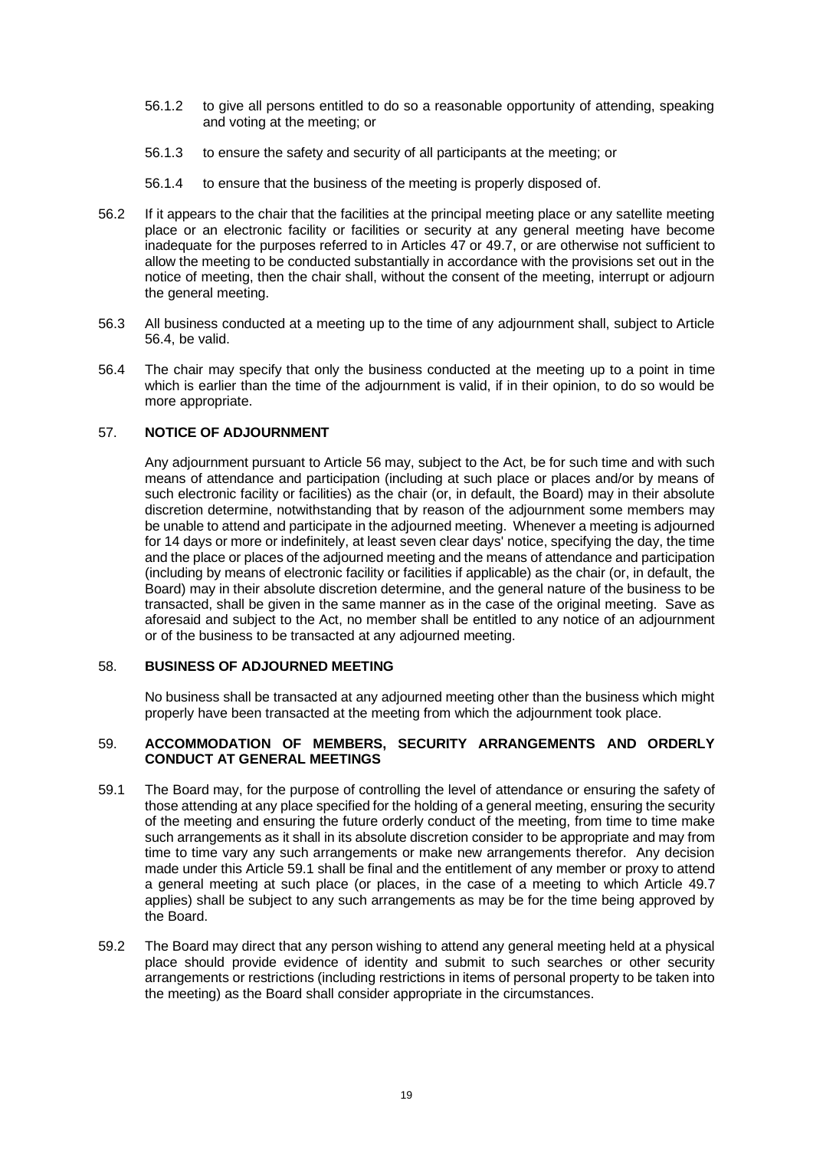- 56.1.2 to give all persons entitled to do so a reasonable opportunity of attending, speaking and voting at the meeting; or
- 56.1.3 to ensure the safety and security of all participants at the meeting; or
- 56.1.4 to ensure that the business of the meeting is properly disposed of.
- <span id="page-23-3"></span>56.2 If it appears to the chair that the facilities at the principal meeting place or any satellite meeting place or an electronic facility or facilities or security at any general meeting have become inadequate for the purposes referred to in Articles [47](#page-19-0) or [49.7,](#page-20-2) or are otherwise not sufficient to allow the meeting to be conducted substantially in accordance with the provisions set out in the notice of meeting, then the chair shall, without the consent of the meeting, interrupt or adjourn the general meeting.
- 56.3 All business conducted at a meeting up to the time of any adjournment shall, subject to Article [56.4,](#page-23-4) be valid.
- <span id="page-23-4"></span>56.4 The chair may specify that only the business conducted at the meeting up to a point in time which is earlier than the time of the adjournment is valid, if in their opinion, to do so would be more appropriate.

### <span id="page-23-0"></span>57. **NOTICE OF ADJOURNMENT**

Any adjournment pursuant to Articl[e 56](#page-22-3) may, subject to the Act, be for such time and with such means of attendance and participation (including at such place or places and/or by means of such electronic facility or facilities) as the chair (or, in default, the Board) may in their absolute discretion determine, notwithstanding that by reason of the adjournment some members may be unable to attend and participate in the adjourned meeting. Whenever a meeting is adjourned for 14 days or more or indefinitely, at least seven clear days' notice, specifying the day, the time and the place or places of the adjourned meeting and the means of attendance and participation (including by means of electronic facility or facilities if applicable) as the chair (or, in default, the Board) may in their absolute discretion determine, and the general nature of the business to be transacted, shall be given in the same manner as in the case of the original meeting. Save as aforesaid and subject to the Act, no member shall be entitled to any notice of an adjournment or of the business to be transacted at any adjourned meeting.

### <span id="page-23-1"></span>58. **BUSINESS OF ADJOURNED MEETING**

No business shall be transacted at any adjourned meeting other than the business which might properly have been transacted at the meeting from which the adjournment took place.

#### <span id="page-23-2"></span>59. **ACCOMMODATION OF MEMBERS, SECURITY ARRANGEMENTS AND ORDERLY CONDUCT AT GENERAL MEETINGS**

- <span id="page-23-5"></span>59.1 The Board may, for the purpose of controlling the level of attendance or ensuring the safety of those attending at any place specified for the holding of a general meeting, ensuring the security of the meeting and ensuring the future orderly conduct of the meeting, from time to time make such arrangements as it shall in its absolute discretion consider to be appropriate and may from time to time vary any such arrangements or make new arrangements therefor. Any decision made under this Article [59.1](#page-23-5) shall be final and the entitlement of any member or proxy to attend a general meeting at such place (or places, in the case of a meeting to which Article [49.7](#page-20-2) applies) shall be subject to any such arrangements as may be for the time being approved by the Board.
- 59.2 The Board may direct that any person wishing to attend any general meeting held at a physical place should provide evidence of identity and submit to such searches or other security arrangements or restrictions (including restrictions in items of personal property to be taken into the meeting) as the Board shall consider appropriate in the circumstances.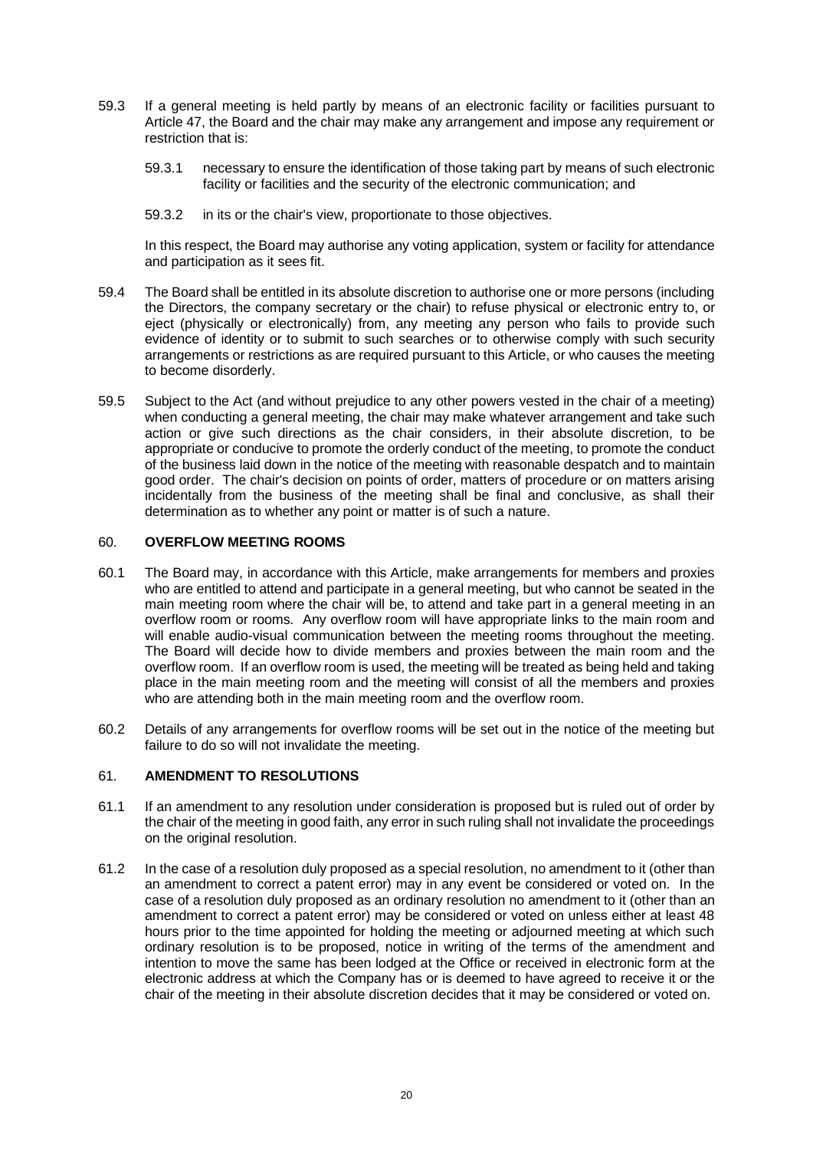- 59.3 If a general meeting is held partly by means of an electronic facility or facilities pursuant to Article [47,](#page-19-0) the Board and the chair may make any arrangement and impose any requirement or restriction that is:
	- 59.3.1 necessary to ensure the identification of those taking part by means of such electronic facility or facilities and the security of the electronic communication; and
	- 59.3.2 in its or the chair's view, proportionate to those objectives.

In this respect, the Board may authorise any voting application, system or facility for attendance and participation as it sees fit.

- 59.4 The Board shall be entitled in its absolute discretion to authorise one or more persons (including the Directors, the company secretary or the chair) to refuse physical or electronic entry to, or eject (physically or electronically) from, any meeting any person who fails to provide such evidence of identity or to submit to such searches or to otherwise comply with such security arrangements or restrictions as are required pursuant to this Article, or who causes the meeting to become disorderly.
- 59.5 Subject to the Act (and without prejudice to any other powers vested in the chair of a meeting) when conducting a general meeting, the chair may make whatever arrangement and take such action or give such directions as the chair considers, in their absolute discretion, to be appropriate or conducive to promote the orderly conduct of the meeting, to promote the conduct of the business laid down in the notice of the meeting with reasonable despatch and to maintain good order. The chair's decision on points of order, matters of procedure or on matters arising incidentally from the business of the meeting shall be final and conclusive, as shall their determination as to whether any point or matter is of such a nature.

### <span id="page-24-0"></span>60. **OVERFLOW MEETING ROOMS**

- 60.1 The Board may, in accordance with this Article, make arrangements for members and proxies who are entitled to attend and participate in a general meeting, but who cannot be seated in the main meeting room where the chair will be, to attend and take part in a general meeting in an overflow room or rooms. Any overflow room will have appropriate links to the main room and will enable audio-visual communication between the meeting rooms throughout the meeting. The Board will decide how to divide members and proxies between the main room and the overflow room. If an overflow room is used, the meeting will be treated as being held and taking place in the main meeting room and the meeting will consist of all the members and proxies who are attending both in the main meeting room and the overflow room.
- 60.2 Details of any arrangements for overflow rooms will be set out in the notice of the meeting but failure to do so will not invalidate the meeting.

# <span id="page-24-1"></span>61. **AMENDMENT TO RESOLUTIONS**

- 61.1 If an amendment to any resolution under consideration is proposed but is ruled out of order by the chair of the meeting in good faith, any error in such ruling shall not invalidate the proceedings on the original resolution.
- 61.2 In the case of a resolution duly proposed as a special resolution, no amendment to it (other than an amendment to correct a patent error) may in any event be considered or voted on. In the case of a resolution duly proposed as an ordinary resolution no amendment to it (other than an amendment to correct a patent error) may be considered or voted on unless either at least 48 hours prior to the time appointed for holding the meeting or adjourned meeting at which such ordinary resolution is to be proposed, notice in writing of the terms of the amendment and intention to move the same has been lodged at the Office or received in electronic form at the electronic address at which the Company has or is deemed to have agreed to receive it or the chair of the meeting in their absolute discretion decides that it may be considered or voted on.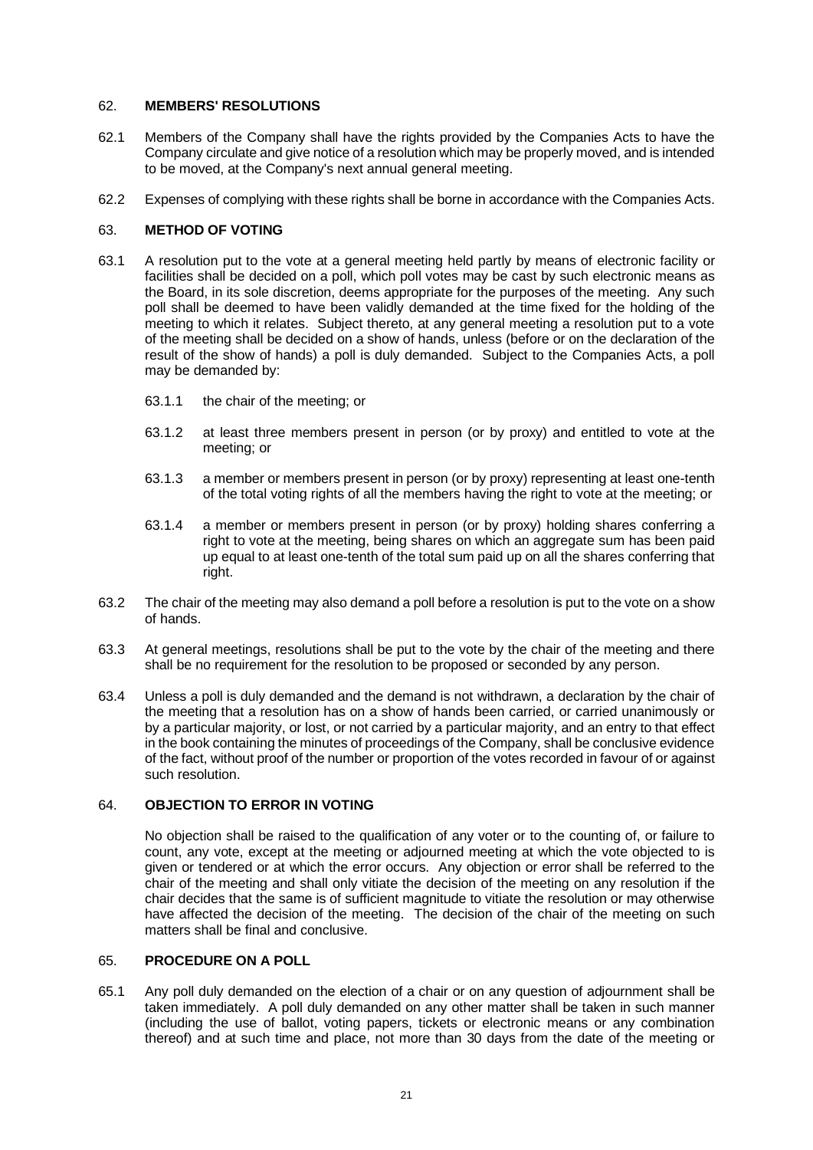### <span id="page-25-0"></span>62. **MEMBERS' RESOLUTIONS**

- 62.1 Members of the Company shall have the rights provided by the Companies Acts to have the Company circulate and give notice of a resolution which may be properly moved, and is intended to be moved, at the Company's next annual general meeting.
- 62.2 Expenses of complying with these rights shall be borne in accordance with the Companies Acts.

# <span id="page-25-1"></span>63. **METHOD OF VOTING**

- 63.1 A resolution put to the vote at a general meeting held partly by means of electronic facility or facilities shall be decided on a poll, which poll votes may be cast by such electronic means as the Board, in its sole discretion, deems appropriate for the purposes of the meeting. Any such poll shall be deemed to have been validly demanded at the time fixed for the holding of the meeting to which it relates. Subject thereto, at any general meeting a resolution put to a vote of the meeting shall be decided on a show of hands, unless (before or on the declaration of the result of the show of hands) a poll is duly demanded. Subject to the Companies Acts, a poll may be demanded by:
	- 63.1.1 the chair of the meeting; or
	- 63.1.2 at least three members present in person (or by proxy) and entitled to vote at the meeting; or
	- 63.1.3 a member or members present in person (or by proxy) representing at least one-tenth of the total voting rights of all the members having the right to vote at the meeting; or
	- 63.1.4 a member or members present in person (or by proxy) holding shares conferring a right to vote at the meeting, being shares on which an aggregate sum has been paid up equal to at least one-tenth of the total sum paid up on all the shares conferring that right.
- 63.2 The chair of the meeting may also demand a poll before a resolution is put to the vote on a show of hands.
- 63.3 At general meetings, resolutions shall be put to the vote by the chair of the meeting and there shall be no requirement for the resolution to be proposed or seconded by any person.
- 63.4 Unless a poll is duly demanded and the demand is not withdrawn, a declaration by the chair of the meeting that a resolution has on a show of hands been carried, or carried unanimously or by a particular majority, or lost, or not carried by a particular majority, and an entry to that effect in the book containing the minutes of proceedings of the Company, shall be conclusive evidence of the fact, without proof of the number or proportion of the votes recorded in favour of or against such resolution.

# <span id="page-25-2"></span>64. **OBJECTION TO ERROR IN VOTING**

No objection shall be raised to the qualification of any voter or to the counting of, or failure to count, any vote, except at the meeting or adjourned meeting at which the vote objected to is given or tendered or at which the error occurs. Any objection or error shall be referred to the chair of the meeting and shall only vitiate the decision of the meeting on any resolution if the chair decides that the same is of sufficient magnitude to vitiate the resolution or may otherwise have affected the decision of the meeting. The decision of the chair of the meeting on such matters shall be final and conclusive.

### <span id="page-25-3"></span>65. **PROCEDURE ON A POLL**

65.1 Any poll duly demanded on the election of a chair or on any question of adjournment shall be taken immediately. A poll duly demanded on any other matter shall be taken in such manner (including the use of ballot, voting papers, tickets or electronic means or any combination thereof) and at such time and place, not more than 30 days from the date of the meeting or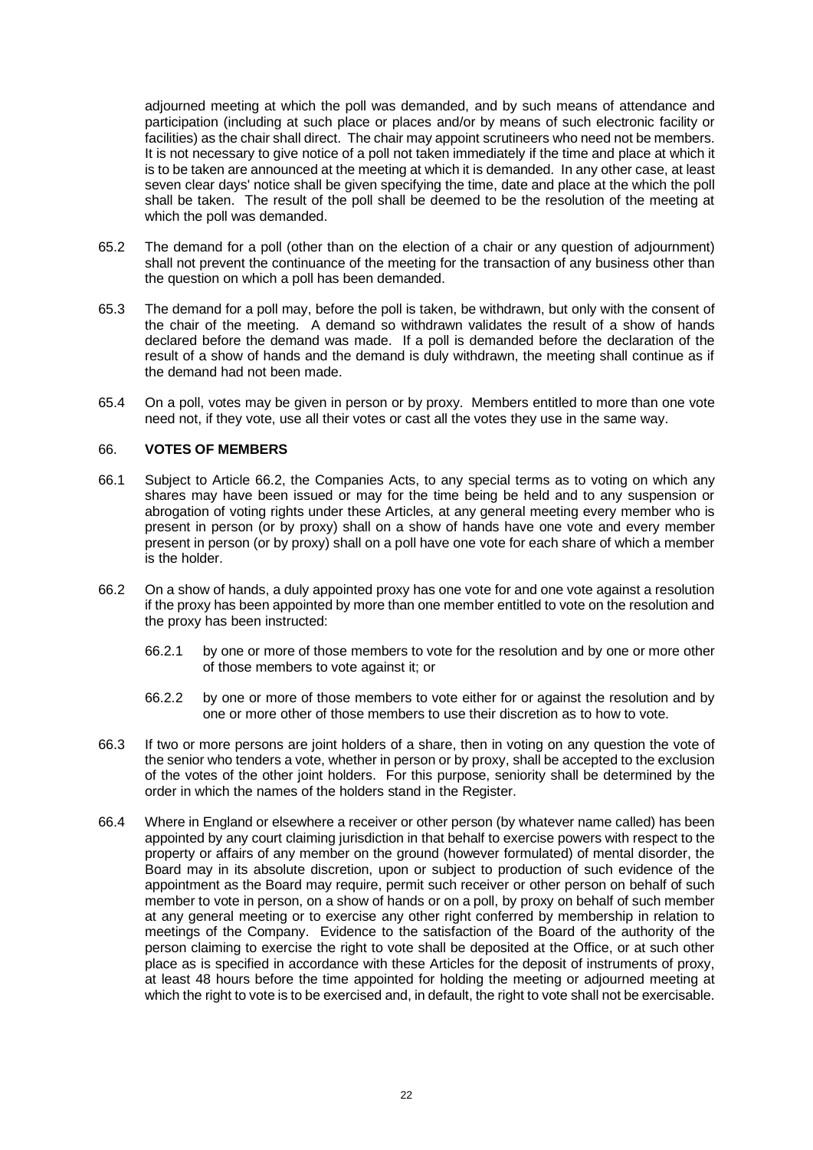adjourned meeting at which the poll was demanded, and by such means of attendance and participation (including at such place or places and/or by means of such electronic facility or facilities) as the chair shall direct. The chair may appoint scrutineers who need not be members. It is not necessary to give notice of a poll not taken immediately if the time and place at which it is to be taken are announced at the meeting at which it is demanded. In any other case, at least seven clear days' notice shall be given specifying the time, date and place at the which the poll shall be taken. The result of the poll shall be deemed to be the resolution of the meeting at which the poll was demanded.

- 65.2 The demand for a poll (other than on the election of a chair or any question of adjournment) shall not prevent the continuance of the meeting for the transaction of any business other than the question on which a poll has been demanded.
- 65.3 The demand for a poll may, before the poll is taken, be withdrawn, but only with the consent of the chair of the meeting. A demand so withdrawn validates the result of a show of hands declared before the demand was made. If a poll is demanded before the declaration of the result of a show of hands and the demand is duly withdrawn, the meeting shall continue as if the demand had not been made.
- 65.4 On a poll, votes may be given in person or by proxy. Members entitled to more than one vote need not, if they vote, use all their votes or cast all the votes they use in the same way.

### <span id="page-26-0"></span>66. **VOTES OF MEMBERS**

- 66.1 Subject to Article [66.2,](#page-26-1) the Companies Acts, to any special terms as to voting on which any shares may have been issued or may for the time being be held and to any suspension or abrogation of voting rights under these Articles, at any general meeting every member who is present in person (or by proxy) shall on a show of hands have one vote and every member present in person (or by proxy) shall on a poll have one vote for each share of which a member is the holder.
- <span id="page-26-1"></span>66.2 On a show of hands, a duly appointed proxy has one vote for and one vote against a resolution if the proxy has been appointed by more than one member entitled to vote on the resolution and the proxy has been instructed:
	- 66.2.1 by one or more of those members to vote for the resolution and by one or more other of those members to vote against it; or
	- 66.2.2 by one or more of those members to vote either for or against the resolution and by one or more other of those members to use their discretion as to how to vote.
- 66.3 If two or more persons are joint holders of a share, then in voting on any question the vote of the senior who tenders a vote, whether in person or by proxy, shall be accepted to the exclusion of the votes of the other joint holders. For this purpose, seniority shall be determined by the order in which the names of the holders stand in the Register.
- 66.4 Where in England or elsewhere a receiver or other person (by whatever name called) has been appointed by any court claiming jurisdiction in that behalf to exercise powers with respect to the property or affairs of any member on the ground (however formulated) of mental disorder, the Board may in its absolute discretion, upon or subject to production of such evidence of the appointment as the Board may require, permit such receiver or other person on behalf of such member to vote in person, on a show of hands or on a poll, by proxy on behalf of such member at any general meeting or to exercise any other right conferred by membership in relation to meetings of the Company. Evidence to the satisfaction of the Board of the authority of the person claiming to exercise the right to vote shall be deposited at the Office, or at such other place as is specified in accordance with these Articles for the deposit of instruments of proxy, at least 48 hours before the time appointed for holding the meeting or adjourned meeting at which the right to vote is to be exercised and, in default, the right to vote shall not be exercisable.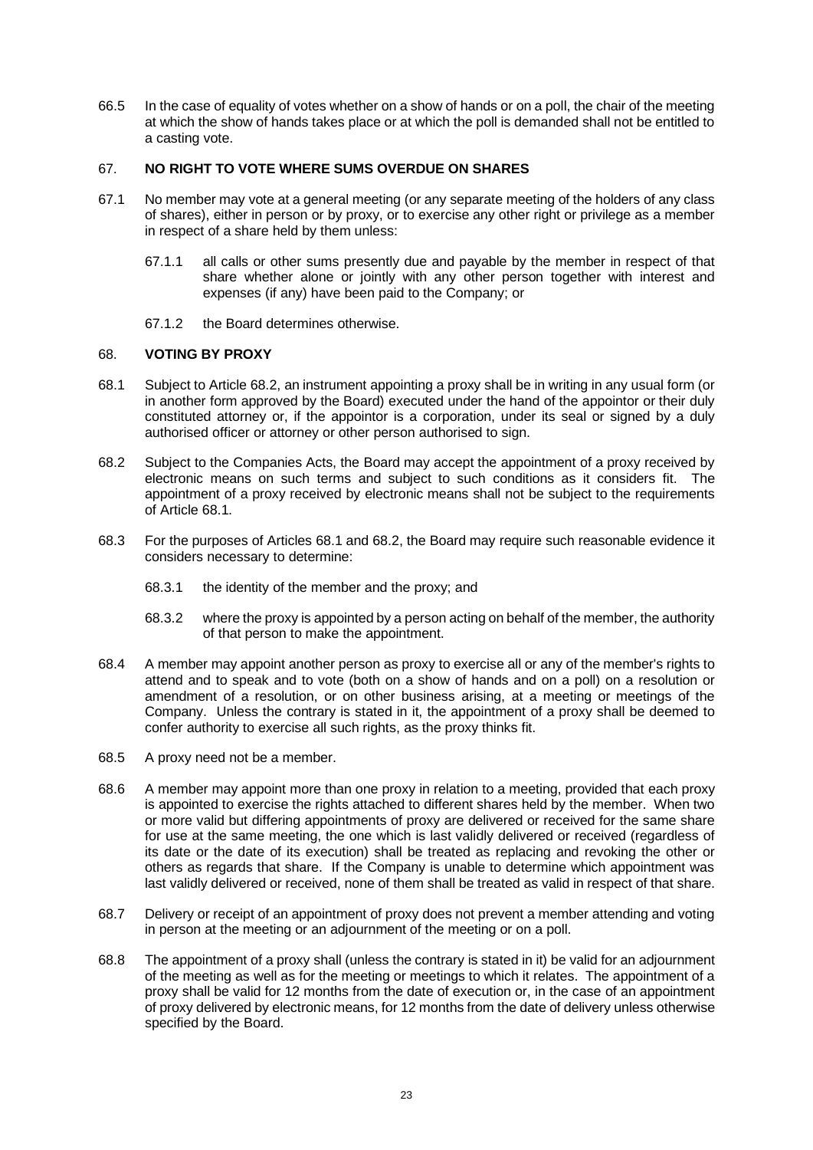66.5 In the case of equality of votes whether on a show of hands or on a poll, the chair of the meeting at which the show of hands takes place or at which the poll is demanded shall not be entitled to a casting vote.

### <span id="page-27-0"></span>67. **NO RIGHT TO VOTE WHERE SUMS OVERDUE ON SHARES**

- 67.1 No member may vote at a general meeting (or any separate meeting of the holders of any class of shares), either in person or by proxy, or to exercise any other right or privilege as a member in respect of a share held by them unless:
	- 67.1.1 all calls or other sums presently due and payable by the member in respect of that share whether alone or jointly with any other person together with interest and expenses (if any) have been paid to the Company; or
	- 67.1.2 the Board determines otherwise.

### <span id="page-27-1"></span>68. **VOTING BY PROXY**

- <span id="page-27-3"></span>68.1 Subject to Article [68.2,](#page-27-2) an instrument appointing a proxy shall be in writing in any usual form (or in another form approved by the Board) executed under the hand of the appointor or their duly constituted attorney or, if the appointor is a corporation, under its seal or signed by a duly authorised officer or attorney or other person authorised to sign.
- <span id="page-27-2"></span>68.2 Subject to the Companies Acts, the Board may accept the appointment of a proxy received by electronic means on such terms and subject to such conditions as it considers fit. The appointment of a proxy received by electronic means shall not be subject to the requirements of Articl[e 68.1.](#page-27-3)
- <span id="page-27-4"></span>68.3 For the purposes of Articles [68.1](#page-27-3) an[d 68.2,](#page-27-2) the Board may require such reasonable evidence it considers necessary to determine:
	- 68.3.1 the identity of the member and the proxy; and
	- 68.3.2 where the proxy is appointed by a person acting on behalf of the member, the authority of that person to make the appointment.
- 68.4 A member may appoint another person as proxy to exercise all or any of the member's rights to attend and to speak and to vote (both on a show of hands and on a poll) on a resolution or amendment of a resolution, or on other business arising, at a meeting or meetings of the Company. Unless the contrary is stated in it, the appointment of a proxy shall be deemed to confer authority to exercise all such rights, as the proxy thinks fit.
- 68.5 A proxy need not be a member.
- 68.6 A member may appoint more than one proxy in relation to a meeting, provided that each proxy is appointed to exercise the rights attached to different shares held by the member. When two or more valid but differing appointments of proxy are delivered or received for the same share for use at the same meeting, the one which is last validly delivered or received (regardless of its date or the date of its execution) shall be treated as replacing and revoking the other or others as regards that share. If the Company is unable to determine which appointment was last validly delivered or received, none of them shall be treated as valid in respect of that share.
- 68.7 Delivery or receipt of an appointment of proxy does not prevent a member attending and voting in person at the meeting or an adjournment of the meeting or on a poll.
- 68.8 The appointment of a proxy shall (unless the contrary is stated in it) be valid for an adjournment of the meeting as well as for the meeting or meetings to which it relates. The appointment of a proxy shall be valid for 12 months from the date of execution or, in the case of an appointment of proxy delivered by electronic means, for 12 months from the date of delivery unless otherwise specified by the Board.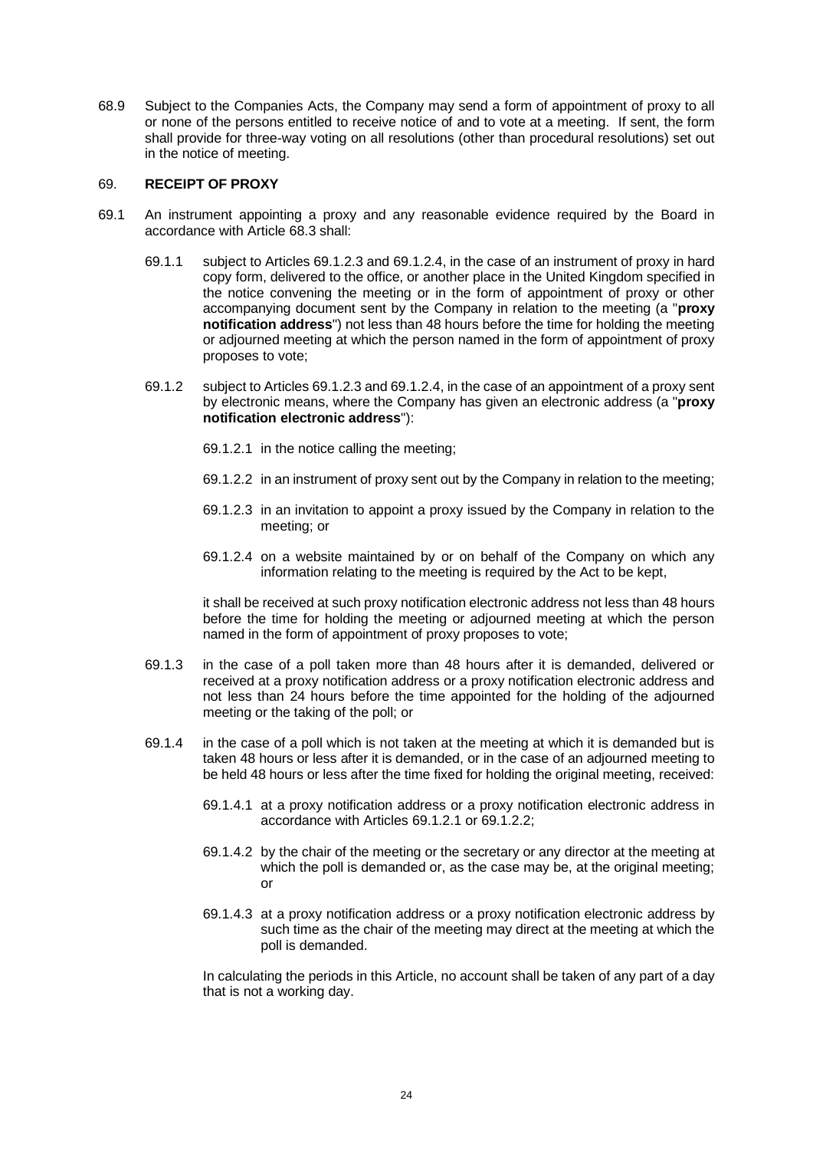68.9 Subject to the Companies Acts, the Company may send a form of appointment of proxy to all or none of the persons entitled to receive notice of and to vote at a meeting. If sent, the form shall provide for three-way voting on all resolutions (other than procedural resolutions) set out in the notice of meeting.

#### <span id="page-28-0"></span>69. **RECEIPT OF PROXY**

- <span id="page-28-5"></span>69.1 An instrument appointing a proxy and any reasonable evidence required by the Board in accordance with Articl[e 68.3](#page-27-4) shall:
	- 69.1.1 subject to Article[s 69.1.2.3](#page-28-1) and [69.1.2.4,](#page-28-2) in the case of an instrument of proxy in hard copy form, delivered to the office, or another place in the United Kingdom specified in the notice convening the meeting or in the form of appointment of proxy or other accompanying document sent by the Company in relation to the meeting (a "**proxy notification address**") not less than 48 hours before the time for holding the meeting or adjourned meeting at which the person named in the form of appointment of proxy proposes to vote;
	- 69.1.2 subject to Article[s 69.1.2.3](#page-28-1) and [69.1.2.4,](#page-28-2) in the case of an appointment of a proxy sent by electronic means, where the Company has given an electronic address (a "**proxy notification electronic address**"):
		- 69.1.2.1 in the notice calling the meeting;
		- 69.1.2.2 in an instrument of proxy sent out by the Company in relation to the meeting;
		- 69.1.2.3 in an invitation to appoint a proxy issued by the Company in relation to the meeting; or
		- 69.1.2.4 on a website maintained by or on behalf of the Company on which any information relating to the meeting is required by the Act to be kept,

<span id="page-28-4"></span><span id="page-28-3"></span><span id="page-28-2"></span><span id="page-28-1"></span>it shall be received at such proxy notification electronic address not less than 48 hours before the time for holding the meeting or adjourned meeting at which the person named in the form of appointment of proxy proposes to vote;

- 69.1.3 in the case of a poll taken more than 48 hours after it is demanded, delivered or received at a proxy notification address or a proxy notification electronic address and not less than 24 hours before the time appointed for the holding of the adjourned meeting or the taking of the poll; or
- 69.1.4 in the case of a poll which is not taken at the meeting at which it is demanded but is taken 48 hours or less after it is demanded, or in the case of an adjourned meeting to be held 48 hours or less after the time fixed for holding the original meeting, received:
	- 69.1.4.1 at a proxy notification address or a proxy notification electronic address in accordance with Articles [69.1.2.1](#page-28-3) or [69.1.2.2;](#page-28-4)
	- 69.1.4.2 by the chair of the meeting or the secretary or any director at the meeting at which the poll is demanded or, as the case may be, at the original meeting; or
	- 69.1.4.3 at a proxy notification address or a proxy notification electronic address by such time as the chair of the meeting may direct at the meeting at which the poll is demanded.

In calculating the periods in this Article, no account shall be taken of any part of a day that is not a working day.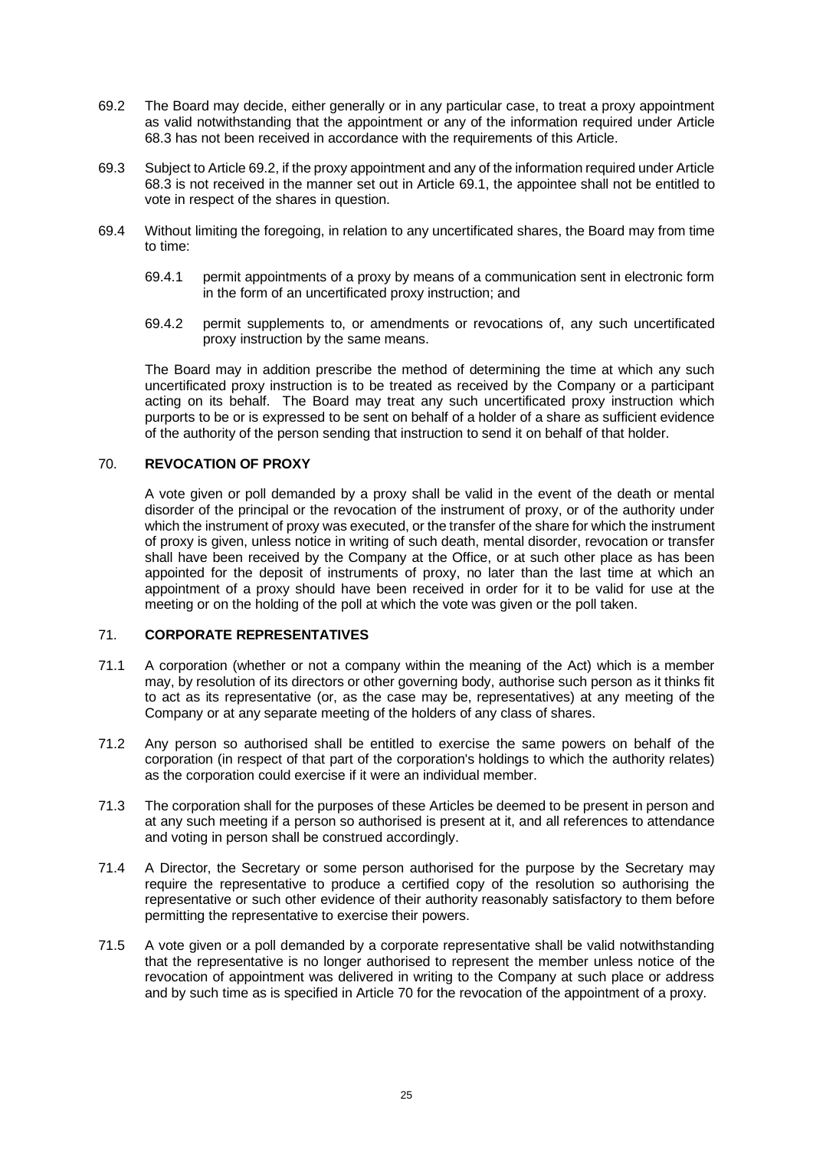- <span id="page-29-3"></span>69.2 The Board may decide, either generally or in any particular case, to treat a proxy appointment as valid notwithstanding that the appointment or any of the information required under Article [68.3](#page-27-4) has not been received in accordance with the requirements of this Article.
- 69.3 Subject to Articl[e 69.2,](#page-29-3) if the proxy appointment and any of the information required under Article [68.3](#page-27-4) is not received in the manner set out in Article [69.1,](#page-28-5) the appointee shall not be entitled to vote in respect of the shares in question.
- 69.4 Without limiting the foregoing, in relation to any uncertificated shares, the Board may from time to time:
	- 69.4.1 permit appointments of a proxy by means of a communication sent in electronic form in the form of an uncertificated proxy instruction; and
	- 69.4.2 permit supplements to, or amendments or revocations of, any such uncertificated proxy instruction by the same means.

The Board may in addition prescribe the method of determining the time at which any such uncertificated proxy instruction is to be treated as received by the Company or a participant acting on its behalf. The Board may treat any such uncertificated proxy instruction which purports to be or is expressed to be sent on behalf of a holder of a share as sufficient evidence of the authority of the person sending that instruction to send it on behalf of that holder.

### <span id="page-29-0"></span>70. **REVOCATION OF PROXY**

A vote given or poll demanded by a proxy shall be valid in the event of the death or mental disorder of the principal or the revocation of the instrument of proxy, or of the authority under which the instrument of proxy was executed, or the transfer of the share for which the instrument of proxy is given, unless notice in writing of such death, mental disorder, revocation or transfer shall have been received by the Company at the Office, or at such other place as has been appointed for the deposit of instruments of proxy, no later than the last time at which an appointment of a proxy should have been received in order for it to be valid for use at the meeting or on the holding of the poll at which the vote was given or the poll taken.

# <span id="page-29-1"></span>71. **CORPORATE REPRESENTATIVES**

- 71.1 A corporation (whether or not a company within the meaning of the Act) which is a member may, by resolution of its directors or other governing body, authorise such person as it thinks fit to act as its representative (or, as the case may be, representatives) at any meeting of the Company or at any separate meeting of the holders of any class of shares.
- 71.2 Any person so authorised shall be entitled to exercise the same powers on behalf of the corporation (in respect of that part of the corporation's holdings to which the authority relates) as the corporation could exercise if it were an individual member.
- 71.3 The corporation shall for the purposes of these Articles be deemed to be present in person and at any such meeting if a person so authorised is present at it, and all references to attendance and voting in person shall be construed accordingly.
- 71.4 A Director, the Secretary or some person authorised for the purpose by the Secretary may require the representative to produce a certified copy of the resolution so authorising the representative or such other evidence of their authority reasonably satisfactory to them before permitting the representative to exercise their powers.
- <span id="page-29-2"></span>71.5 A vote given or a poll demanded by a corporate representative shall be valid notwithstanding that the representative is no longer authorised to represent the member unless notice of the revocation of appointment was delivered in writing to the Company at such place or address and by such time as is specified in Article [70](#page-29-0) for the revocation of the appointment of a proxy.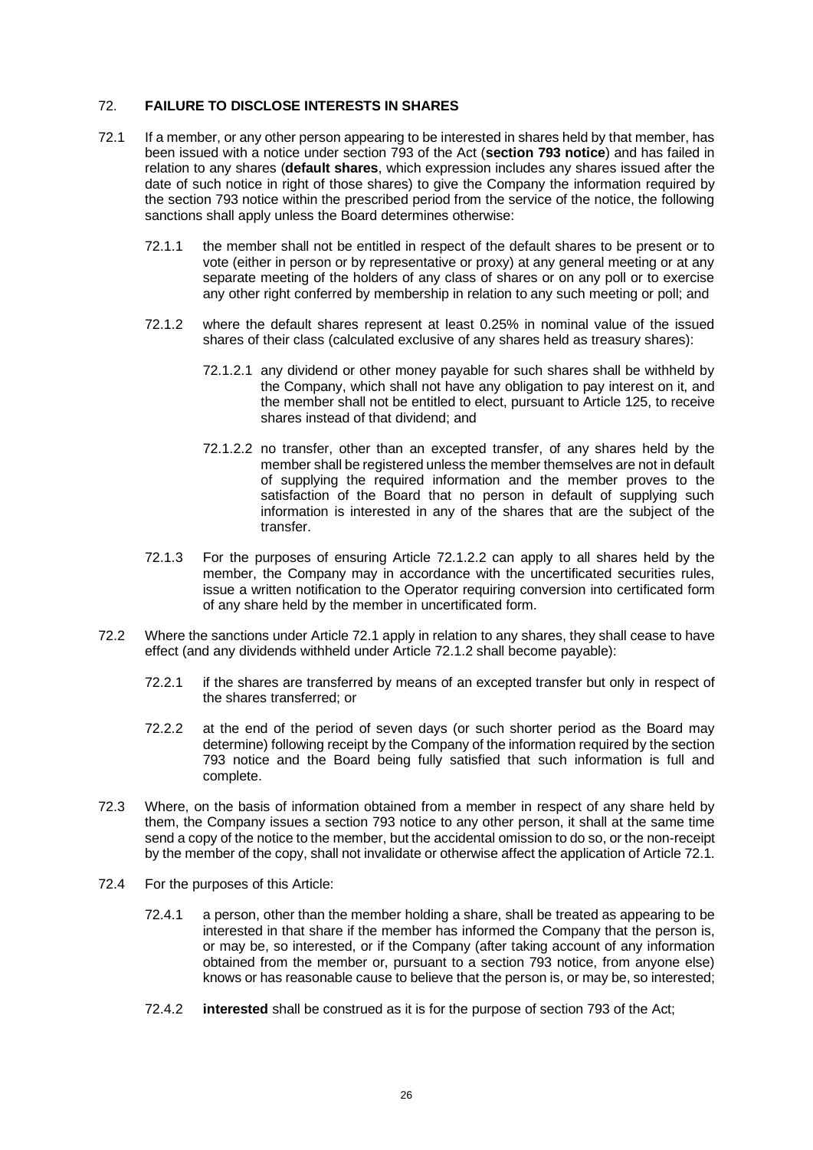## <span id="page-30-0"></span>72. **FAILURE TO DISCLOSE INTERESTS IN SHARES**

- <span id="page-30-3"></span><span id="page-30-2"></span>72.1 If a member, or any other person appearing to be interested in shares held by that member, has been issued with a notice under section 793 of the Act (**section 793 notice**) and has failed in relation to any shares (**default shares**, which expression includes any shares issued after the date of such notice in right of those shares) to give the Company the information required by the section 793 notice within the prescribed period from the service of the notice, the following sanctions shall apply unless the Board determines otherwise:
	- 72.1.1 the member shall not be entitled in respect of the default shares to be present or to vote (either in person or by representative or proxy) at any general meeting or at any separate meeting of the holders of any class of shares or on any poll or to exercise any other right conferred by membership in relation to any such meeting or poll; and
	- 72.1.2 where the default shares represent at least 0.25% in nominal value of the issued shares of their class (calculated exclusive of any shares held as treasury shares):
		- 72.1.2.1 any dividend or other money payable for such shares shall be withheld by the Company, which shall not have any obligation to pay interest on it, and the member shall not be entitled to elect, pursuant to Article [125,](#page-47-1) to receive shares instead of that dividend; and
		- 72.1.2.2 no transfer, other than an excepted transfer, of any shares held by the member shall be registered unless the member themselves are not in default of supplying the required information and the member proves to the satisfaction of the Board that no person in default of supplying such information is interested in any of the shares that are the subject of the transfer.
	- 72.1.3 For the purposes of ensuring Article [72.1.2.2](#page-30-1) can apply to all shares held by the member, the Company may in accordance with the uncertificated securities rules, issue a written notification to the Operator requiring conversion into certificated form of any share held by the member in uncertificated form.
- <span id="page-30-1"></span>72.2 Where the sanctions under Article [72.1](#page-30-2) apply in relation to any shares, they shall cease to have effect (and any dividends withheld under Article [72.1.2](#page-30-3) shall become payable):
	- 72.2.1 if the shares are transferred by means of an excepted transfer but only in respect of the shares transferred; or
	- 72.2.2 at the end of the period of seven days (or such shorter period as the Board may determine) following receipt by the Company of the information required by the section 793 notice and the Board being fully satisfied that such information is full and complete.
- 72.3 Where, on the basis of information obtained from a member in respect of any share held by them, the Company issues a section 793 notice to any other person, it shall at the same time send a copy of the notice to the member, but the accidental omission to do so, or the non-receipt by the member of the copy, shall not invalidate or otherwise affect the application of Articl[e 72.1.](#page-30-2)
- 72.4 For the purposes of this Article:
	- 72.4.1 a person, other than the member holding a share, shall be treated as appearing to be interested in that share if the member has informed the Company that the person is, or may be, so interested, or if the Company (after taking account of any information obtained from the member or, pursuant to a section 793 notice, from anyone else) knows or has reasonable cause to believe that the person is, or may be, so interested;
	- 72.4.2 **interested** shall be construed as it is for the purpose of section 793 of the Act;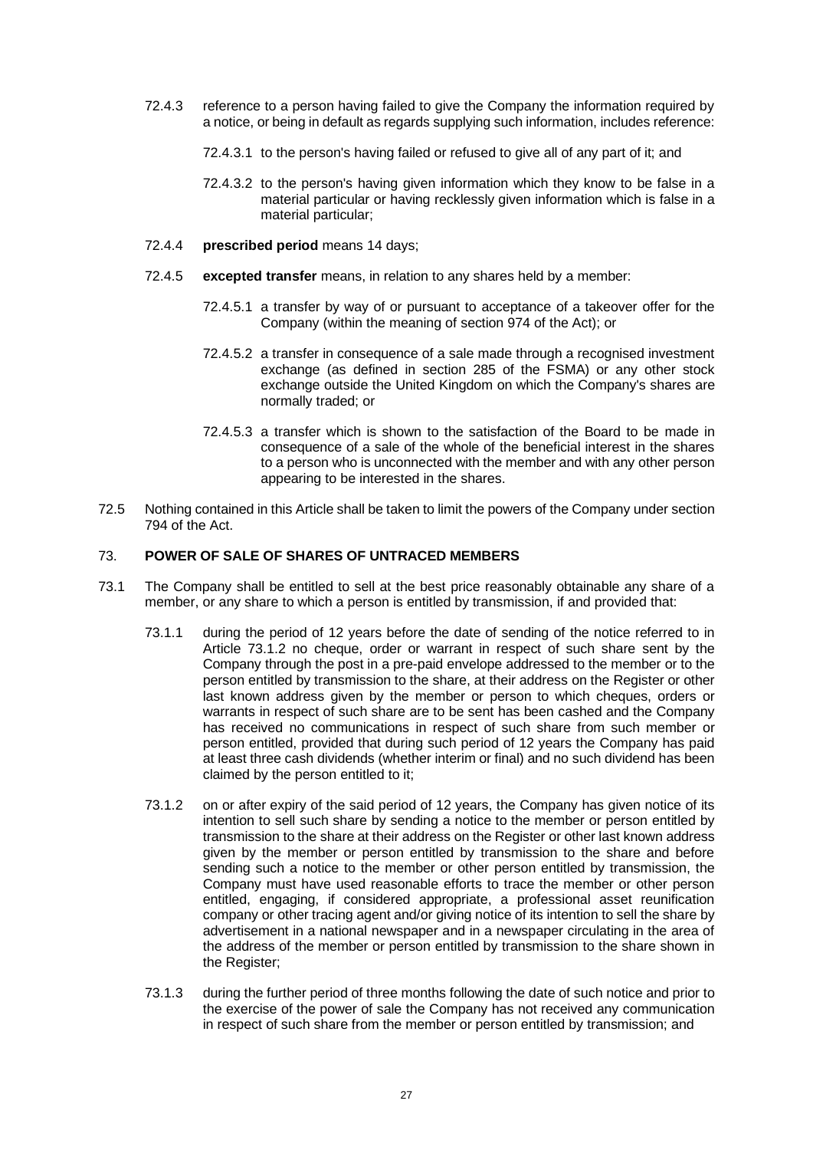- 72.4.3 reference to a person having failed to give the Company the information required by a notice, or being in default as regards supplying such information, includes reference:
	- 72.4.3.1 to the person's having failed or refused to give all of any part of it; and
	- 72.4.3.2 to the person's having given information which they know to be false in a material particular or having recklessly given information which is false in a material particular;
- 72.4.4 **prescribed period** means 14 days;
- 72.4.5 **excepted transfer** means, in relation to any shares held by a member:
	- 72.4.5.1 a transfer by way of or pursuant to acceptance of a takeover offer for the Company (within the meaning of section 974 of the Act); or
	- 72.4.5.2 a transfer in consequence of a sale made through a recognised investment exchange (as defined in section 285 of the FSMA) or any other stock exchange outside the United Kingdom on which the Company's shares are normally traded; or
	- 72.4.5.3 a transfer which is shown to the satisfaction of the Board to be made in consequence of a sale of the whole of the beneficial interest in the shares to a person who is unconnected with the member and with any other person appearing to be interested in the shares.
- 72.5 Nothing contained in this Article shall be taken to limit the powers of the Company under section 794 of the Act.

# <span id="page-31-0"></span>73. **POWER OF SALE OF SHARES OF UNTRACED MEMBERS**

- <span id="page-31-3"></span><span id="page-31-2"></span><span id="page-31-1"></span>73.1 The Company shall be entitled to sell at the best price reasonably obtainable any share of a member, or any share to which a person is entitled by transmission, if and provided that:
	- 73.1.1 during the period of 12 years before the date of sending of the notice referred to in Article [73.1.2](#page-31-1) no cheque, order or warrant in respect of such share sent by the Company through the post in a pre-paid envelope addressed to the member or to the person entitled by transmission to the share, at their address on the Register or other last known address given by the member or person to which cheques, orders or warrants in respect of such share are to be sent has been cashed and the Company has received no communications in respect of such share from such member or person entitled, provided that during such period of 12 years the Company has paid at least three cash dividends (whether interim or final) and no such dividend has been claimed by the person entitled to it;
	- 73.1.2 on or after expiry of the said period of 12 years, the Company has given notice of its intention to sell such share by sending a notice to the member or person entitled by transmission to the share at their address on the Register or other last known address given by the member or person entitled by transmission to the share and before sending such a notice to the member or other person entitled by transmission, the Company must have used reasonable efforts to trace the member or other person entitled, engaging, if considered appropriate, a professional asset reunification company or other tracing agent and/or giving notice of its intention to sell the share by advertisement in a national newspaper and in a newspaper circulating in the area of the address of the member or person entitled by transmission to the share shown in the Register:
	- 73.1.3 during the further period of three months following the date of such notice and prior to the exercise of the power of sale the Company has not received any communication in respect of such share from the member or person entitled by transmission; and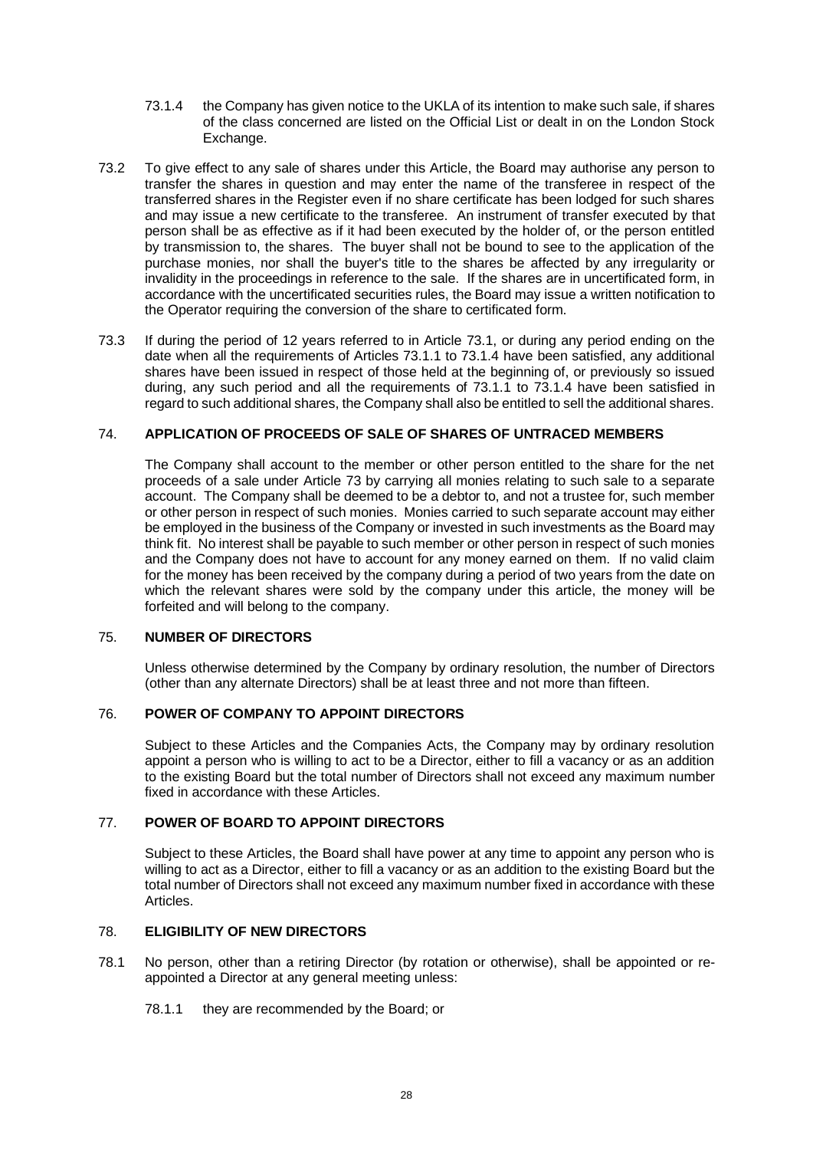- <span id="page-32-5"></span>73.1.4 the Company has given notice to the UKLA of its intention to make such sale, if shares of the class concerned are listed on the Official List or dealt in on the London Stock Exchange.
- 73.2 To give effect to any sale of shares under this Article, the Board may authorise any person to transfer the shares in question and may enter the name of the transferee in respect of the transferred shares in the Register even if no share certificate has been lodged for such shares and may issue a new certificate to the transferee. An instrument of transfer executed by that person shall be as effective as if it had been executed by the holder of, or the person entitled by transmission to, the shares. The buyer shall not be bound to see to the application of the purchase monies, nor shall the buyer's title to the shares be affected by any irregularity or invalidity in the proceedings in reference to the sale. If the shares are in uncertificated form, in accordance with the uncertificated securities rules, the Board may issue a written notification to the Operator requiring the conversion of the share to certificated form.
- 73.3 If during the period of 12 years referred to in Article [73.1,](#page-31-2) or during any period ending on the date when all the requirements of Articles [73.1.1](#page-31-3) to [73.1.4](#page-32-5) have been satisfied, any additional shares have been issued in respect of those held at the beginning of, or previously so issued during, any such period and all the requirements of [73.1.1](#page-31-3) to [73.1.4](#page-32-5) have been satisfied in regard to such additional shares, the Company shall also be entitled to sell the additional shares.

### <span id="page-32-0"></span>74. **APPLICATION OF PROCEEDS OF SALE OF SHARES OF UNTRACED MEMBERS**

The Company shall account to the member or other person entitled to the share for the net proceeds of a sale under Article [73](#page-31-0) by carrying all monies relating to such sale to a separate account. The Company shall be deemed to be a debtor to, and not a trustee for, such member or other person in respect of such monies. Monies carried to such separate account may either be employed in the business of the Company or invested in such investments as the Board may think fit. No interest shall be payable to such member or other person in respect of such monies and the Company does not have to account for any money earned on them. If no valid claim for the money has been received by the company during a period of two years from the date on which the relevant shares were sold by the company under this article, the money will be forfeited and will belong to the company.

#### <span id="page-32-1"></span>75. **NUMBER OF DIRECTORS**

Unless otherwise determined by the Company by ordinary resolution, the number of Directors (other than any alternate Directors) shall be at least three and not more than fifteen.

#### <span id="page-32-2"></span>76. **POWER OF COMPANY TO APPOINT DIRECTORS**

Subject to these Articles and the Companies Acts, the Company may by ordinary resolution appoint a person who is willing to act to be a Director, either to fill a vacancy or as an addition to the existing Board but the total number of Directors shall not exceed any maximum number fixed in accordance with these Articles.

# <span id="page-32-3"></span>77. **POWER OF BOARD TO APPOINT DIRECTORS**

Subject to these Articles, the Board shall have power at any time to appoint any person who is willing to act as a Director, either to fill a vacancy or as an addition to the existing Board but the total number of Directors shall not exceed any maximum number fixed in accordance with these Articles.

# <span id="page-32-4"></span>78. **ELIGIBILITY OF NEW DIRECTORS**

- 78.1 No person, other than a retiring Director (by rotation or otherwise), shall be appointed or reappointed a Director at any general meeting unless:
	- 78.1.1 they are recommended by the Board; or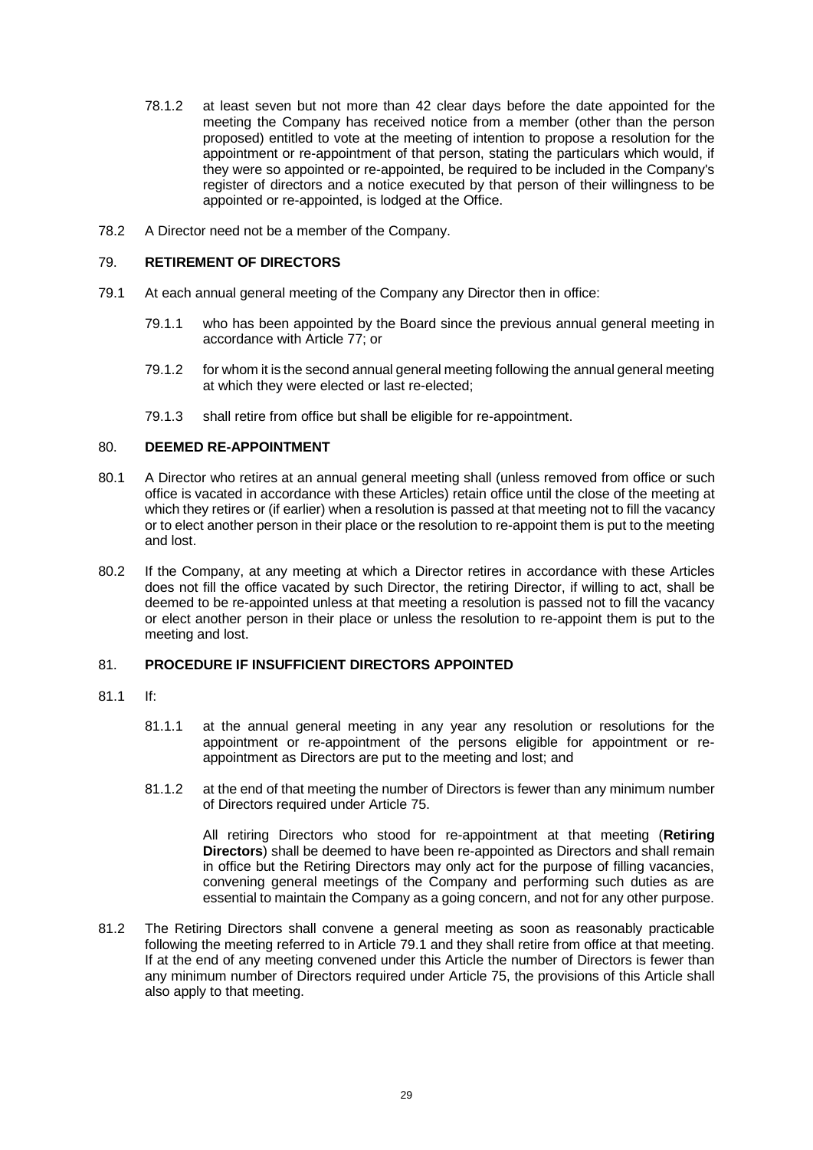- 78.1.2 at least seven but not more than 42 clear days before the date appointed for the meeting the Company has received notice from a member (other than the person proposed) entitled to vote at the meeting of intention to propose a resolution for the appointment or re-appointment of that person, stating the particulars which would, if they were so appointed or re-appointed, be required to be included in the Company's register of directors and a notice executed by that person of their willingness to be appointed or re-appointed, is lodged at the Office.
- 78.2 A Director need not be a member of the Company.

### <span id="page-33-0"></span>79. **RETIREMENT OF DIRECTORS**

- 79.1 At each annual general meeting of the Company any Director then in office:
	- 79.1.1 who has been appointed by the Board since the previous annual general meeting in accordance with Article [77;](#page-32-3) or
	- 79.1.2 for whom it is the second annual general meeting following the annual general meeting at which they were elected or last re-elected;
	- 79.1.3 shall retire from office but shall be eligible for re-appointment.

### <span id="page-33-1"></span>80. **DEEMED RE-APPOINTMENT**

- 80.1 A Director who retires at an annual general meeting shall (unless removed from office or such office is vacated in accordance with these Articles) retain office until the close of the meeting at which they retires or (if earlier) when a resolution is passed at that meeting not to fill the vacancy or to elect another person in their place or the resolution to re-appoint them is put to the meeting and lost.
- 80.2 If the Company, at any meeting at which a Director retires in accordance with these Articles does not fill the office vacated by such Director, the retiring Director, if willing to act, shall be deemed to be re-appointed unless at that meeting a resolution is passed not to fill the vacancy or elect another person in their place or unless the resolution to re-appoint them is put to the meeting and lost.

# <span id="page-33-2"></span>81. **PROCEDURE IF INSUFFICIENT DIRECTORS APPOINTED**

- 81.1 If:
	- 81.1.1 at the annual general meeting in any year any resolution or resolutions for the appointment or re-appointment of the persons eligible for appointment or reappointment as Directors are put to the meeting and lost; and
	- 81.1.2 at the end of that meeting the number of Directors is fewer than any minimum number of Directors required under Article [75.](#page-32-1)

All retiring Directors who stood for re-appointment at that meeting (**Retiring Directors**) shall be deemed to have been re-appointed as Directors and shall remain in office but the Retiring Directors may only act for the purpose of filling vacancies, convening general meetings of the Company and performing such duties as are essential to maintain the Company as a going concern, and not for any other purpose.

81.2 The Retiring Directors shall convene a general meeting as soon as reasonably practicable following the meeting referred to in Article 79.1 and they shall retire from office at that meeting. If at the end of any meeting convened under this Article the number of Directors is fewer than any minimum number of Directors required under Article [75,](#page-32-1) the provisions of this Article shall also apply to that meeting.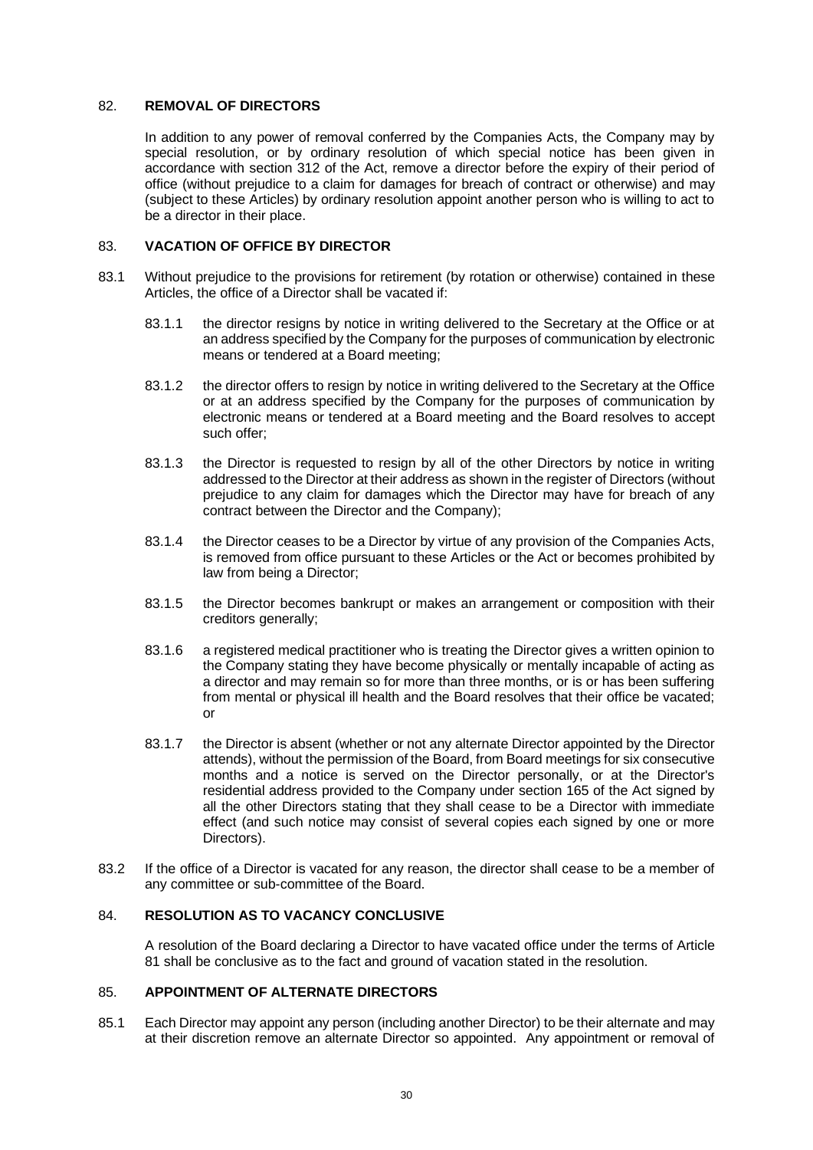### <span id="page-34-0"></span>82. **REMOVAL OF DIRECTORS**

In addition to any power of removal conferred by the Companies Acts, the Company may by special resolution, or by ordinary resolution of which special notice has been given in accordance with section 312 of the Act, remove a director before the expiry of their period of office (without prejudice to a claim for damages for breach of contract or otherwise) and may (subject to these Articles) by ordinary resolution appoint another person who is willing to act to be a director in their place.

### <span id="page-34-1"></span>83. **VACATION OF OFFICE BY DIRECTOR**

- 83.1 Without prejudice to the provisions for retirement (by rotation or otherwise) contained in these Articles, the office of a Director shall be vacated if:
	- 83.1.1 the director resigns by notice in writing delivered to the Secretary at the Office or at an address specified by the Company for the purposes of communication by electronic means or tendered at a Board meeting;
	- 83.1.2 the director offers to resign by notice in writing delivered to the Secretary at the Office or at an address specified by the Company for the purposes of communication by electronic means or tendered at a Board meeting and the Board resolves to accept such offer;
	- 83.1.3 the Director is requested to resign by all of the other Directors by notice in writing addressed to the Director at their address as shown in the register of Directors (without prejudice to any claim for damages which the Director may have for breach of any contract between the Director and the Company);
	- 83.1.4 the Director ceases to be a Director by virtue of any provision of the Companies Acts, is removed from office pursuant to these Articles or the Act or becomes prohibited by law from being a Director;
	- 83.1.5 the Director becomes bankrupt or makes an arrangement or composition with their creditors generally;
	- 83.1.6 a registered medical practitioner who is treating the Director gives a written opinion to the Company stating they have become physically or mentally incapable of acting as a director and may remain so for more than three months, or is or has been suffering from mental or physical ill health and the Board resolves that their office be vacated; or
	- 83.1.7 the Director is absent (whether or not any alternate Director appointed by the Director attends), without the permission of the Board, from Board meetings for six consecutive months and a notice is served on the Director personally, or at the Director's residential address provided to the Company under section 165 of the Act signed by all the other Directors stating that they shall cease to be a Director with immediate effect (and such notice may consist of several copies each signed by one or more Directors).
- 83.2 If the office of a Director is vacated for any reason, the director shall cease to be a member of any committee or sub-committee of the Board.

# <span id="page-34-2"></span>84. **RESOLUTION AS TO VACANCY CONCLUSIVE**

A resolution of the Board declaring a Director to have vacated office under the terms of Article 81 shall be conclusive as to the fact and ground of vacation stated in the resolution.

### <span id="page-34-3"></span>85. **APPOINTMENT OF ALTERNATE DIRECTORS**

85.1 Each Director may appoint any person (including another Director) to be their alternate and may at their discretion remove an alternate Director so appointed. Any appointment or removal of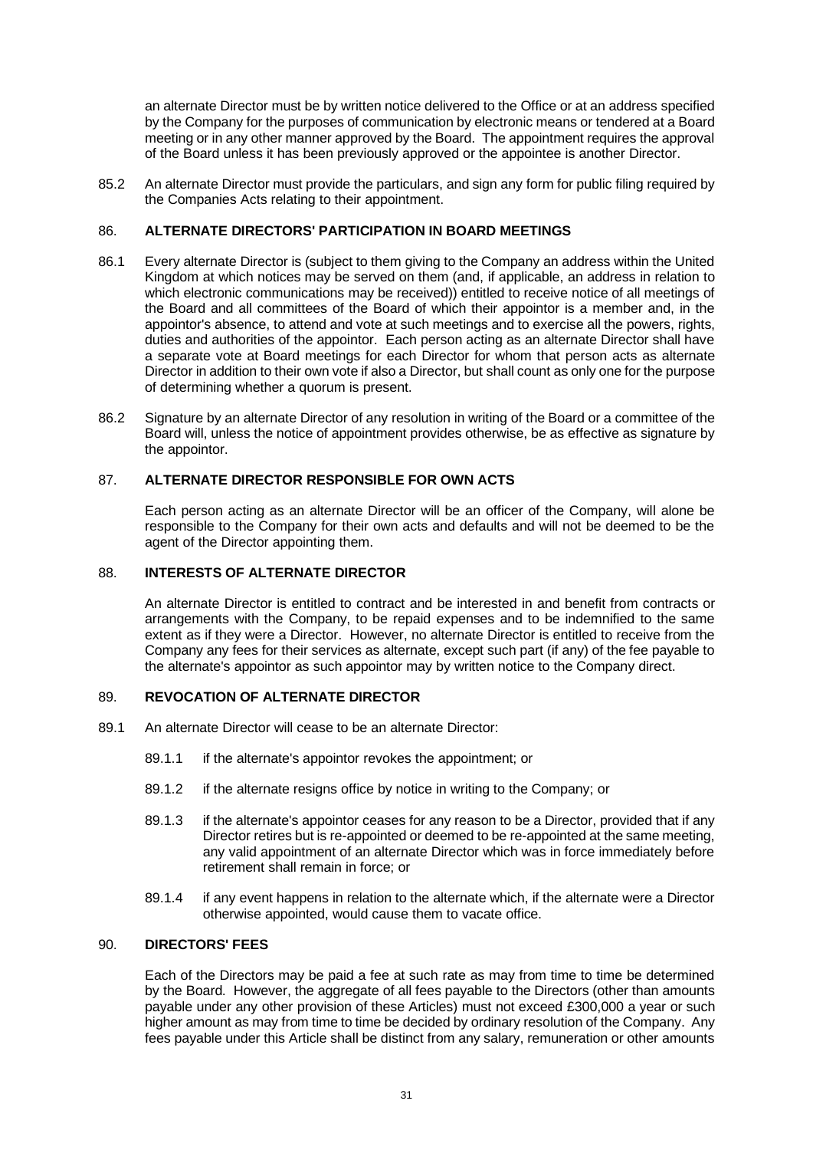an alternate Director must be by written notice delivered to the Office or at an address specified by the Company for the purposes of communication by electronic means or tendered at a Board meeting or in any other manner approved by the Board. The appointment requires the approval of the Board unless it has been previously approved or the appointee is another Director.

85.2 An alternate Director must provide the particulars, and sign any form for public filing required by the Companies Acts relating to their appointment.

## <span id="page-35-0"></span>86. **ALTERNATE DIRECTORS' PARTICIPATION IN BOARD MEETINGS**

- 86.1 Every alternate Director is (subject to them giving to the Company an address within the United Kingdom at which notices may be served on them (and, if applicable, an address in relation to which electronic communications may be received)) entitled to receive notice of all meetings of the Board and all committees of the Board of which their appointor is a member and, in the appointor's absence, to attend and vote at such meetings and to exercise all the powers, rights, duties and authorities of the appointor. Each person acting as an alternate Director shall have a separate vote at Board meetings for each Director for whom that person acts as alternate Director in addition to their own vote if also a Director, but shall count as only one for the purpose of determining whether a quorum is present.
- 86.2 Signature by an alternate Director of any resolution in writing of the Board or a committee of the Board will, unless the notice of appointment provides otherwise, be as effective as signature by the appointor.

### <span id="page-35-1"></span>87. **ALTERNATE DIRECTOR RESPONSIBLE FOR OWN ACTS**

Each person acting as an alternate Director will be an officer of the Company, will alone be responsible to the Company for their own acts and defaults and will not be deemed to be the agent of the Director appointing them.

### <span id="page-35-2"></span>88. **INTERESTS OF ALTERNATE DIRECTOR**

An alternate Director is entitled to contract and be interested in and benefit from contracts or arrangements with the Company, to be repaid expenses and to be indemnified to the same extent as if they were a Director. However, no alternate Director is entitled to receive from the Company any fees for their services as alternate, except such part (if any) of the fee payable to the alternate's appointor as such appointor may by written notice to the Company direct.

#### <span id="page-35-3"></span>89. **REVOCATION OF ALTERNATE DIRECTOR**

- 89.1 An alternate Director will cease to be an alternate Director:
	- 89.1.1 if the alternate's appointor revokes the appointment; or
	- 89.1.2 if the alternate resigns office by notice in writing to the Company; or
	- 89.1.3 if the alternate's appointor ceases for any reason to be a Director, provided that if any Director retires but is re-appointed or deemed to be re-appointed at the same meeting, any valid appointment of an alternate Director which was in force immediately before retirement shall remain in force; or
	- 89.1.4 if any event happens in relation to the alternate which, if the alternate were a Director otherwise appointed, would cause them to vacate office.

#### <span id="page-35-4"></span>90. **DIRECTORS' FEES**

Each of the Directors may be paid a fee at such rate as may from time to time be determined by the Board. However, the aggregate of all fees payable to the Directors (other than amounts payable under any other provision of these Articles) must not exceed £300,000 a year or such higher amount as may from time to time be decided by ordinary resolution of the Company. Any fees payable under this Article shall be distinct from any salary, remuneration or other amounts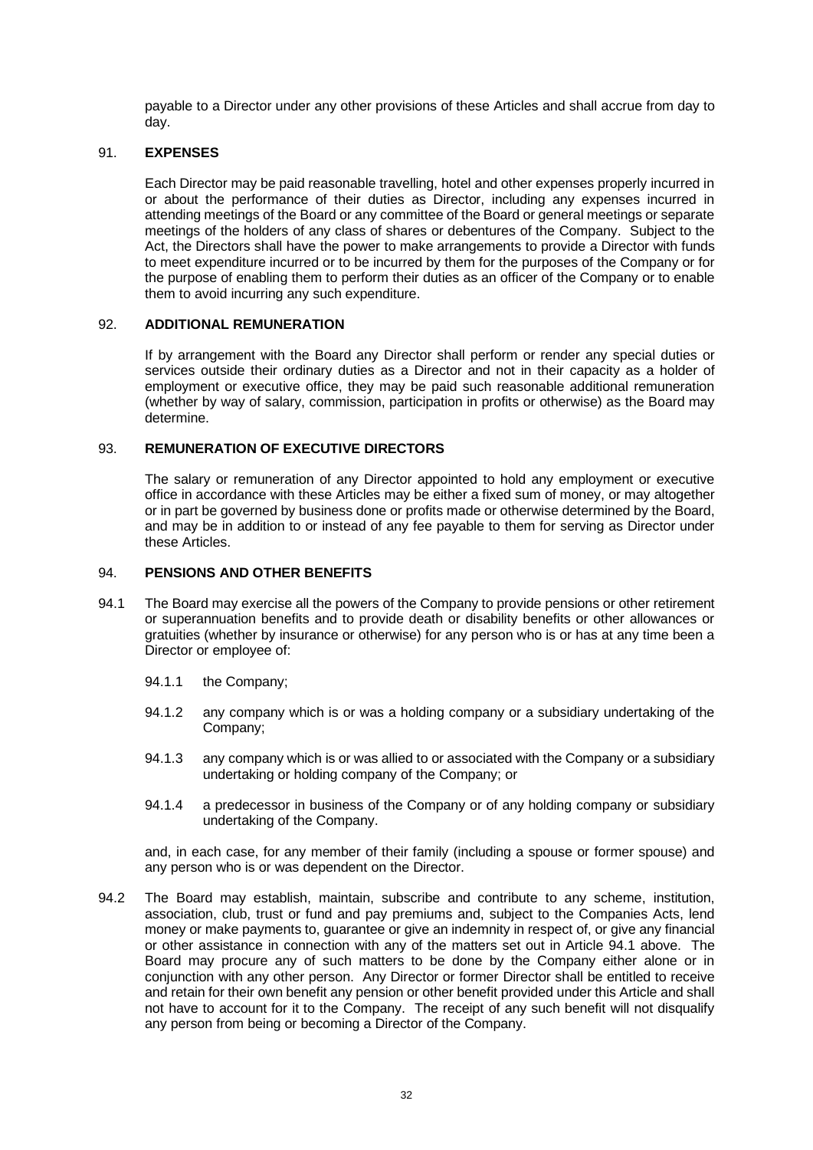payable to a Director under any other provisions of these Articles and shall accrue from day to day.

### <span id="page-36-0"></span>91. **EXPENSES**

Each Director may be paid reasonable travelling, hotel and other expenses properly incurred in or about the performance of their duties as Director, including any expenses incurred in attending meetings of the Board or any committee of the Board or general meetings or separate meetings of the holders of any class of shares or debentures of the Company. Subject to the Act, the Directors shall have the power to make arrangements to provide a Director with funds to meet expenditure incurred or to be incurred by them for the purposes of the Company or for the purpose of enabling them to perform their duties as an officer of the Company or to enable them to avoid incurring any such expenditure.

#### <span id="page-36-1"></span>92. **ADDITIONAL REMUNERATION**

If by arrangement with the Board any Director shall perform or render any special duties or services outside their ordinary duties as a Director and not in their capacity as a holder of employment or executive office, they may be paid such reasonable additional remuneration (whether by way of salary, commission, participation in profits or otherwise) as the Board may determine.

### <span id="page-36-2"></span>93. **REMUNERATION OF EXECUTIVE DIRECTORS**

The salary or remuneration of any Director appointed to hold any employment or executive office in accordance with these Articles may be either a fixed sum of money, or may altogether or in part be governed by business done or profits made or otherwise determined by the Board, and may be in addition to or instead of any fee payable to them for serving as Director under these Articles.

### <span id="page-36-3"></span>94. **PENSIONS AND OTHER BENEFITS**

- <span id="page-36-4"></span>94.1 The Board may exercise all the powers of the Company to provide pensions or other retirement or superannuation benefits and to provide death or disability benefits or other allowances or gratuities (whether by insurance or otherwise) for any person who is or has at any time been a Director or employee of:
	- 94.1.1 the Company;
	- 94.1.2 any company which is or was a holding company or a subsidiary undertaking of the Company;
	- 94.1.3 any company which is or was allied to or associated with the Company or a subsidiary undertaking or holding company of the Company; or
	- 94.1.4 a predecessor in business of the Company or of any holding company or subsidiary undertaking of the Company.

and, in each case, for any member of their family (including a spouse or former spouse) and any person who is or was dependent on the Director.

94.2 The Board may establish, maintain, subscribe and contribute to any scheme, institution, association, club, trust or fund and pay premiums and, subject to the Companies Acts, lend money or make payments to, guarantee or give an indemnity in respect of, or give any financial or other assistance in connection with any of the matters set out in Article [94.1](#page-36-4) above. The Board may procure any of such matters to be done by the Company either alone or in conjunction with any other person. Any Director or former Director shall be entitled to receive and retain for their own benefit any pension or other benefit provided under this Article and shall not have to account for it to the Company. The receipt of any such benefit will not disqualify any person from being or becoming a Director of the Company.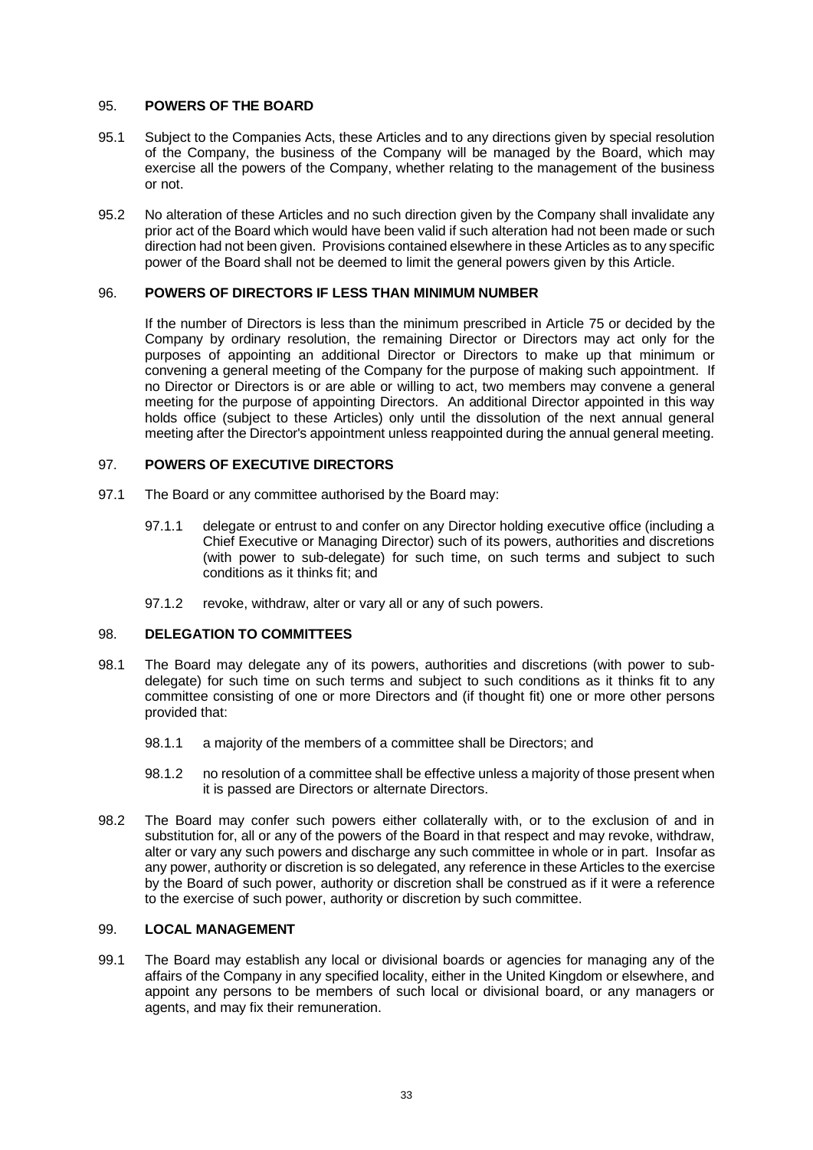#### <span id="page-37-0"></span>95. **POWERS OF THE BOARD**

- 95.1 Subject to the Companies Acts, these Articles and to any directions given by special resolution of the Company, the business of the Company will be managed by the Board, which may exercise all the powers of the Company, whether relating to the management of the business or not.
- 95.2 No alteration of these Articles and no such direction given by the Company shall invalidate any prior act of the Board which would have been valid if such alteration had not been made or such direction had not been given. Provisions contained elsewhere in these Articles as to any specific power of the Board shall not be deemed to limit the general powers given by this Article.

### <span id="page-37-1"></span>96. **POWERS OF DIRECTORS IF LESS THAN MINIMUM NUMBER**

If the number of Directors is less than the minimum prescribed in Article [75](#page-32-1) or decided by the Company by ordinary resolution, the remaining Director or Directors may act only for the purposes of appointing an additional Director or Directors to make up that minimum or convening a general meeting of the Company for the purpose of making such appointment. If no Director or Directors is or are able or willing to act, two members may convene a general meeting for the purpose of appointing Directors. An additional Director appointed in this way holds office (subject to these Articles) only until the dissolution of the next annual general meeting after the Director's appointment unless reappointed during the annual general meeting.

### <span id="page-37-2"></span>97. **POWERS OF EXECUTIVE DIRECTORS**

- 97.1 The Board or any committee authorised by the Board may:
	- 97.1.1 delegate or entrust to and confer on any Director holding executive office (including a Chief Executive or Managing Director) such of its powers, authorities and discretions (with power to sub-delegate) for such time, on such terms and subject to such conditions as it thinks fit; and
	- 97.1.2 revoke, withdraw, alter or vary all or any of such powers.

# <span id="page-37-3"></span>98. **DELEGATION TO COMMITTEES**

- 98.1 The Board may delegate any of its powers, authorities and discretions (with power to subdelegate) for such time on such terms and subject to such conditions as it thinks fit to any committee consisting of one or more Directors and (if thought fit) one or more other persons provided that:
	- 98.1.1 a majority of the members of a committee shall be Directors; and
	- 98.1.2 no resolution of a committee shall be effective unless a majority of those present when it is passed are Directors or alternate Directors.
- 98.2 The Board may confer such powers either collaterally with, or to the exclusion of and in substitution for, all or any of the powers of the Board in that respect and may revoke, withdraw, alter or vary any such powers and discharge any such committee in whole or in part. Insofar as any power, authority or discretion is so delegated, any reference in these Articles to the exercise by the Board of such power, authority or discretion shall be construed as if it were a reference to the exercise of such power, authority or discretion by such committee.

## <span id="page-37-4"></span>99. **LOCAL MANAGEMENT**

99.1 The Board may establish any local or divisional boards or agencies for managing any of the affairs of the Company in any specified locality, either in the United Kingdom or elsewhere, and appoint any persons to be members of such local or divisional board, or any managers or agents, and may fix their remuneration.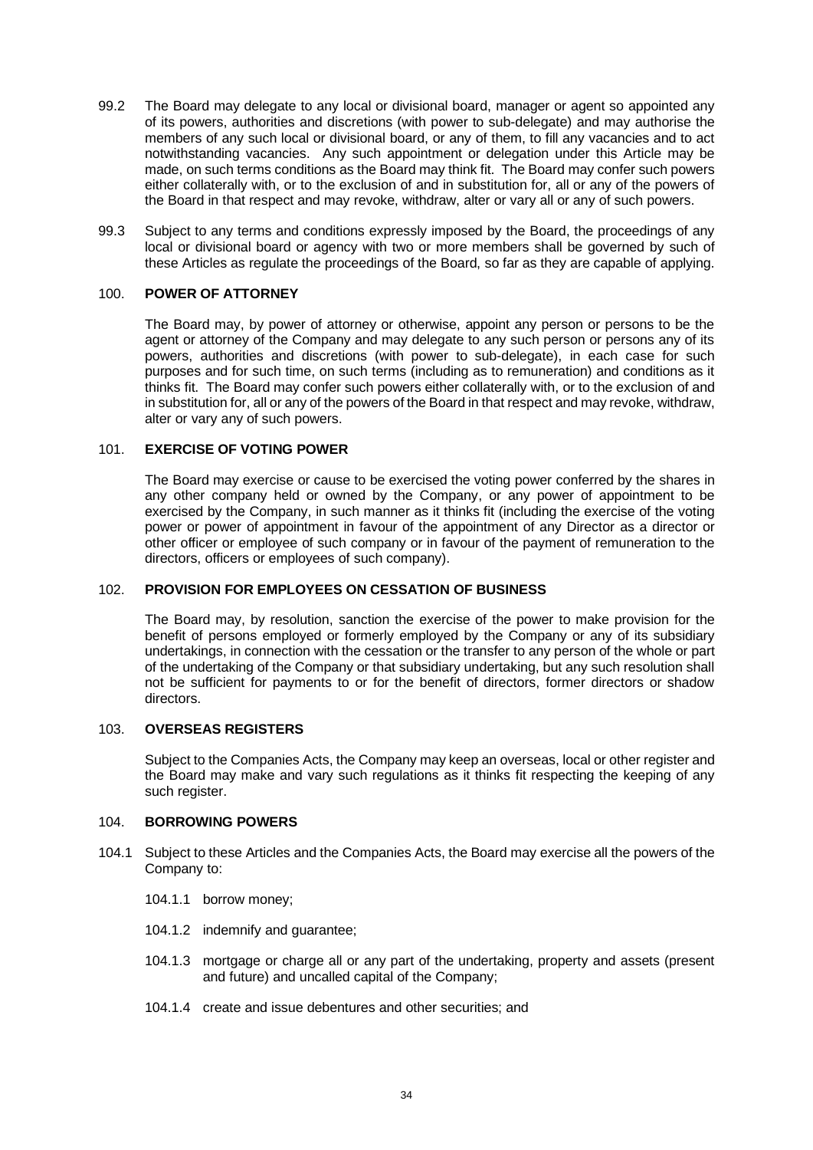- 99.2 The Board may delegate to any local or divisional board, manager or agent so appointed any of its powers, authorities and discretions (with power to sub-delegate) and may authorise the members of any such local or divisional board, or any of them, to fill any vacancies and to act notwithstanding vacancies. Any such appointment or delegation under this Article may be made, on such terms conditions as the Board may think fit. The Board may confer such powers either collaterally with, or to the exclusion of and in substitution for, all or any of the powers of the Board in that respect and may revoke, withdraw, alter or vary all or any of such powers.
- 99.3 Subject to any terms and conditions expressly imposed by the Board, the proceedings of any local or divisional board or agency with two or more members shall be governed by such of these Articles as regulate the proceedings of the Board, so far as they are capable of applying.

### <span id="page-38-0"></span>100. **POWER OF ATTORNEY**

The Board may, by power of attorney or otherwise, appoint any person or persons to be the agent or attorney of the Company and may delegate to any such person or persons any of its powers, authorities and discretions (with power to sub-delegate), in each case for such purposes and for such time, on such terms (including as to remuneration) and conditions as it thinks fit. The Board may confer such powers either collaterally with, or to the exclusion of and in substitution for, all or any of the powers of the Board in that respect and may revoke, withdraw, alter or vary any of such powers.

## <span id="page-38-1"></span>101. **EXERCISE OF VOTING POWER**

The Board may exercise or cause to be exercised the voting power conferred by the shares in any other company held or owned by the Company, or any power of appointment to be exercised by the Company, in such manner as it thinks fit (including the exercise of the voting power or power of appointment in favour of the appointment of any Director as a director or other officer or employee of such company or in favour of the payment of remuneration to the directors, officers or employees of such company).

#### <span id="page-38-2"></span>102. **PROVISION FOR EMPLOYEES ON CESSATION OF BUSINESS**

The Board may, by resolution, sanction the exercise of the power to make provision for the benefit of persons employed or formerly employed by the Company or any of its subsidiary undertakings, in connection with the cessation or the transfer to any person of the whole or part of the undertaking of the Company or that subsidiary undertaking, but any such resolution shall not be sufficient for payments to or for the benefit of directors, former directors or shadow directors.

### <span id="page-38-3"></span>103. **OVERSEAS REGISTERS**

Subject to the Companies Acts, the Company may keep an overseas, local or other register and the Board may make and vary such regulations as it thinks fit respecting the keeping of any such register.

### <span id="page-38-4"></span>104. **BORROWING POWERS**

- 104.1 Subject to these Articles and the Companies Acts, the Board may exercise all the powers of the Company to:
	- 104.1.1 borrow money;
	- 104.1.2 indemnify and guarantee;
	- 104.1.3 mortgage or charge all or any part of the undertaking, property and assets (present and future) and uncalled capital of the Company;
	- 104.1.4 create and issue debentures and other securities; and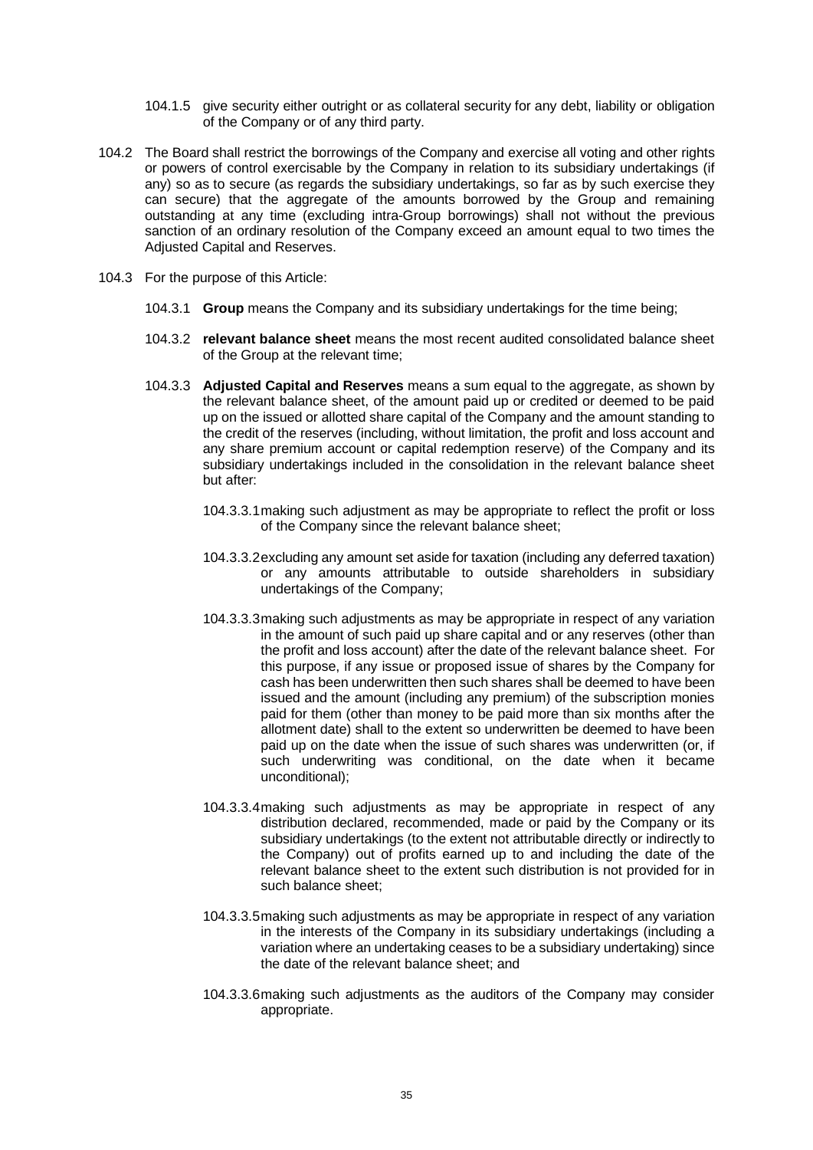- 104.1.5 give security either outright or as collateral security for any debt, liability or obligation of the Company or of any third party.
- 104.2 The Board shall restrict the borrowings of the Company and exercise all voting and other rights or powers of control exercisable by the Company in relation to its subsidiary undertakings (if any) so as to secure (as regards the subsidiary undertakings, so far as by such exercise they can secure) that the aggregate of the amounts borrowed by the Group and remaining outstanding at any time (excluding intra-Group borrowings) shall not without the previous sanction of an ordinary resolution of the Company exceed an amount equal to two times the Adjusted Capital and Reserves.
- 104.3 For the purpose of this Article:
	- 104.3.1 **Group** means the Company and its subsidiary undertakings for the time being;
	- 104.3.2 **relevant balance sheet** means the most recent audited consolidated balance sheet of the Group at the relevant time;
	- 104.3.3 **Adjusted Capital and Reserves** means a sum equal to the aggregate, as shown by the relevant balance sheet, of the amount paid up or credited or deemed to be paid up on the issued or allotted share capital of the Company and the amount standing to the credit of the reserves (including, without limitation, the profit and loss account and any share premium account or capital redemption reserve) of the Company and its subsidiary undertakings included in the consolidation in the relevant balance sheet but after:
		- 104.3.3.1making such adjustment as may be appropriate to reflect the profit or loss of the Company since the relevant balance sheet;
		- 104.3.3.2excluding any amount set aside for taxation (including any deferred taxation) or any amounts attributable to outside shareholders in subsidiary undertakings of the Company;
		- 104.3.3.3making such adjustments as may be appropriate in respect of any variation in the amount of such paid up share capital and or any reserves (other than the profit and loss account) after the date of the relevant balance sheet. For this purpose, if any issue or proposed issue of shares by the Company for cash has been underwritten then such shares shall be deemed to have been issued and the amount (including any premium) of the subscription monies paid for them (other than money to be paid more than six months after the allotment date) shall to the extent so underwritten be deemed to have been paid up on the date when the issue of such shares was underwritten (or, if such underwriting was conditional, on the date when it became unconditional);
		- 104.3.3.4making such adjustments as may be appropriate in respect of any distribution declared, recommended, made or paid by the Company or its subsidiary undertakings (to the extent not attributable directly or indirectly to the Company) out of profits earned up to and including the date of the relevant balance sheet to the extent such distribution is not provided for in such balance sheet;
		- 104.3.3.5making such adjustments as may be appropriate in respect of any variation in the interests of the Company in its subsidiary undertakings (including a variation where an undertaking ceases to be a subsidiary undertaking) since the date of the relevant balance sheet; and
		- 104.3.3.6making such adjustments as the auditors of the Company may consider appropriate.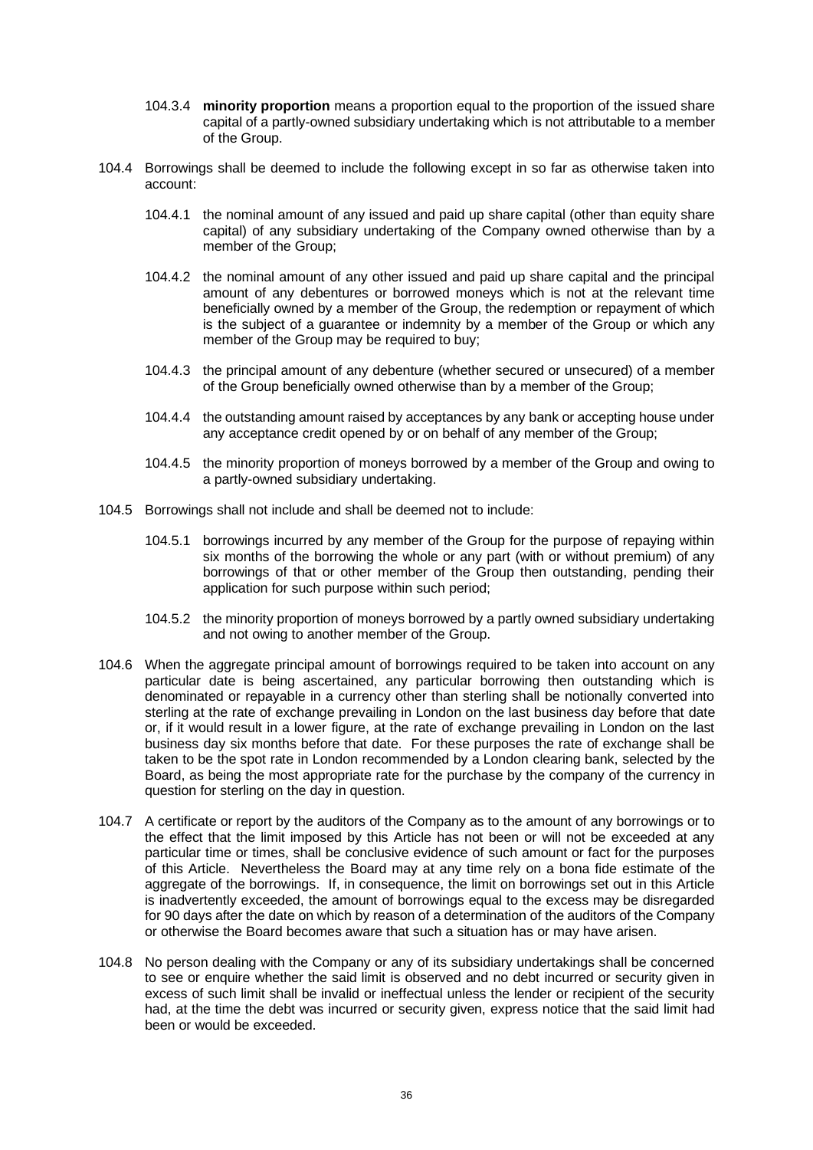- 104.3.4 **minority proportion** means a proportion equal to the proportion of the issued share capital of a partly-owned subsidiary undertaking which is not attributable to a member of the Group.
- 104.4 Borrowings shall be deemed to include the following except in so far as otherwise taken into account:
	- 104.4.1 the nominal amount of any issued and paid up share capital (other than equity share capital) of any subsidiary undertaking of the Company owned otherwise than by a member of the Group;
	- 104.4.2 the nominal amount of any other issued and paid up share capital and the principal amount of any debentures or borrowed moneys which is not at the relevant time beneficially owned by a member of the Group, the redemption or repayment of which is the subject of a guarantee or indemnity by a member of the Group or which any member of the Group may be required to buy;
	- 104.4.3 the principal amount of any debenture (whether secured or unsecured) of a member of the Group beneficially owned otherwise than by a member of the Group;
	- 104.4.4 the outstanding amount raised by acceptances by any bank or accepting house under any acceptance credit opened by or on behalf of any member of the Group;
	- 104.4.5 the minority proportion of moneys borrowed by a member of the Group and owing to a partly-owned subsidiary undertaking.
- 104.5 Borrowings shall not include and shall be deemed not to include:
	- 104.5.1 borrowings incurred by any member of the Group for the purpose of repaying within six months of the borrowing the whole or any part (with or without premium) of any borrowings of that or other member of the Group then outstanding, pending their application for such purpose within such period;
	- 104.5.2 the minority proportion of moneys borrowed by a partly owned subsidiary undertaking and not owing to another member of the Group.
- 104.6 When the aggregate principal amount of borrowings required to be taken into account on any particular date is being ascertained, any particular borrowing then outstanding which is denominated or repayable in a currency other than sterling shall be notionally converted into sterling at the rate of exchange prevailing in London on the last business day before that date or, if it would result in a lower figure, at the rate of exchange prevailing in London on the last business day six months before that date. For these purposes the rate of exchange shall be taken to be the spot rate in London recommended by a London clearing bank, selected by the Board, as being the most appropriate rate for the purchase by the company of the currency in question for sterling on the day in question.
- 104.7 A certificate or report by the auditors of the Company as to the amount of any borrowings or to the effect that the limit imposed by this Article has not been or will not be exceeded at any particular time or times, shall be conclusive evidence of such amount or fact for the purposes of this Article. Nevertheless the Board may at any time rely on a bona fide estimate of the aggregate of the borrowings. If, in consequence, the limit on borrowings set out in this Article is inadvertently exceeded, the amount of borrowings equal to the excess may be disregarded for 90 days after the date on which by reason of a determination of the auditors of the Company or otherwise the Board becomes aware that such a situation has or may have arisen.
- 104.8 No person dealing with the Company or any of its subsidiary undertakings shall be concerned to see or enquire whether the said limit is observed and no debt incurred or security given in excess of such limit shall be invalid or ineffectual unless the lender or recipient of the security had, at the time the debt was incurred or security given, express notice that the said limit had been or would be exceeded.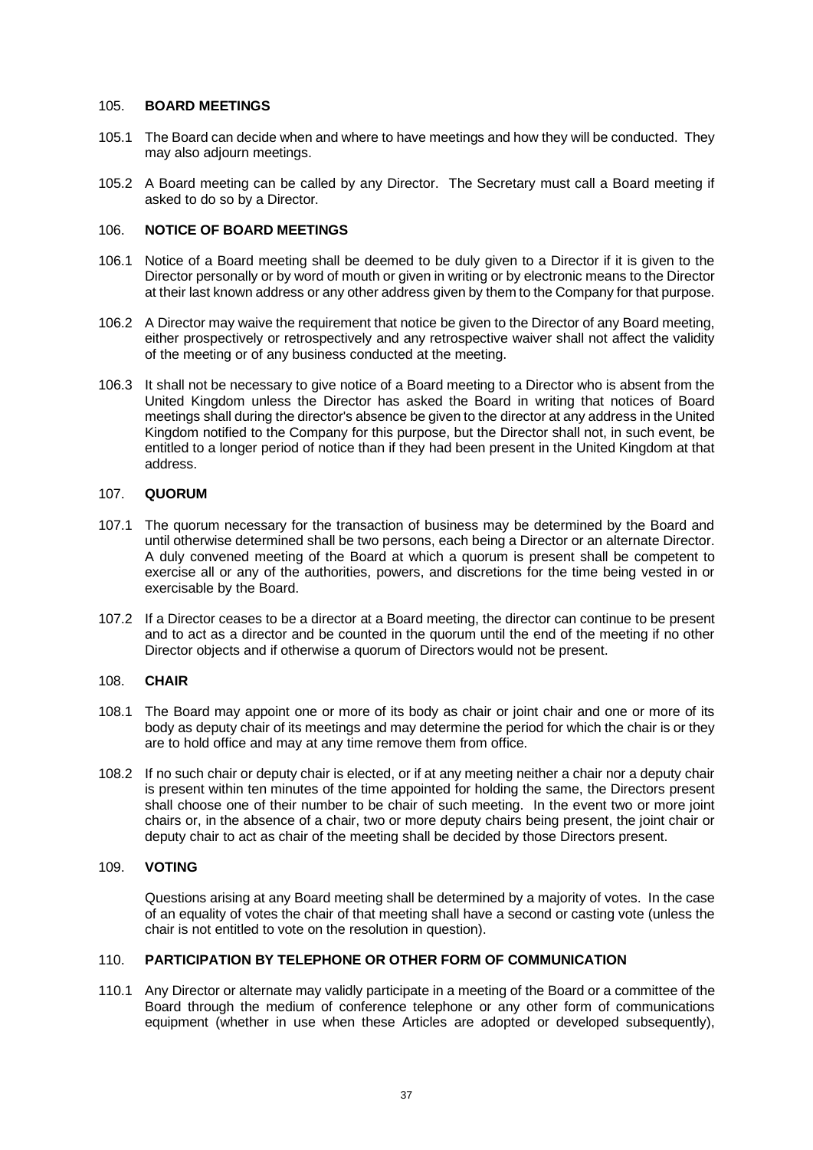#### <span id="page-41-0"></span>105. **BOARD MEETINGS**

- 105.1 The Board can decide when and where to have meetings and how they will be conducted. They may also adjourn meetings.
- 105.2 A Board meeting can be called by any Director. The Secretary must call a Board meeting if asked to do so by a Director.

#### <span id="page-41-1"></span>106. **NOTICE OF BOARD MEETINGS**

- 106.1 Notice of a Board meeting shall be deemed to be duly given to a Director if it is given to the Director personally or by word of mouth or given in writing or by electronic means to the Director at their last known address or any other address given by them to the Company for that purpose.
- 106.2 A Director may waive the requirement that notice be given to the Director of any Board meeting, either prospectively or retrospectively and any retrospective waiver shall not affect the validity of the meeting or of any business conducted at the meeting.
- 106.3 It shall not be necessary to give notice of a Board meeting to a Director who is absent from the United Kingdom unless the Director has asked the Board in writing that notices of Board meetings shall during the director's absence be given to the director at any address in the United Kingdom notified to the Company for this purpose, but the Director shall not, in such event, be entitled to a longer period of notice than if they had been present in the United Kingdom at that address.

#### <span id="page-41-2"></span>107. **QUORUM**

- 107.1 The quorum necessary for the transaction of business may be determined by the Board and until otherwise determined shall be two persons, each being a Director or an alternate Director. A duly convened meeting of the Board at which a quorum is present shall be competent to exercise all or any of the authorities, powers, and discretions for the time being vested in or exercisable by the Board.
- 107.2 If a Director ceases to be a director at a Board meeting, the director can continue to be present and to act as a director and be counted in the quorum until the end of the meeting if no other Director objects and if otherwise a quorum of Directors would not be present.

#### <span id="page-41-3"></span>108. **CHAIR**

- 108.1 The Board may appoint one or more of its body as chair or joint chair and one or more of its body as deputy chair of its meetings and may determine the period for which the chair is or they are to hold office and may at any time remove them from office.
- 108.2 If no such chair or deputy chair is elected, or if at any meeting neither a chair nor a deputy chair is present within ten minutes of the time appointed for holding the same, the Directors present shall choose one of their number to be chair of such meeting. In the event two or more joint chairs or, in the absence of a chair, two or more deputy chairs being present, the joint chair or deputy chair to act as chair of the meeting shall be decided by those Directors present.

### <span id="page-41-4"></span>109. **VOTING**

Questions arising at any Board meeting shall be determined by a majority of votes. In the case of an equality of votes the chair of that meeting shall have a second or casting vote (unless the chair is not entitled to vote on the resolution in question).

# <span id="page-41-5"></span>110. **PARTICIPATION BY TELEPHONE OR OTHER FORM OF COMMUNICATION**

110.1 Any Director or alternate may validly participate in a meeting of the Board or a committee of the Board through the medium of conference telephone or any other form of communications equipment (whether in use when these Articles are adopted or developed subsequently),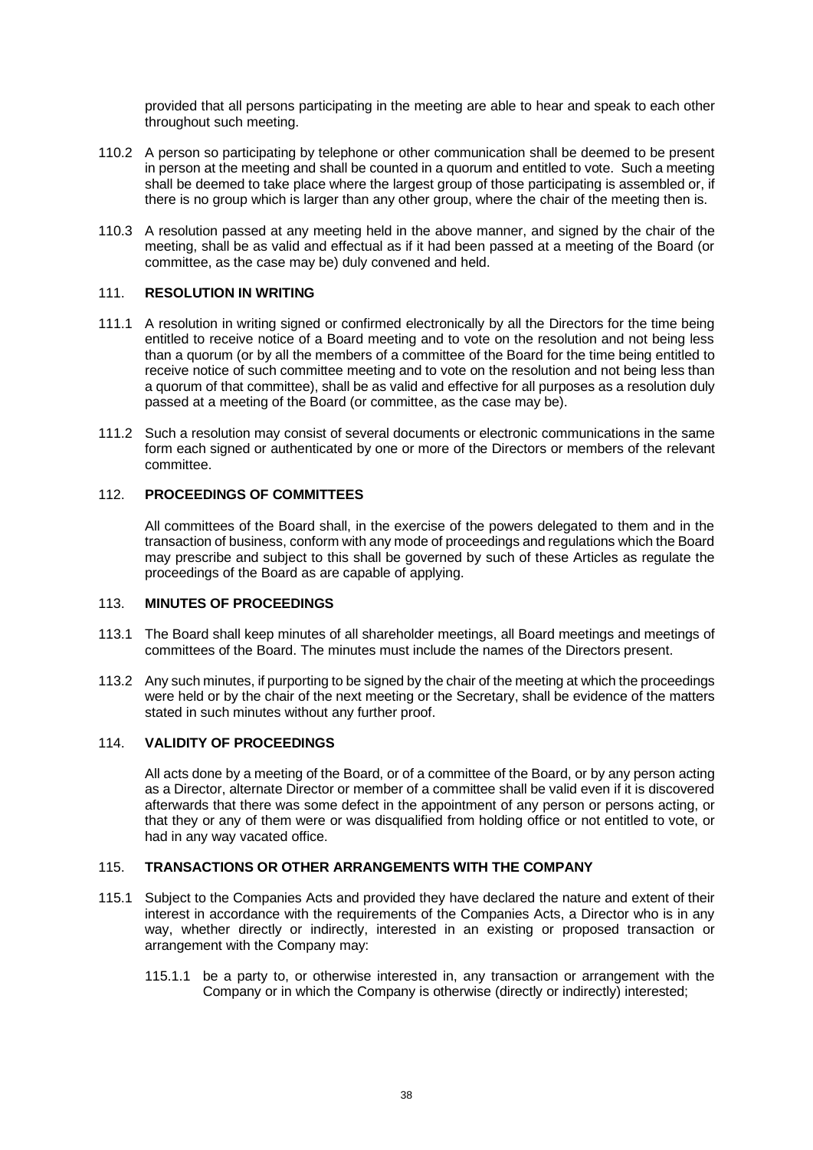provided that all persons participating in the meeting are able to hear and speak to each other throughout such meeting.

- 110.2 A person so participating by telephone or other communication shall be deemed to be present in person at the meeting and shall be counted in a quorum and entitled to vote. Such a meeting shall be deemed to take place where the largest group of those participating is assembled or, if there is no group which is larger than any other group, where the chair of the meeting then is.
- 110.3 A resolution passed at any meeting held in the above manner, and signed by the chair of the meeting, shall be as valid and effectual as if it had been passed at a meeting of the Board (or committee, as the case may be) duly convened and held.

### <span id="page-42-0"></span>111. **RESOLUTION IN WRITING**

- 111.1 A resolution in writing signed or confirmed electronically by all the Directors for the time being entitled to receive notice of a Board meeting and to vote on the resolution and not being less than a quorum (or by all the members of a committee of the Board for the time being entitled to receive notice of such committee meeting and to vote on the resolution and not being less than a quorum of that committee), shall be as valid and effective for all purposes as a resolution duly passed at a meeting of the Board (or committee, as the case may be).
- 111.2 Such a resolution may consist of several documents or electronic communications in the same form each signed or authenticated by one or more of the Directors or members of the relevant committee.

### <span id="page-42-1"></span>112. **PROCEEDINGS OF COMMITTEES**

All committees of the Board shall, in the exercise of the powers delegated to them and in the transaction of business, conform with any mode of proceedings and regulations which the Board may prescribe and subject to this shall be governed by such of these Articles as regulate the proceedings of the Board as are capable of applying.

#### <span id="page-42-2"></span>113. **MINUTES OF PROCEEDINGS**

- 113.1 The Board shall keep minutes of all shareholder meetings, all Board meetings and meetings of committees of the Board. The minutes must include the names of the Directors present.
- 113.2 Any such minutes, if purporting to be signed by the chair of the meeting at which the proceedings were held or by the chair of the next meeting or the Secretary, shall be evidence of the matters stated in such minutes without any further proof.

### <span id="page-42-3"></span>114. **VALIDITY OF PROCEEDINGS**

All acts done by a meeting of the Board, or of a committee of the Board, or by any person acting as a Director, alternate Director or member of a committee shall be valid even if it is discovered afterwards that there was some defect in the appointment of any person or persons acting, or that they or any of them were or was disqualified from holding office or not entitled to vote, or had in any way vacated office.

# <span id="page-42-4"></span>115. **TRANSACTIONS OR OTHER ARRANGEMENTS WITH THE COMPANY**

- 115.1 Subject to the Companies Acts and provided they have declared the nature and extent of their interest in accordance with the requirements of the Companies Acts, a Director who is in any way, whether directly or indirectly, interested in an existing or proposed transaction or arrangement with the Company may:
	- 115.1.1 be a party to, or otherwise interested in, any transaction or arrangement with the Company or in which the Company is otherwise (directly or indirectly) interested;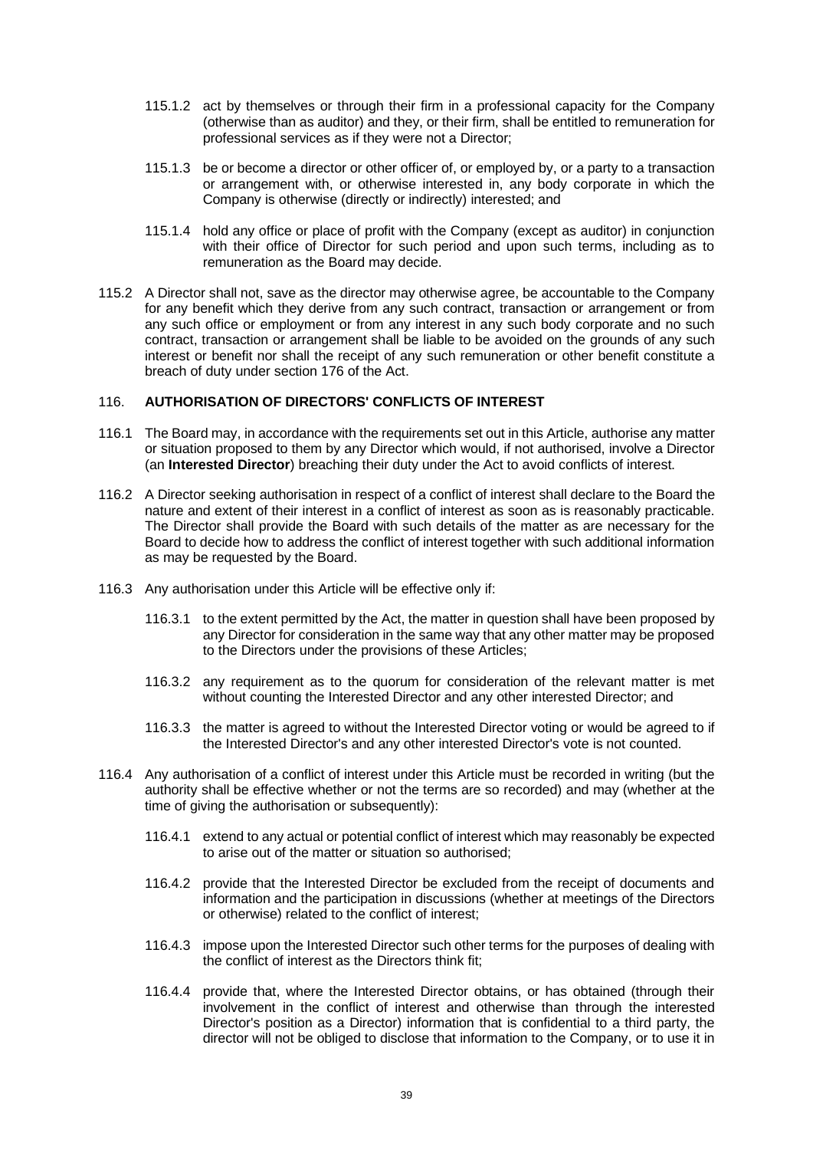- 115.1.2 act by themselves or through their firm in a professional capacity for the Company (otherwise than as auditor) and they, or their firm, shall be entitled to remuneration for professional services as if they were not a Director;
- 115.1.3 be or become a director or other officer of, or employed by, or a party to a transaction or arrangement with, or otherwise interested in, any body corporate in which the Company is otherwise (directly or indirectly) interested; and
- 115.1.4 hold any office or place of profit with the Company (except as auditor) in conjunction with their office of Director for such period and upon such terms, including as to remuneration as the Board may decide.
- 115.2 A Director shall not, save as the director may otherwise agree, be accountable to the Company for any benefit which they derive from any such contract, transaction or arrangement or from any such office or employment or from any interest in any such body corporate and no such contract, transaction or arrangement shall be liable to be avoided on the grounds of any such interest or benefit nor shall the receipt of any such remuneration or other benefit constitute a breach of duty under section 176 of the Act.

# <span id="page-43-0"></span>116. **AUTHORISATION OF DIRECTORS' CONFLICTS OF INTEREST**

- 116.1 The Board may, in accordance with the requirements set out in this Article, authorise any matter or situation proposed to them by any Director which would, if not authorised, involve a Director (an **Interested Director**) breaching their duty under the Act to avoid conflicts of interest.
- 116.2 A Director seeking authorisation in respect of a conflict of interest shall declare to the Board the nature and extent of their interest in a conflict of interest as soon as is reasonably practicable. The Director shall provide the Board with such details of the matter as are necessary for the Board to decide how to address the conflict of interest together with such additional information as may be requested by the Board.
- 116.3 Any authorisation under this Article will be effective only if:
	- 116.3.1 to the extent permitted by the Act, the matter in question shall have been proposed by any Director for consideration in the same way that any other matter may be proposed to the Directors under the provisions of these Articles;
	- 116.3.2 any requirement as to the quorum for consideration of the relevant matter is met without counting the Interested Director and any other interested Director; and
	- 116.3.3 the matter is agreed to without the Interested Director voting or would be agreed to if the Interested Director's and any other interested Director's vote is not counted.
- 116.4 Any authorisation of a conflict of interest under this Article must be recorded in writing (but the authority shall be effective whether or not the terms are so recorded) and may (whether at the time of giving the authorisation or subsequently):
	- 116.4.1 extend to any actual or potential conflict of interest which may reasonably be expected to arise out of the matter or situation so authorised;
	- 116.4.2 provide that the Interested Director be excluded from the receipt of documents and information and the participation in discussions (whether at meetings of the Directors or otherwise) related to the conflict of interest;
	- 116.4.3 impose upon the Interested Director such other terms for the purposes of dealing with the conflict of interest as the Directors think fit;
	- 116.4.4 provide that, where the Interested Director obtains, or has obtained (through their involvement in the conflict of interest and otherwise than through the interested Director's position as a Director) information that is confidential to a third party, the director will not be obliged to disclose that information to the Company, or to use it in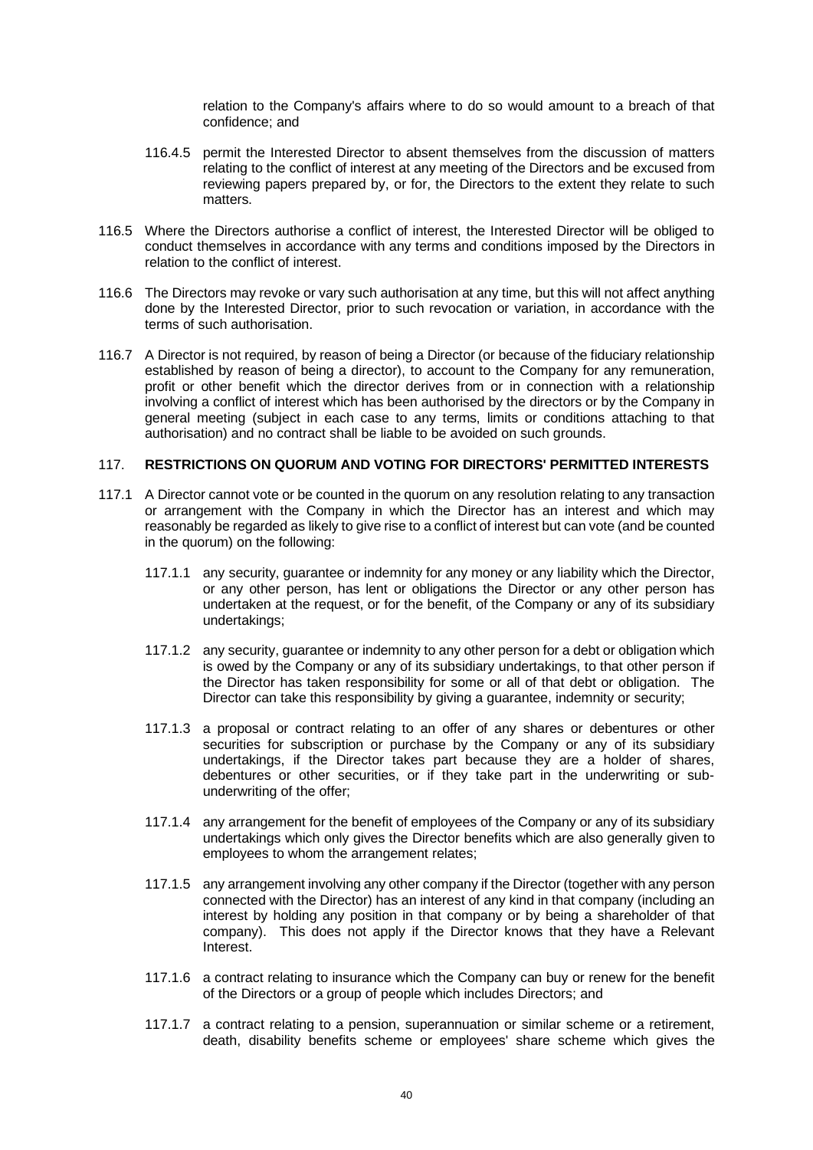relation to the Company's affairs where to do so would amount to a breach of that confidence; and

- 116.4.5 permit the Interested Director to absent themselves from the discussion of matters relating to the conflict of interest at any meeting of the Directors and be excused from reviewing papers prepared by, or for, the Directors to the extent they relate to such matters.
- 116.5 Where the Directors authorise a conflict of interest, the Interested Director will be obliged to conduct themselves in accordance with any terms and conditions imposed by the Directors in relation to the conflict of interest.
- 116.6 The Directors may revoke or vary such authorisation at any time, but this will not affect anything done by the Interested Director, prior to such revocation or variation, in accordance with the terms of such authorisation.
- 116.7 A Director is not required, by reason of being a Director (or because of the fiduciary relationship established by reason of being a director), to account to the Company for any remuneration, profit or other benefit which the director derives from or in connection with a relationship involving a conflict of interest which has been authorised by the directors or by the Company in general meeting (subject in each case to any terms, limits or conditions attaching to that authorisation) and no contract shall be liable to be avoided on such grounds.

#### <span id="page-44-0"></span>117. **RESTRICTIONS ON QUORUM AND VOTING FOR DIRECTORS' PERMITTED INTERESTS**

- 117.1 A Director cannot vote or be counted in the quorum on any resolution relating to any transaction or arrangement with the Company in which the Director has an interest and which may reasonably be regarded as likely to give rise to a conflict of interest but can vote (and be counted in the quorum) on the following:
	- 117.1.1 any security, guarantee or indemnity for any money or any liability which the Director, or any other person, has lent or obligations the Director or any other person has undertaken at the request, or for the benefit, of the Company or any of its subsidiary undertakings;
	- 117.1.2 any security, guarantee or indemnity to any other person for a debt or obligation which is owed by the Company or any of its subsidiary undertakings, to that other person if the Director has taken responsibility for some or all of that debt or obligation. The Director can take this responsibility by giving a guarantee, indemnity or security;
	- 117.1.3 a proposal or contract relating to an offer of any shares or debentures or other securities for subscription or purchase by the Company or any of its subsidiary undertakings, if the Director takes part because they are a holder of shares, debentures or other securities, or if they take part in the underwriting or subunderwriting of the offer;
	- 117.1.4 any arrangement for the benefit of employees of the Company or any of its subsidiary undertakings which only gives the Director benefits which are also generally given to employees to whom the arrangement relates;
	- 117.1.5 any arrangement involving any other company if the Director (together with any person connected with the Director) has an interest of any kind in that company (including an interest by holding any position in that company or by being a shareholder of that company). This does not apply if the Director knows that they have a Relevant Interest.
	- 117.1.6 a contract relating to insurance which the Company can buy or renew for the benefit of the Directors or a group of people which includes Directors; and
	- 117.1.7 a contract relating to a pension, superannuation or similar scheme or a retirement, death, disability benefits scheme or employees' share scheme which gives the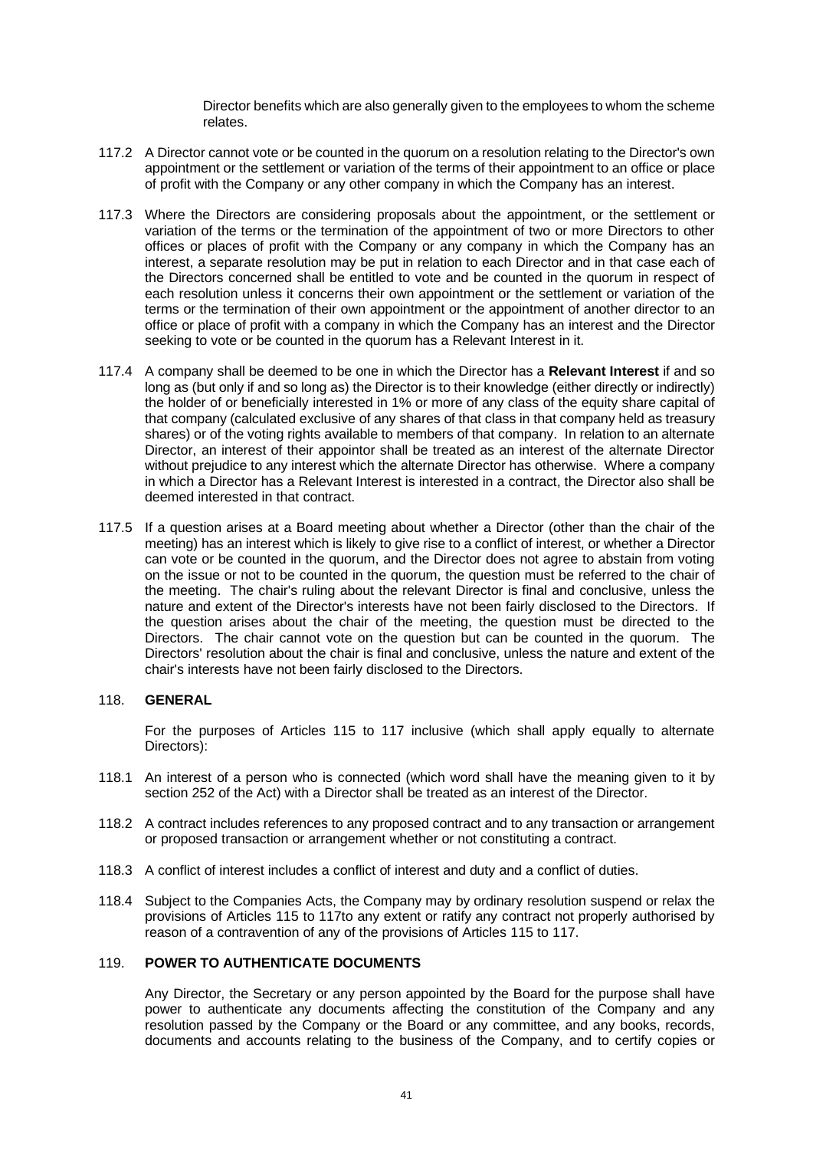Director benefits which are also generally given to the employees to whom the scheme relates.

- 117.2 A Director cannot vote or be counted in the quorum on a resolution relating to the Director's own appointment or the settlement or variation of the terms of their appointment to an office or place of profit with the Company or any other company in which the Company has an interest.
- 117.3 Where the Directors are considering proposals about the appointment, or the settlement or variation of the terms or the termination of the appointment of two or more Directors to other offices or places of profit with the Company or any company in which the Company has an interest, a separate resolution may be put in relation to each Director and in that case each of the Directors concerned shall be entitled to vote and be counted in the quorum in respect of each resolution unless it concerns their own appointment or the settlement or variation of the terms or the termination of their own appointment or the appointment of another director to an office or place of profit with a company in which the Company has an interest and the Director seeking to vote or be counted in the quorum has a Relevant Interest in it.
- 117.4 A company shall be deemed to be one in which the Director has a **Relevant Interest** if and so long as (but only if and so long as) the Director is to their knowledge (either directly or indirectly) the holder of or beneficially interested in 1% or more of any class of the equity share capital of that company (calculated exclusive of any shares of that class in that company held as treasury shares) or of the voting rights available to members of that company. In relation to an alternate Director, an interest of their appointor shall be treated as an interest of the alternate Director without prejudice to any interest which the alternate Director has otherwise. Where a company in which a Director has a Relevant Interest is interested in a contract, the Director also shall be deemed interested in that contract.
- 117.5 If a question arises at a Board meeting about whether a Director (other than the chair of the meeting) has an interest which is likely to give rise to a conflict of interest, or whether a Director can vote or be counted in the quorum, and the Director does not agree to abstain from voting on the issue or not to be counted in the quorum, the question must be referred to the chair of the meeting. The chair's ruling about the relevant Director is final and conclusive, unless the nature and extent of the Director's interests have not been fairly disclosed to the Directors. If the question arises about the chair of the meeting, the question must be directed to the Directors. The chair cannot vote on the question but can be counted in the quorum. The Directors' resolution about the chair is final and conclusive, unless the nature and extent of the chair's interests have not been fairly disclosed to the Directors.

### <span id="page-45-0"></span>118. **GENERAL**

For the purposes of Articles [115](#page-42-4) to [117](#page-44-0) inclusive (which shall apply equally to alternate Directors):

- 118.1 An interest of a person who is connected (which word shall have the meaning given to it by section 252 of the Act) with a Director shall be treated as an interest of the Director.
- 118.2 A contract includes references to any proposed contract and to any transaction or arrangement or proposed transaction or arrangement whether or not constituting a contract.
- 118.3 A conflict of interest includes a conflict of interest and duty and a conflict of duties.
- 118.4 Subject to the Companies Acts, the Company may by ordinary resolution suspend or relax the provisions of Articles [115](#page-42-4) to [117t](#page-44-0)o any extent or ratify any contract not properly authorised by reason of a contravention of any of the provisions of Articles [115](#page-42-4) t[o 117.](#page-44-0)

### <span id="page-45-1"></span>119. **POWER TO AUTHENTICATE DOCUMENTS**

Any Director, the Secretary or any person appointed by the Board for the purpose shall have power to authenticate any documents affecting the constitution of the Company and any resolution passed by the Company or the Board or any committee, and any books, records, documents and accounts relating to the business of the Company, and to certify copies or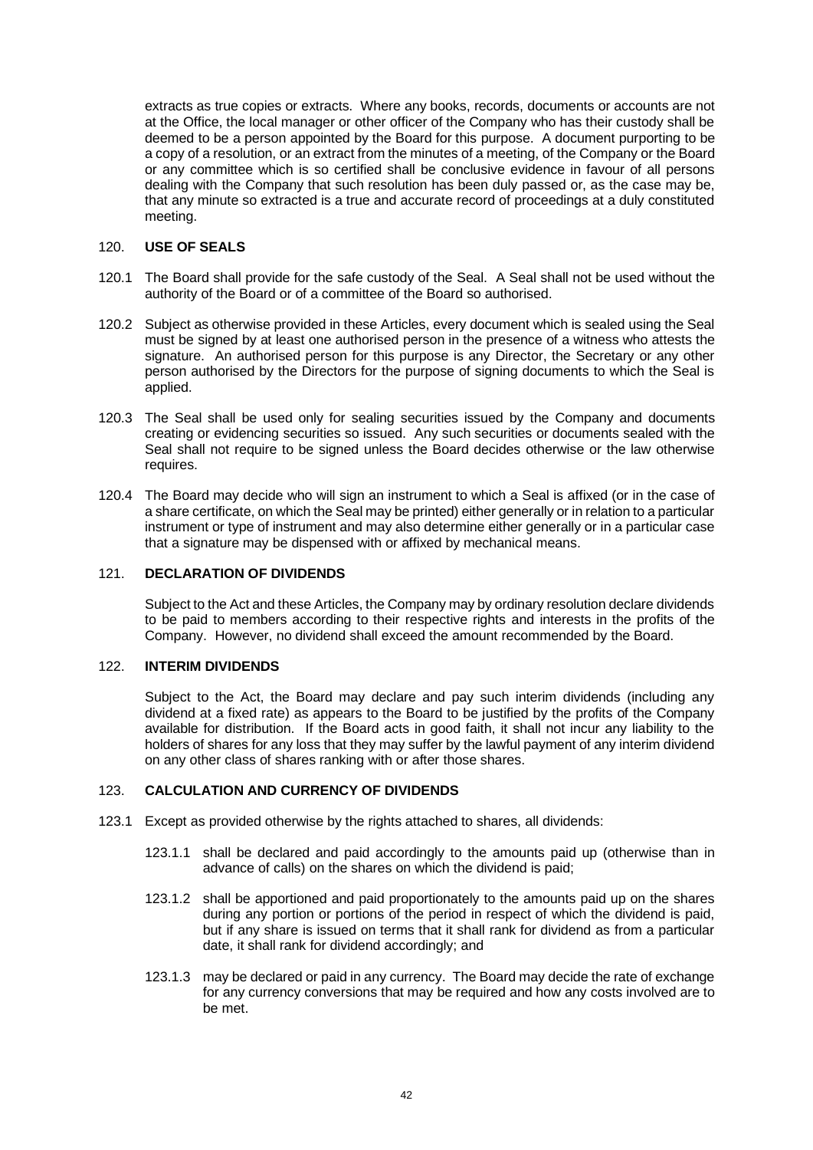extracts as true copies or extracts. Where any books, records, documents or accounts are not at the Office, the local manager or other officer of the Company who has their custody shall be deemed to be a person appointed by the Board for this purpose. A document purporting to be a copy of a resolution, or an extract from the minutes of a meeting, of the Company or the Board or any committee which is so certified shall be conclusive evidence in favour of all persons dealing with the Company that such resolution has been duly passed or, as the case may be, that any minute so extracted is a true and accurate record of proceedings at a duly constituted meeting.

### <span id="page-46-0"></span>120. **USE OF SEALS**

- 120.1 The Board shall provide for the safe custody of the Seal. A Seal shall not be used without the authority of the Board or of a committee of the Board so authorised.
- 120.2 Subject as otherwise provided in these Articles, every document which is sealed using the Seal must be signed by at least one authorised person in the presence of a witness who attests the signature. An authorised person for this purpose is any Director, the Secretary or any other person authorised by the Directors for the purpose of signing documents to which the Seal is applied.
- 120.3 The Seal shall be used only for sealing securities issued by the Company and documents creating or evidencing securities so issued. Any such securities or documents sealed with the Seal shall not require to be signed unless the Board decides otherwise or the law otherwise requires.
- 120.4 The Board may decide who will sign an instrument to which a Seal is affixed (or in the case of a share certificate, on which the Seal may be printed) either generally or in relation to a particular instrument or type of instrument and may also determine either generally or in a particular case that a signature may be dispensed with or affixed by mechanical means.

### <span id="page-46-1"></span>121. **DECLARATION OF DIVIDENDS**

Subject to the Act and these Articles, the Company may by ordinary resolution declare dividends to be paid to members according to their respective rights and interests in the profits of the Company. However, no dividend shall exceed the amount recommended by the Board.

#### <span id="page-46-2"></span>122. **INTERIM DIVIDENDS**

Subject to the Act, the Board may declare and pay such interim dividends (including any dividend at a fixed rate) as appears to the Board to be justified by the profits of the Company available for distribution. If the Board acts in good faith, it shall not incur any liability to the holders of shares for any loss that they may suffer by the lawful payment of any interim dividend on any other class of shares ranking with or after those shares.

#### <span id="page-46-3"></span>123. **CALCULATION AND CURRENCY OF DIVIDENDS**

- 123.1 Except as provided otherwise by the rights attached to shares, all dividends:
	- 123.1.1 shall be declared and paid accordingly to the amounts paid up (otherwise than in advance of calls) on the shares on which the dividend is paid;
	- 123.1.2 shall be apportioned and paid proportionately to the amounts paid up on the shares during any portion or portions of the period in respect of which the dividend is paid, but if any share is issued on terms that it shall rank for dividend as from a particular date, it shall rank for dividend accordingly; and
	- 123.1.3 may be declared or paid in any currency. The Board may decide the rate of exchange for any currency conversions that may be required and how any costs involved are to be met.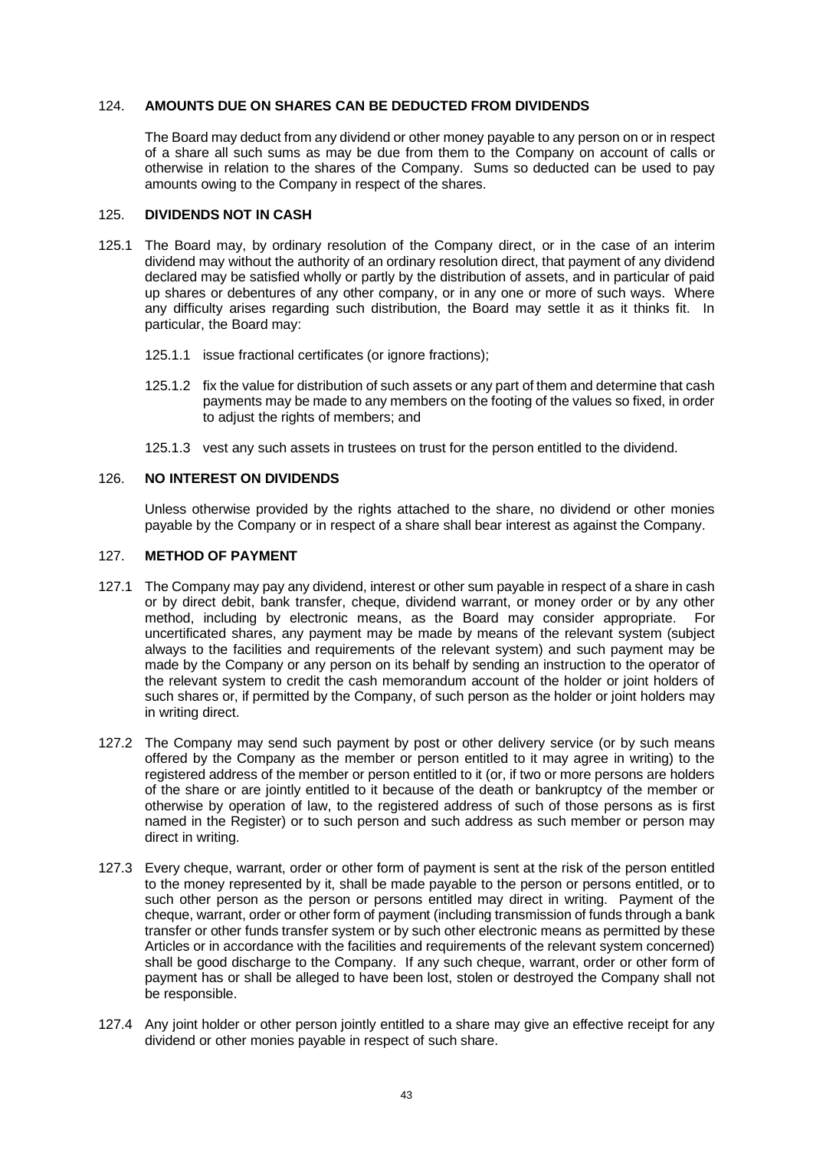### <span id="page-47-0"></span>124. **AMOUNTS DUE ON SHARES CAN BE DEDUCTED FROM DIVIDENDS**

The Board may deduct from any dividend or other money payable to any person on or in respect of a share all such sums as may be due from them to the Company on account of calls or otherwise in relation to the shares of the Company. Sums so deducted can be used to pay amounts owing to the Company in respect of the shares.

#### <span id="page-47-1"></span>125. **DIVIDENDS NOT IN CASH**

- 125.1 The Board may, by ordinary resolution of the Company direct, or in the case of an interim dividend may without the authority of an ordinary resolution direct, that payment of any dividend declared may be satisfied wholly or partly by the distribution of assets, and in particular of paid up shares or debentures of any other company, or in any one or more of such ways. Where any difficulty arises regarding such distribution, the Board may settle it as it thinks fit. In particular, the Board may:
	- 125.1.1 issue fractional certificates (or ignore fractions);
	- 125.1.2 fix the value for distribution of such assets or any part of them and determine that cash payments may be made to any members on the footing of the values so fixed, in order to adjust the rights of members; and
	- 125.1.3 vest any such assets in trustees on trust for the person entitled to the dividend.

### <span id="page-47-2"></span>126. **NO INTEREST ON DIVIDENDS**

Unless otherwise provided by the rights attached to the share, no dividend or other monies payable by the Company or in respect of a share shall bear interest as against the Company.

#### <span id="page-47-3"></span>127. **METHOD OF PAYMENT**

- 127.1 The Company may pay any dividend, interest or other sum payable in respect of a share in cash or by direct debit, bank transfer, cheque, dividend warrant, or money order or by any other method, including by electronic means, as the Board may consider appropriate. For uncertificated shares, any payment may be made by means of the relevant system (subject always to the facilities and requirements of the relevant system) and such payment may be made by the Company or any person on its behalf by sending an instruction to the operator of the relevant system to credit the cash memorandum account of the holder or joint holders of such shares or, if permitted by the Company, of such person as the holder or joint holders may in writing direct.
- 127.2 The Company may send such payment by post or other delivery service (or by such means offered by the Company as the member or person entitled to it may agree in writing) to the registered address of the member or person entitled to it (or, if two or more persons are holders of the share or are jointly entitled to it because of the death or bankruptcy of the member or otherwise by operation of law, to the registered address of such of those persons as is first named in the Register) or to such person and such address as such member or person may direct in writing.
- 127.3 Every cheque, warrant, order or other form of payment is sent at the risk of the person entitled to the money represented by it, shall be made payable to the person or persons entitled, or to such other person as the person or persons entitled may direct in writing. Payment of the cheque, warrant, order or other form of payment (including transmission of funds through a bank transfer or other funds transfer system or by such other electronic means as permitted by these Articles or in accordance with the facilities and requirements of the relevant system concerned) shall be good discharge to the Company. If any such cheque, warrant, order or other form of payment has or shall be alleged to have been lost, stolen or destroyed the Company shall not be responsible.
- 127.4 Any joint holder or other person jointly entitled to a share may give an effective receipt for any dividend or other monies payable in respect of such share.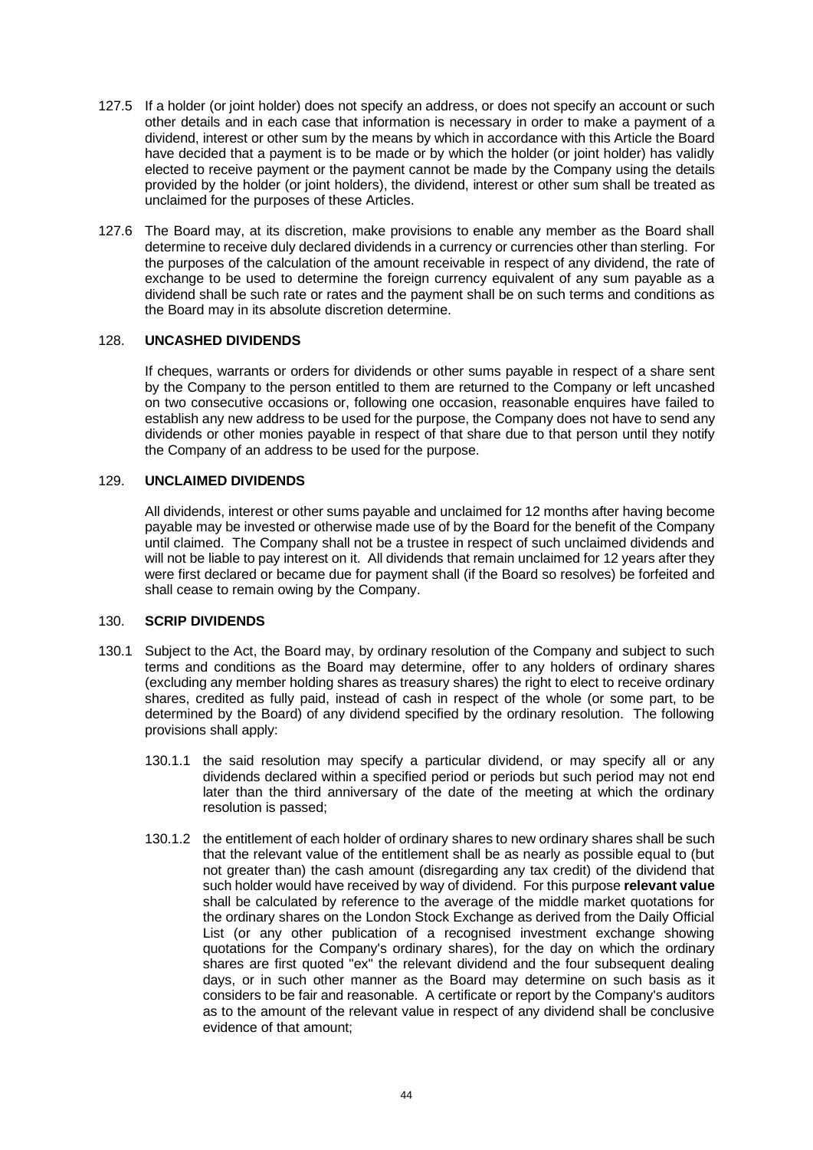- 127.5 If a holder (or joint holder) does not specify an address, or does not specify an account or such other details and in each case that information is necessary in order to make a payment of a dividend, interest or other sum by the means by which in accordance with this Article the Board have decided that a payment is to be made or by which the holder (or joint holder) has validly elected to receive payment or the payment cannot be made by the Company using the details provided by the holder (or joint holders), the dividend, interest or other sum shall be treated as unclaimed for the purposes of these Articles.
- 127.6 The Board may, at its discretion, make provisions to enable any member as the Board shall determine to receive duly declared dividends in a currency or currencies other than sterling. For the purposes of the calculation of the amount receivable in respect of any dividend, the rate of exchange to be used to determine the foreign currency equivalent of any sum payable as a dividend shall be such rate or rates and the payment shall be on such terms and conditions as the Board may in its absolute discretion determine.

#### <span id="page-48-0"></span>128. **UNCASHED DIVIDENDS**

If cheques, warrants or orders for dividends or other sums payable in respect of a share sent by the Company to the person entitled to them are returned to the Company or left uncashed on two consecutive occasions or, following one occasion, reasonable enquires have failed to establish any new address to be used for the purpose, the Company does not have to send any dividends or other monies payable in respect of that share due to that person until they notify the Company of an address to be used for the purpose.

### <span id="page-48-1"></span>129. **UNCLAIMED DIVIDENDS**

All dividends, interest or other sums payable and unclaimed for 12 months after having become payable may be invested or otherwise made use of by the Board for the benefit of the Company until claimed. The Company shall not be a trustee in respect of such unclaimed dividends and will not be liable to pay interest on it. All dividends that remain unclaimed for 12 years after they were first declared or became due for payment shall (if the Board so resolves) be forfeited and shall cease to remain owing by the Company.

#### <span id="page-48-2"></span>130. **SCRIP DIVIDENDS**

- 130.1 Subject to the Act, the Board may, by ordinary resolution of the Company and subject to such terms and conditions as the Board may determine, offer to any holders of ordinary shares (excluding any member holding shares as treasury shares) the right to elect to receive ordinary shares, credited as fully paid, instead of cash in respect of the whole (or some part, to be determined by the Board) of any dividend specified by the ordinary resolution. The following provisions shall apply:
	- 130.1.1 the said resolution may specify a particular dividend, or may specify all or any dividends declared within a specified period or periods but such period may not end later than the third anniversary of the date of the meeting at which the ordinary resolution is passed;
	- 130.1.2 the entitlement of each holder of ordinary shares to new ordinary shares shall be such that the relevant value of the entitlement shall be as nearly as possible equal to (but not greater than) the cash amount (disregarding any tax credit) of the dividend that such holder would have received by way of dividend. For this purpose **relevant value** shall be calculated by reference to the average of the middle market quotations for the ordinary shares on the London Stock Exchange as derived from the Daily Official List (or any other publication of a recognised investment exchange showing quotations for the Company's ordinary shares), for the day on which the ordinary shares are first quoted "ex" the relevant dividend and the four subsequent dealing days, or in such other manner as the Board may determine on such basis as it considers to be fair and reasonable. A certificate or report by the Company's auditors as to the amount of the relevant value in respect of any dividend shall be conclusive evidence of that amount;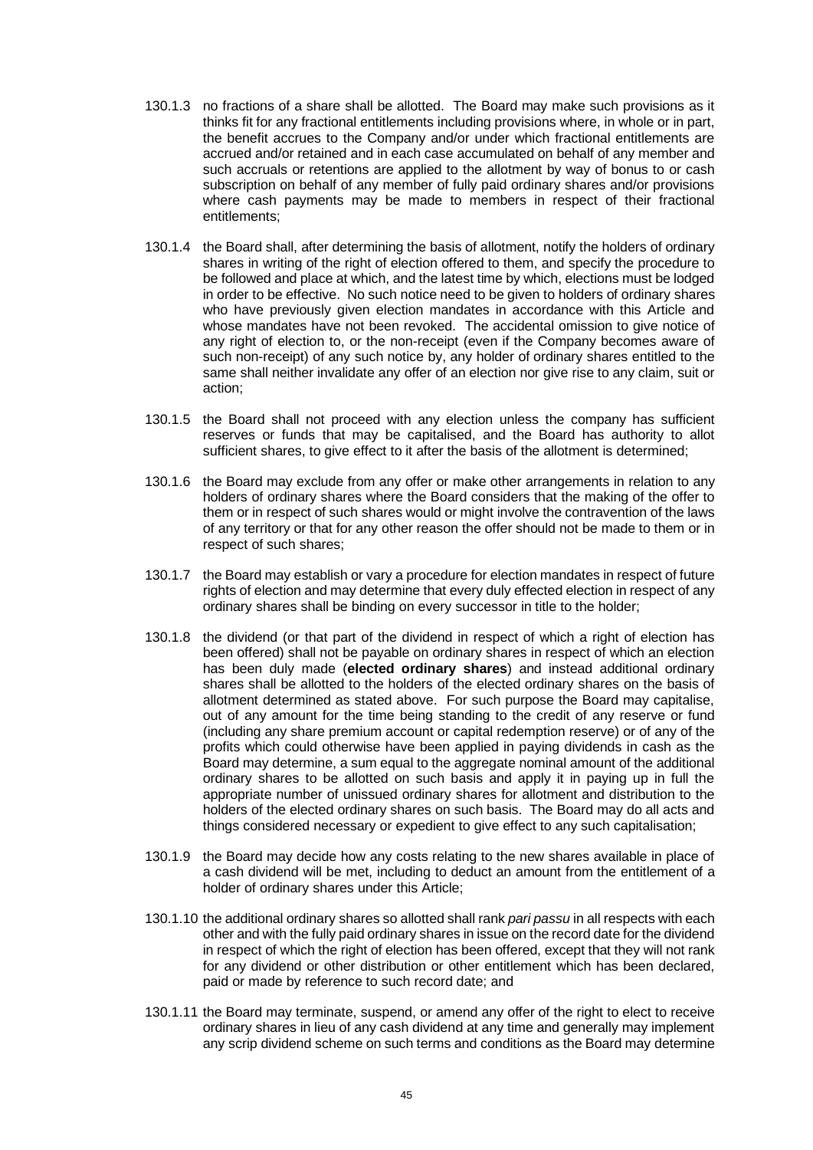- 130.1.3 no fractions of a share shall be allotted. The Board may make such provisions as it thinks fit for any fractional entitlements including provisions where, in whole or in part, the benefit accrues to the Company and/or under which fractional entitlements are accrued and/or retained and in each case accumulated on behalf of any member and such accruals or retentions are applied to the allotment by way of bonus to or cash subscription on behalf of any member of fully paid ordinary shares and/or provisions where cash payments may be made to members in respect of their fractional entitlements;
- 130.1.4 the Board shall, after determining the basis of allotment, notify the holders of ordinary shares in writing of the right of election offered to them, and specify the procedure to be followed and place at which, and the latest time by which, elections must be lodged in order to be effective. No such notice need to be given to holders of ordinary shares who have previously given election mandates in accordance with this Article and whose mandates have not been revoked. The accidental omission to give notice of any right of election to, or the non-receipt (even if the Company becomes aware of such non-receipt) of any such notice by, any holder of ordinary shares entitled to the same shall neither invalidate any offer of an election nor give rise to any claim, suit or action;
- 130.1.5 the Board shall not proceed with any election unless the company has sufficient reserves or funds that may be capitalised, and the Board has authority to allot sufficient shares, to give effect to it after the basis of the allotment is determined;
- 130.1.6 the Board may exclude from any offer or make other arrangements in relation to any holders of ordinary shares where the Board considers that the making of the offer to them or in respect of such shares would or might involve the contravention of the laws of any territory or that for any other reason the offer should not be made to them or in respect of such shares;
- 130.1.7 the Board may establish or vary a procedure for election mandates in respect of future rights of election and may determine that every duly effected election in respect of any ordinary shares shall be binding on every successor in title to the holder;
- 130.1.8 the dividend (or that part of the dividend in respect of which a right of election has been offered) shall not be payable on ordinary shares in respect of which an election has been duly made (**elected ordinary shares**) and instead additional ordinary shares shall be allotted to the holders of the elected ordinary shares on the basis of allotment determined as stated above. For such purpose the Board may capitalise, out of any amount for the time being standing to the credit of any reserve or fund (including any share premium account or capital redemption reserve) or of any of the profits which could otherwise have been applied in paying dividends in cash as the Board may determine, a sum equal to the aggregate nominal amount of the additional ordinary shares to be allotted on such basis and apply it in paying up in full the appropriate number of unissued ordinary shares for allotment and distribution to the holders of the elected ordinary shares on such basis. The Board may do all acts and things considered necessary or expedient to give effect to any such capitalisation;
- 130.1.9 the Board may decide how any costs relating to the new shares available in place of a cash dividend will be met, including to deduct an amount from the entitlement of a holder of ordinary shares under this Article;
- 130.1.10 the additional ordinary shares so allotted shall rank *pari passu* in all respects with each other and with the fully paid ordinary shares in issue on the record date for the dividend in respect of which the right of election has been offered, except that they will not rank for any dividend or other distribution or other entitlement which has been declared, paid or made by reference to such record date; and
- 130.1.11 the Board may terminate, suspend, or amend any offer of the right to elect to receive ordinary shares in lieu of any cash dividend at any time and generally may implement any scrip dividend scheme on such terms and conditions as the Board may determine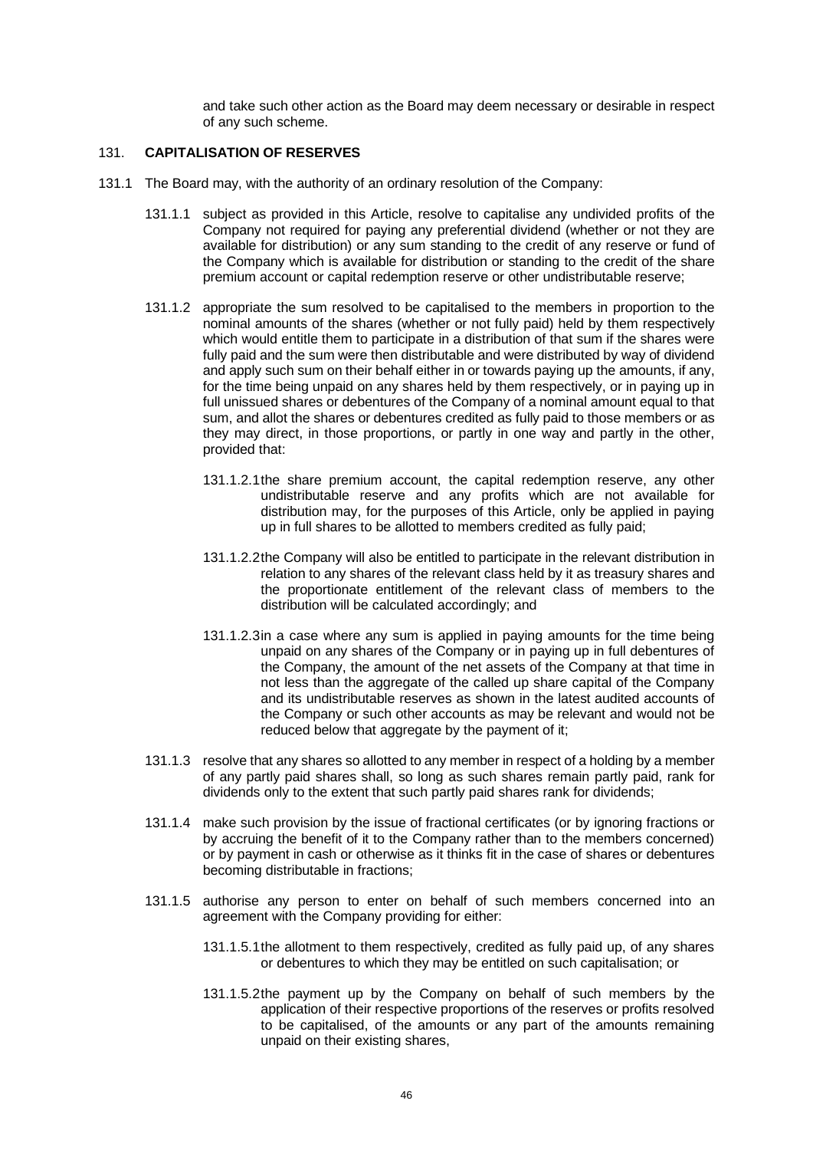and take such other action as the Board may deem necessary or desirable in respect of any such scheme.

#### <span id="page-50-0"></span>131. **CAPITALISATION OF RESERVES**

- 131.1 The Board may, with the authority of an ordinary resolution of the Company:
	- 131.1.1 subject as provided in this Article, resolve to capitalise any undivided profits of the Company not required for paying any preferential dividend (whether or not they are available for distribution) or any sum standing to the credit of any reserve or fund of the Company which is available for distribution or standing to the credit of the share premium account or capital redemption reserve or other undistributable reserve;
	- 131.1.2 appropriate the sum resolved to be capitalised to the members in proportion to the nominal amounts of the shares (whether or not fully paid) held by them respectively which would entitle them to participate in a distribution of that sum if the shares were fully paid and the sum were then distributable and were distributed by way of dividend and apply such sum on their behalf either in or towards paying up the amounts, if any, for the time being unpaid on any shares held by them respectively, or in paying up in full unissued shares or debentures of the Company of a nominal amount equal to that sum, and allot the shares or debentures credited as fully paid to those members or as they may direct, in those proportions, or partly in one way and partly in the other, provided that:
		- 131.1.2.1the share premium account, the capital redemption reserve, any other undistributable reserve and any profits which are not available for distribution may, for the purposes of this Article, only be applied in paying up in full shares to be allotted to members credited as fully paid;
		- 131.1.2.2the Company will also be entitled to participate in the relevant distribution in relation to any shares of the relevant class held by it as treasury shares and the proportionate entitlement of the relevant class of members to the distribution will be calculated accordingly; and
		- 131.1.2.3in a case where any sum is applied in paying amounts for the time being unpaid on any shares of the Company or in paying up in full debentures of the Company, the amount of the net assets of the Company at that time in not less than the aggregate of the called up share capital of the Company and its undistributable reserves as shown in the latest audited accounts of the Company or such other accounts as may be relevant and would not be reduced below that aggregate by the payment of it;
	- 131.1.3 resolve that any shares so allotted to any member in respect of a holding by a member of any partly paid shares shall, so long as such shares remain partly paid, rank for dividends only to the extent that such partly paid shares rank for dividends;
	- 131.1.4 make such provision by the issue of fractional certificates (or by ignoring fractions or by accruing the benefit of it to the Company rather than to the members concerned) or by payment in cash or otherwise as it thinks fit in the case of shares or debentures becoming distributable in fractions;
	- 131.1.5 authorise any person to enter on behalf of such members concerned into an agreement with the Company providing for either:
		- 131.1.5.1the allotment to them respectively, credited as fully paid up, of any shares or debentures to which they may be entitled on such capitalisation; or
		- 131.1.5.2the payment up by the Company on behalf of such members by the application of their respective proportions of the reserves or profits resolved to be capitalised, of the amounts or any part of the amounts remaining unpaid on their existing shares,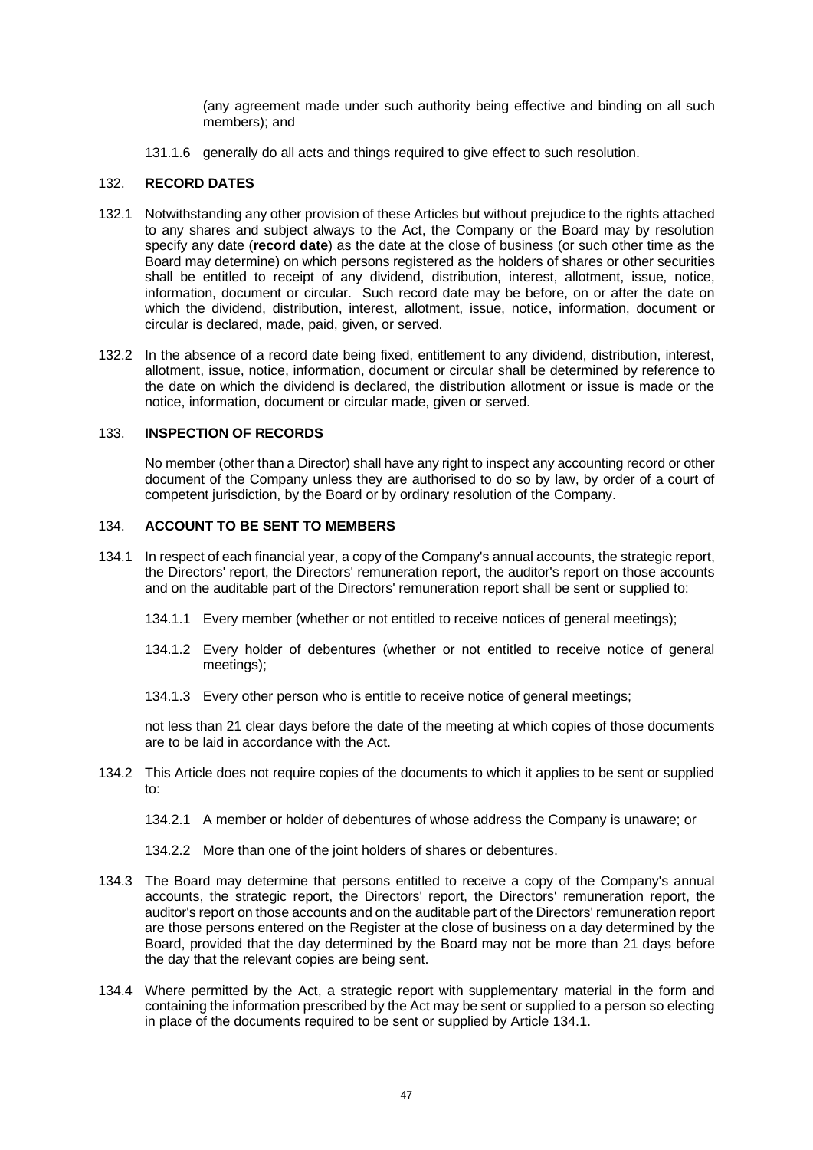(any agreement made under such authority being effective and binding on all such members); and

131.1.6 generally do all acts and things required to give effect to such resolution.

## <span id="page-51-0"></span>132. **RECORD DATES**

- 132.1 Notwithstanding any other provision of these Articles but without prejudice to the rights attached to any shares and subject always to the Act, the Company or the Board may by resolution specify any date (**record date**) as the date at the close of business (or such other time as the Board may determine) on which persons registered as the holders of shares or other securities shall be entitled to receipt of any dividend, distribution, interest, allotment, issue, notice, information, document or circular. Such record date may be before, on or after the date on which the dividend, distribution, interest, allotment, issue, notice, information, document or circular is declared, made, paid, given, or served.
- 132.2 In the absence of a record date being fixed, entitlement to any dividend, distribution, interest, allotment, issue, notice, information, document or circular shall be determined by reference to the date on which the dividend is declared, the distribution allotment or issue is made or the notice, information, document or circular made, given or served.

#### <span id="page-51-1"></span>133. **INSPECTION OF RECORDS**

No member (other than a Director) shall have any right to inspect any accounting record or other document of the Company unless they are authorised to do so by law, by order of a court of competent jurisdiction, by the Board or by ordinary resolution of the Company.

### <span id="page-51-2"></span>134. **ACCOUNT TO BE SENT TO MEMBERS**

- <span id="page-51-3"></span>134.1 In respect of each financial year, a copy of the Company's annual accounts, the strategic report, the Directors' report, the Directors' remuneration report, the auditor's report on those accounts and on the auditable part of the Directors' remuneration report shall be sent or supplied to:
	- 134.1.1 Every member (whether or not entitled to receive notices of general meetings);
	- 134.1.2 Every holder of debentures (whether or not entitled to receive notice of general meetings);
	- 134.1.3 Every other person who is entitle to receive notice of general meetings;

not less than 21 clear days before the date of the meeting at which copies of those documents are to be laid in accordance with the Act.

- 134.2 This Article does not require copies of the documents to which it applies to be sent or supplied to:
	- 134.2.1 A member or holder of debentures of whose address the Company is unaware; or
	- 134.2.2 More than one of the joint holders of shares or debentures.
- 134.3 The Board may determine that persons entitled to receive a copy of the Company's annual accounts, the strategic report, the Directors' report, the Directors' remuneration report, the auditor's report on those accounts and on the auditable part of the Directors' remuneration report are those persons entered on the Register at the close of business on a day determined by the Board, provided that the day determined by the Board may not be more than 21 days before the day that the relevant copies are being sent.
- 134.4 Where permitted by the Act, a strategic report with supplementary material in the form and containing the information prescribed by the Act may be sent or supplied to a person so electing in place of the documents required to be sent or supplied by Article [134.1.](#page-51-3)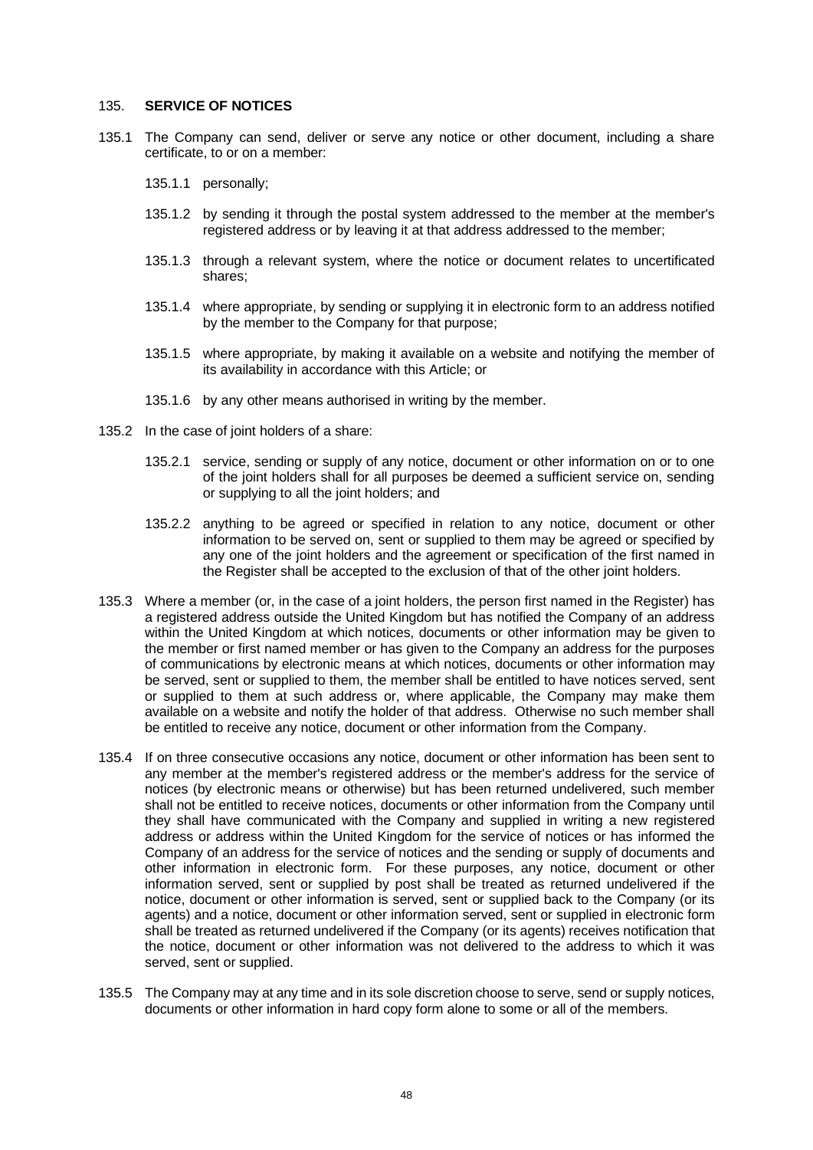#### <span id="page-52-0"></span>135. **SERVICE OF NOTICES**

- 135.1 The Company can send, deliver or serve any notice or other document, including a share certificate, to or on a member:
	- 135.1.1 personally;
	- 135.1.2 by sending it through the postal system addressed to the member at the member's registered address or by leaving it at that address addressed to the member;
	- 135.1.3 through a relevant system, where the notice or document relates to uncertificated shares;
	- 135.1.4 where appropriate, by sending or supplying it in electronic form to an address notified by the member to the Company for that purpose;
	- 135.1.5 where appropriate, by making it available on a website and notifying the member of its availability in accordance with this Article; or
	- 135.1.6 by any other means authorised in writing by the member.
- 135.2 In the case of joint holders of a share:
	- 135.2.1 service, sending or supply of any notice, document or other information on or to one of the joint holders shall for all purposes be deemed a sufficient service on, sending or supplying to all the joint holders; and
	- 135.2.2 anything to be agreed or specified in relation to any notice, document or other information to be served on, sent or supplied to them may be agreed or specified by any one of the joint holders and the agreement or specification of the first named in the Register shall be accepted to the exclusion of that of the other joint holders.
- 135.3 Where a member (or, in the case of a joint holders, the person first named in the Register) has a registered address outside the United Kingdom but has notified the Company of an address within the United Kingdom at which notices, documents or other information may be given to the member or first named member or has given to the Company an address for the purposes of communications by electronic means at which notices, documents or other information may be served, sent or supplied to them, the member shall be entitled to have notices served, sent or supplied to them at such address or, where applicable, the Company may make them available on a website and notify the holder of that address. Otherwise no such member shall be entitled to receive any notice, document or other information from the Company.
- 135.4 If on three consecutive occasions any notice, document or other information has been sent to any member at the member's registered address or the member's address for the service of notices (by electronic means or otherwise) but has been returned undelivered, such member shall not be entitled to receive notices, documents or other information from the Company until they shall have communicated with the Company and supplied in writing a new registered address or address within the United Kingdom for the service of notices or has informed the Company of an address for the service of notices and the sending or supply of documents and other information in electronic form. For these purposes, any notice, document or other information served, sent or supplied by post shall be treated as returned undelivered if the notice, document or other information is served, sent or supplied back to the Company (or its agents) and a notice, document or other information served, sent or supplied in electronic form shall be treated as returned undelivered if the Company (or its agents) receives notification that the notice, document or other information was not delivered to the address to which it was served, sent or supplied.
- 135.5 The Company may at any time and in its sole discretion choose to serve, send or supply notices, documents or other information in hard copy form alone to some or all of the members.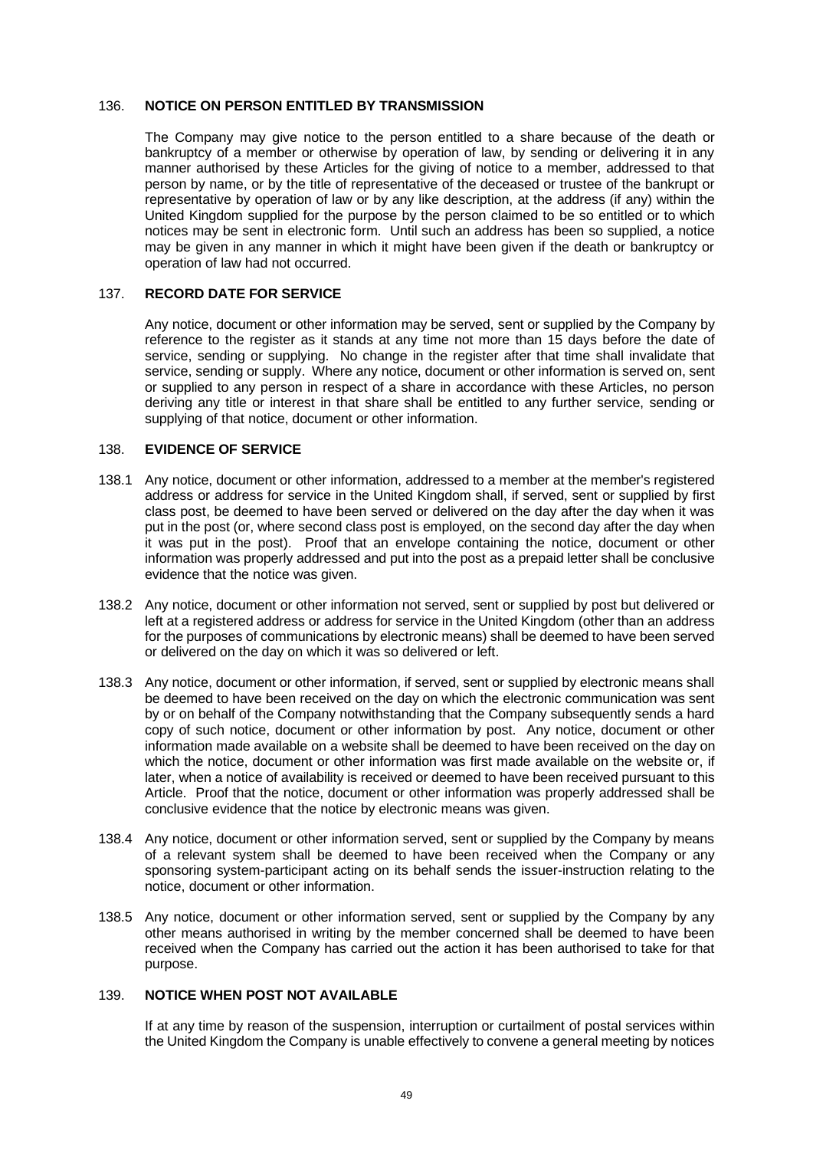### <span id="page-53-0"></span>136. **NOTICE ON PERSON ENTITLED BY TRANSMISSION**

The Company may give notice to the person entitled to a share because of the death or bankruptcy of a member or otherwise by operation of law, by sending or delivering it in any manner authorised by these Articles for the giving of notice to a member, addressed to that person by name, or by the title of representative of the deceased or trustee of the bankrupt or representative by operation of law or by any like description, at the address (if any) within the United Kingdom supplied for the purpose by the person claimed to be so entitled or to which notices may be sent in electronic form. Until such an address has been so supplied, a notice may be given in any manner in which it might have been given if the death or bankruptcy or operation of law had not occurred.

### <span id="page-53-1"></span>137. **RECORD DATE FOR SERVICE**

Any notice, document or other information may be served, sent or supplied by the Company by reference to the register as it stands at any time not more than 15 days before the date of service, sending or supplying. No change in the register after that time shall invalidate that service, sending or supply. Where any notice, document or other information is served on, sent or supplied to any person in respect of a share in accordance with these Articles, no person deriving any title or interest in that share shall be entitled to any further service, sending or supplying of that notice, document or other information.

## <span id="page-53-2"></span>138. **EVIDENCE OF SERVICE**

- 138.1 Any notice, document or other information, addressed to a member at the member's registered address or address for service in the United Kingdom shall, if served, sent or supplied by first class post, be deemed to have been served or delivered on the day after the day when it was put in the post (or, where second class post is employed, on the second day after the day when it was put in the post). Proof that an envelope containing the notice, document or other information was properly addressed and put into the post as a prepaid letter shall be conclusive evidence that the notice was given.
- 138.2 Any notice, document or other information not served, sent or supplied by post but delivered or left at a registered address or address for service in the United Kingdom (other than an address for the purposes of communications by electronic means) shall be deemed to have been served or delivered on the day on which it was so delivered or left.
- 138.3 Any notice, document or other information, if served, sent or supplied by electronic means shall be deemed to have been received on the day on which the electronic communication was sent by or on behalf of the Company notwithstanding that the Company subsequently sends a hard copy of such notice, document or other information by post. Any notice, document or other information made available on a website shall be deemed to have been received on the day on which the notice, document or other information was first made available on the website or, if later, when a notice of availability is received or deemed to have been received pursuant to this Article. Proof that the notice, document or other information was properly addressed shall be conclusive evidence that the notice by electronic means was given.
- 138.4 Any notice, document or other information served, sent or supplied by the Company by means of a relevant system shall be deemed to have been received when the Company or any sponsoring system-participant acting on its behalf sends the issuer-instruction relating to the notice, document or other information.
- 138.5 Any notice, document or other information served, sent or supplied by the Company by any other means authorised in writing by the member concerned shall be deemed to have been received when the Company has carried out the action it has been authorised to take for that purpose.

# <span id="page-53-3"></span>139. **NOTICE WHEN POST NOT AVAILABLE**

If at any time by reason of the suspension, interruption or curtailment of postal services within the United Kingdom the Company is unable effectively to convene a general meeting by notices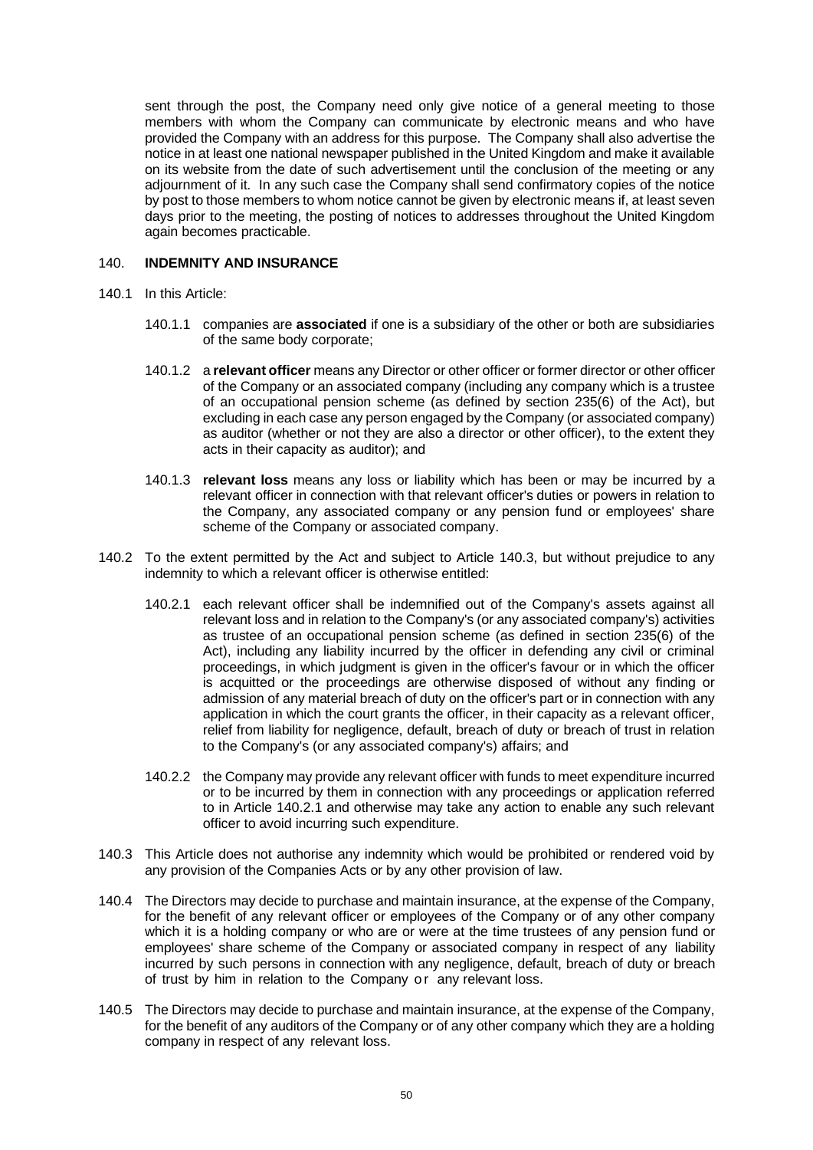sent through the post, the Company need only give notice of a general meeting to those members with whom the Company can communicate by electronic means and who have provided the Company with an address for this purpose. The Company shall also advertise the notice in at least one national newspaper published in the United Kingdom and make it available on its website from the date of such advertisement until the conclusion of the meeting or any adjournment of it. In any such case the Company shall send confirmatory copies of the notice by post to those members to whom notice cannot be given by electronic means if, at least seven days prior to the meeting, the posting of notices to addresses throughout the United Kingdom again becomes practicable.

## <span id="page-54-0"></span>140. **INDEMNITY AND INSURANCE**

- 140.1 In this Article:
	- 140.1.1 companies are **associated** if one is a subsidiary of the other or both are subsidiaries of the same body corporate;
	- 140.1.2 a **relevant officer** means any Director or other officer or former director or other officer of the Company or an associated company (including any company which is a trustee of an occupational pension scheme (as defined by section 235(6) of the Act), but excluding in each case any person engaged by the Company (or associated company) as auditor (whether or not they are also a director or other officer), to the extent they acts in their capacity as auditor); and
	- 140.1.3 **relevant loss** means any loss or liability which has been or may be incurred by a relevant officer in connection with that relevant officer's duties or powers in relation to the Company, any associated company or any pension fund or employees' share scheme of the Company or associated company.
- <span id="page-54-2"></span>140.2 To the extent permitted by the Act and subject to Article [140.3,](#page-54-1) but without prejudice to any indemnity to which a relevant officer is otherwise entitled:
	- 140.2.1 each relevant officer shall be indemnified out of the Company's assets against all relevant loss and in relation to the Company's (or any associated company's) activities as trustee of an occupational pension scheme (as defined in section 235(6) of the Act), including any liability incurred by the officer in defending any civil or criminal proceedings, in which judgment is given in the officer's favour or in which the officer is acquitted or the proceedings are otherwise disposed of without any finding or admission of any material breach of duty on the officer's part or in connection with any application in which the court grants the officer, in their capacity as a relevant officer, relief from liability for negligence, default, breach of duty or breach of trust in relation to the Company's (or any associated company's) affairs; and
	- 140.2.2 the Company may provide any relevant officer with funds to meet expenditure incurred or to be incurred by them in connection with any proceedings or application referred to in Article [140.2.1](#page-54-2) and otherwise may take any action to enable any such relevant officer to avoid incurring such expenditure.
- <span id="page-54-1"></span>140.3 This Article does not authorise any indemnity which would be prohibited or rendered void by any provision of the Companies Acts or by any other provision of law.
- 140.4 The Directors may decide to purchase and maintain insurance, at the expense of the Company, for the benefit of any relevant officer or employees of the Company or of any other company which it is a holding company or who are or were at the time trustees of any pension fund or employees' share scheme of the Company or associated company in respect of any liability incurred by such persons in connection with any negligence, default, breach of duty or breach of trust by him in relation to the Company or any relevant loss.
- 140.5 The Directors may decide to purchase and maintain insurance, at the expense of the Company, for the benefit of any auditors of the Company or of any other company which they are a holding company in respect of any relevant loss.